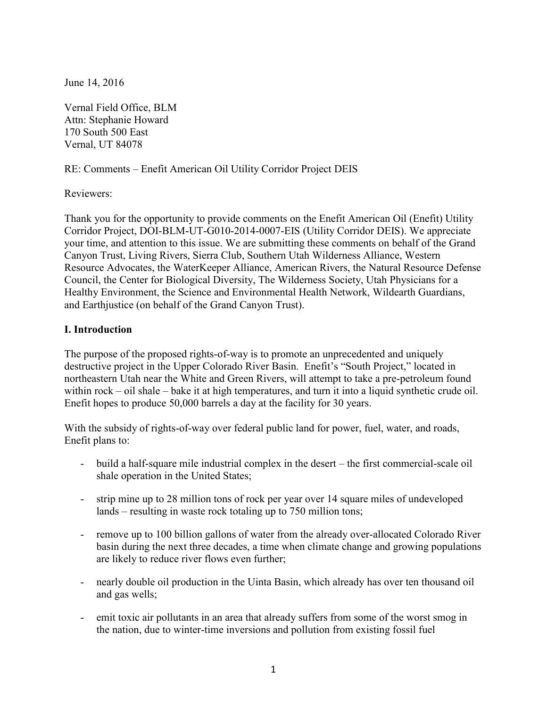June 14, 2016

Vernal Field Office, BLM Attn: Stephanie Howard 170 South 500 East Vernal, UT 84078

RE: Comments – Enefit American Oil Utility Corridor Project DEIS

Reviewers:

Thank you for the opportunity to provide comments on the Enefit American Oil (Enefit) Utility Corridor Project, DOI-BLM-UT-G010-2014-0007-EIS (Utility Corridor DEIS). We appreciate your time, and attention to this issue. We are submitting these comments on behalf of the Grand Canyon Trust, Living Rivers, Sierra Club, Southern Utah Wilderness Alliance, Western Resource Advocates, the WaterKeeper Alliance, American Rivers, the Natural Resource Defense Council, the Center for Biological Diversity, The Wilderness Society, Utah Physicians for a Healthy Environment, the Science and Environmental Health Network, Wildearth Guardians, and Earthjustice (on behalf of the Grand Canyon Trust).

## **I. Introduction**

The purpose of the proposed rights-of-way is to promote an unprecedented and uniquely destructive project in the Upper Colorado River Basin. Enefit's "South Project," located in northeastern Utah near the White and Green Rivers, will attempt to take a pre-petroleum found within rock – oil shale – bake it at high temperatures, and turn it into a liquid synthetic crude oil. Enefit hopes to produce 50,000 barrels a day at the facility for 30 years.

With the subsidy of rights-of-way over federal public land for power, fuel, water, and roads, Enefit plans to:

- build a half-square mile industrial complex in the desert the first commercial-scale oil shale operation in the United States;
- strip mine up to 28 million tons of rock per year over 14 square miles of undeveloped lands – resulting in waste rock totaling up to 750 million tons;
- remove up to 100 billion gallons of water from the already over-allocated Colorado River basin during the next three decades, a time when climate change and growing populations are likely to reduce river flows even further;
- nearly double oil production in the Uinta Basin, which already has over ten thousand oil and gas wells;
- emit toxic air pollutants in an area that already suffers from some of the worst smog in the nation, due to winter-time inversions and pollution from existing fossil fuel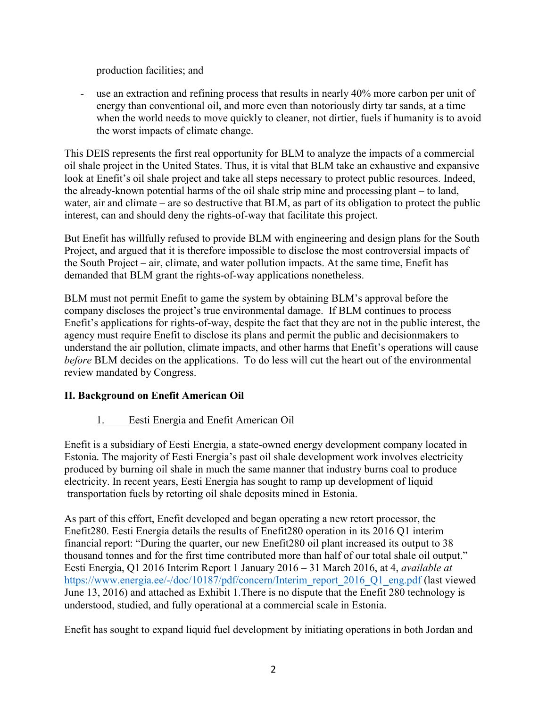production facilities; and

use an extraction and refining process that results in nearly 40% more carbon per unit of energy than conventional oil, and more even than notoriously dirty tar sands, at a time when the world needs to move quickly to cleaner, not dirtier, fuels if humanity is to avoid the worst impacts of climate change.

This DEIS represents the first real opportunity for BLM to analyze the impacts of a commercial oil shale project in the United States. Thus, it is vital that BLM take an exhaustive and expansive look at Enefit's oil shale project and take all steps necessary to protect public resources. Indeed, the already-known potential harms of the oil shale strip mine and processing plant – to land, water, air and climate – are so destructive that BLM, as part of its obligation to protect the public interest, can and should deny the rights-of-way that facilitate this project.

But Enefit has willfully refused to provide BLM with engineering and design plans for the South Project, and argued that it is therefore impossible to disclose the most controversial impacts of the South Project – air, climate, and water pollution impacts. At the same time, Enefit has demanded that BLM grant the rights-of-way applications nonetheless.

BLM must not permit Enefit to game the system by obtaining BLM's approval before the company discloses the project's true environmental damage. If BLM continues to process Enefit's applications for rights-of-way, despite the fact that they are not in the public interest, the agency must require Enefit to disclose its plans and permit the public and decisionmakers to understand the air pollution, climate impacts, and other harms that Enefit's operations will cause *before* BLM decides on the applications. To do less will cut the heart out of the environmental review mandated by Congress.

# **II. Background on Enefit American Oil**

# 1. Eesti Energia and Enefit American Oil

Enefit is a subsidiary of Eesti Energia, a state-owned energy development company located in Estonia. The majority of Eesti Energia's past oil shale development work involves electricity produced by burning oil shale in much the same manner that industry burns coal to produce electricity. In recent years, Eesti Energia has sought to ramp up development of liquid transportation fuels by retorting oil shale deposits mined in Estonia.

As part of this effort, Enefit developed and began operating a new retort processor, the Enefit280. Eesti Energia details the results of Enefit280 operation in its 2016 Q1 interim financial report: "During the quarter, our new Enefit280 oil plant increased its output to 38 thousand tonnes and for the first time contributed more than half of our total shale oil output." Eesti Energia, Q1 2016 Interim Report 1 January 2016 – 31 March 2016, at 4, *available at* [https://www.energia.ee/-/doc/10187/pdf/concern/Interim\\_report\\_2016\\_Q1\\_eng.pdf](https://www.energia.ee/-/doc/10187/pdf/concern/Interim_report_2016_Q1_eng.pdf) (last viewed June 13, 2016) and attached as Exhibit 1.There is no dispute that the Enefit 280 technology is understood, studied, and fully operational at a commercial scale in Estonia.

Enefit has sought to expand liquid fuel development by initiating operations in both Jordan and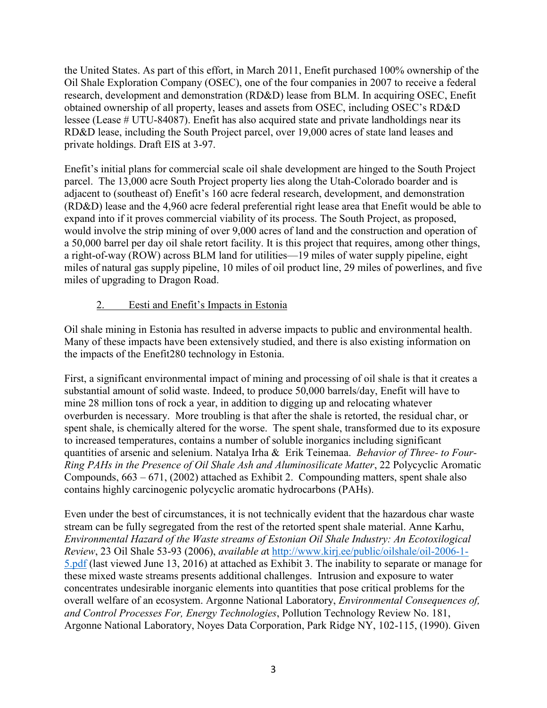the United States. As part of this effort, in March 2011, Enefit purchased 100% ownership of the Oil Shale Exploration Company (OSEC), one of the four companies in 2007 to receive a federal research, development and demonstration (RD&D) lease from BLM. In acquiring OSEC, Enefit obtained ownership of all property, leases and assets from OSEC, including OSEC's RD&D lessee (Lease # UTU-84087). Enefit has also acquired state and private landholdings near its RD&D lease, including the South Project parcel, over 19,000 acres of state land leases and private holdings. Draft EIS at 3-97.

Enefit's initial plans for commercial scale oil shale development are hinged to the South Project parcel. The 13,000 acre South Project property lies along the Utah-Colorado boarder and is adjacent to (southeast of) Enefit's 160 acre federal research, development, and demonstration (RD&D) lease and the 4,960 acre federal preferential right lease area that Enefit would be able to expand into if it proves commercial viability of its process. The South Project, as proposed, would involve the strip mining of over 9,000 acres of land and the construction and operation of a 50,000 barrel per day oil shale retort facility. It is this project that requires, among other things, a right-of-way (ROW) across BLM land for utilities—19 miles of water supply pipeline, eight miles of natural gas supply pipeline, 10 miles of oil product line, 29 miles of powerlines, and five miles of upgrading to Dragon Road.

# 2. Eesti and Enefit's Impacts in Estonia

Oil shale mining in Estonia has resulted in adverse impacts to public and environmental health. Many of these impacts have been extensively studied, and there is also existing information on the impacts of the Enefit280 technology in Estonia.

First, a significant environmental impact of mining and processing of oil shale is that it creates a substantial amount of solid waste. Indeed, to produce 50,000 barrels/day, Enefit will have to mine 28 million tons of rock a year, in addition to digging up and relocating whatever overburden is necessary. More troubling is that after the shale is retorted, the residual char, or spent shale, is chemically altered for the worse. The spent shale, transformed due to its exposure to increased temperatures, contains a number of soluble inorganics including significant quantities of arsenic and selenium. Natalya Irha & Erik Teinemaa. *Behavior of Three- to Four-Ring PAHs in the Presence of Oil Shale Ash and Aluminosilicate Matter*, 22 Polycyclic Aromatic Compounds, 663 – 671, (2002) attached as Exhibit 2. Compounding matters, spent shale also contains highly carcinogenic polycyclic aromatic hydrocarbons (PAHs).

Even under the best of circumstances, it is not technically evident that the hazardous char waste stream can be fully segregated from the rest of the retorted spent shale material. Anne Karhu, *Environmental Hazard of the Waste streams of Estonian Oil Shale Industry: An Ecotoxilogical Review*, 23 Oil Shale 53-93 (2006), *available a*t [http://www.kirj.ee/public/oilshale/oil-2006-1-](http://www.kirj.ee/public/oilshale/oil-2006-1-5.pdf) [5.pdf](http://www.kirj.ee/public/oilshale/oil-2006-1-5.pdf) (last viewed June 13, 2016) at attached as Exhibit 3. The inability to separate or manage for these mixed waste streams presents additional challenges. Intrusion and exposure to water concentrates undesirable inorganic elements into quantities that pose critical problems for the overall welfare of an ecosystem. Argonne National Laboratory, *Environmental Consequences of, and Control Processes For, Energy Technologies*, Pollution Technology Review No. 181, Argonne National Laboratory, Noyes Data Corporation, Park Ridge NY, 102-115, (1990). Given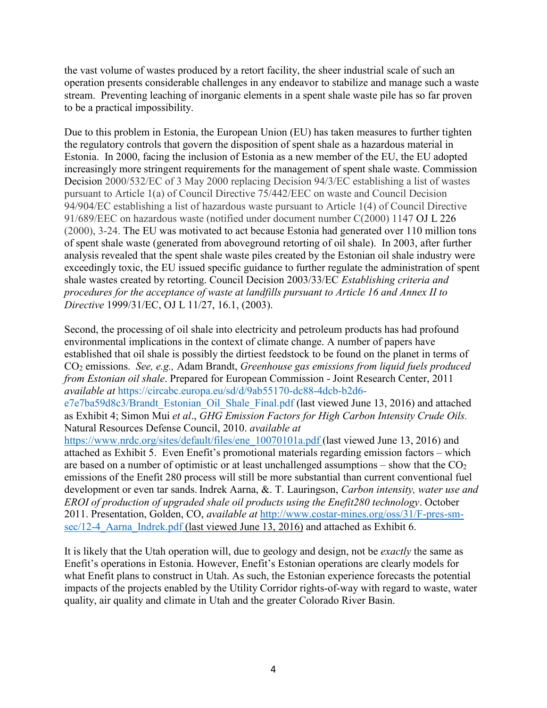the vast volume of wastes produced by a retort facility, the sheer industrial scale of such an operation presents considerable challenges in any endeavor to stabilize and manage such a waste stream. Preventing leaching of inorganic elements in a spent shale waste pile has so far proven to be a practical impossibility.

Due to this problem in Estonia, the European Union (EU) has taken measures to further tighten the regulatory controls that govern the disposition of spent shale as a hazardous material in Estonia. In 2000, facing the inclusion of Estonia as a new member of the EU, the EU adopted increasingly more stringent requirements for the management of spent shale waste. Commission Decision 2000/532/EC of 3 May 2000 replacing Decision 94/3/EC establishing a list of wastes pursuant to Article 1(a) of Council Directive 75/442/EEC on waste and Council Decision 94/904/EC establishing a list of hazardous waste pursuant to Article 1(4) of Council Directive 91/689/EEC on hazardous waste (notified under document number C(2000) 1147 OJ L 226 (2000), 3-24. The EU was motivated to act because Estonia had generated over 110 million tons of spent shale waste (generated from aboveground retorting of oil shale). In 2003, after further analysis revealed that the spent shale waste piles created by the Estonian oil shale industry were exceedingly toxic, the EU issued specific guidance to further regulate the administration of spent shale wastes created by retorting. Council Decision 2003/33/EC *Establishing criteria and procedures for the acceptance of waste at landfills pursuant to Article 16 and Annex II to Directive* 1999/31/EC, OJ L 11/27, 16.1, (2003).

Second, the processing of oil shale into electricity and petroleum products has had profound environmental implications in the context of climate change. A number of papers have established that oil shale is possibly the dirtiest feedstock to be found on the planet in terms of CO<sup>2</sup> emissions. *See, e.g.,* Adam Brandt, *Greenhouse gas emissions from liquid fuels produced from Estonian oil shale*. Prepared for European Commission - Joint Research Center, 2011 *available at* [https://circabc.europa.eu/sd/d/9ab55170-dc88-4dcb-b2d6-](https://circabc.europa.eu/sd/d/9ab55170-dc88-4dcb-b2d6-e7e7ba59d8c3/Brandt_Estonian_Oil_Shale_Final.pdf)

[e7e7ba59d8c3/Brandt\\_Estonian\\_Oil\\_Shale\\_Final.pdf](https://circabc.europa.eu/sd/d/9ab55170-dc88-4dcb-b2d6-e7e7ba59d8c3/Brandt_Estonian_Oil_Shale_Final.pdf) (last viewed June 13, 2016) and attached as Exhibit 4; Simon Mui *et al*., *GHG Emission Factors for High Carbon Intensity Crude Oils.*  Natural Resources Defense Council, 2010. *available at*

[https://www.nrdc.org/sites/default/files/ene\\_10070101a.pdf](https://www.nrdc.org/sites/default/files/ene_10070101a.pdf) (last viewed June 13, 2016) and attached as Exhibit 5. Even Enefit's promotional materials regarding emission factors – which are based on a number of optimistic or at least unchallenged assumptions – show that the  $CO<sub>2</sub>$ emissions of the Enefit 280 process will still be more substantial than current conventional fuel development or even tar sands. Indrek Aarna, &. T. Lauringson, *Carbon intensity, water use and EROI of production of upgraded shale oil products using the Enefit280 technology*. October 2011. Presentation, Golden, CO, *available at* [http://www.costar-mines.org/oss/31/F-pres-sm](http://www.costar-mines.org/oss/31/F-pres-sm-sec/12-4_Aarna_Indrek.pdf)sec/12-4 Aarna Indrek.pdf (last viewed June 13, 2016) and attached as Exhibit 6.

It is likely that the Utah operation will, due to geology and design, not be *exactly* the same as Enefit's operations in Estonia. However, Enefit's Estonian operations are clearly models for what Enefit plans to construct in Utah. As such, the Estonian experience forecasts the potential impacts of the projects enabled by the Utility Corridor rights-of-way with regard to waste, water quality, air quality and climate in Utah and the greater Colorado River Basin.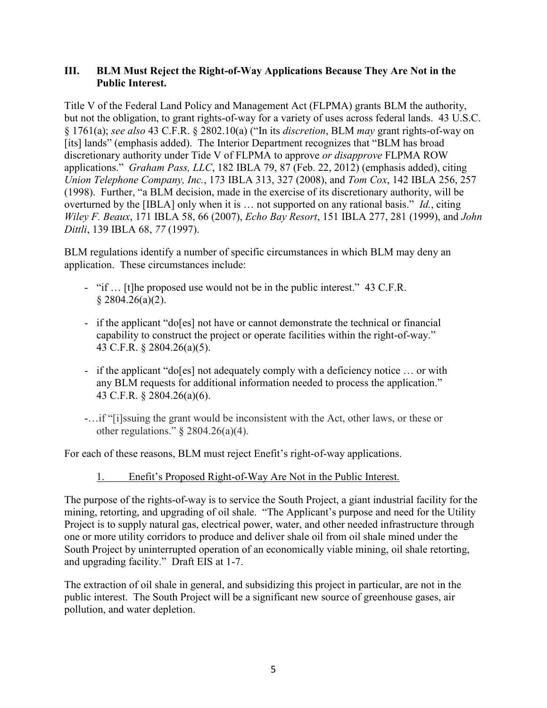### **III. BLM Must Reject the Right-of-Way Applications Because They Are Not in the Public Interest.**

Title V of the Federal Land Policy and Management Act (FLPMA) grants BLM the authority, but not the obligation, to grant rights-of-way for a variety of uses across federal lands. 43 U.S.C. § 1761(a); *see also* 43 C.F.R. § 2802.10(a) ("In its *discretion*, BLM *may* grant rights-of-way on [its] lands" (emphasis added). The Interior Department recognizes that "BLM has broad discretionary authority under Tide V of FLPMA to approve *or disapprove* FLPMA ROW applications." *Graham Pass, LLC*, 182 IBLA 79, 87 (Feb. 22, 2012) (emphasis added), citing *Union Telephone Company, Inc.*, 173 IBLA 313, 327 (2008), and *Tom Cox*, 142 IBLA 256, 257 (1998). Further, "a BLM decision, made in the exercise of its discretionary authority, will be overturned by the [IBLA] only when it is … not supported on any rational basis." *Id.*, citing *Wiley F. Beaux*, 171 IBLA 58, 66 (2007), *Echo Bay Resort*, 151 IBLA 277, 281 (1999), and *John Dittli*, 139 IBLA 68, *77* (1997).

BLM regulations identify a number of specific circumstances in which BLM may deny an application. These circumstances include:

- "if … [t]he proposed use would not be in the public interest." 43 C.F.R.  $§$  2804.26(a)(2).
- if the applicant "do[es] not have or cannot demonstrate the technical or financial capability to construct the project or operate facilities within the right-of-way." 43 C.F.R. § 2804.26(a)(5).
- if the applicant "do[es] not adequately comply with a deficiency notice … or with any BLM requests for additional information needed to process the application." 43 C.F.R. § 2804.26(a)(6).
- -…if "[i]ssuing the grant would be inconsistent with the Act, other laws, or these or other regulations."  $\S 2804.26(a)(4)$ .

For each of these reasons, BLM must reject Enefit's right-of-way applications.

# 1. Enefit's Proposed Right-of-Way Are Not in the Public Interest.

The purpose of the rights-of-way is to service the South Project, a giant industrial facility for the mining, retorting, and upgrading of oil shale. "The Applicant's purpose and need for the Utility Project is to supply natural gas, electrical power, water, and other needed infrastructure through one or more utility corridors to produce and deliver shale oil from oil shale mined under the South Project by uninterrupted operation of an economically viable mining, oil shale retorting, and upgrading facility." Draft EIS at 1-7.

The extraction of oil shale in general, and subsidizing this project in particular, are not in the public interest. The South Project will be a significant new source of greenhouse gases, air pollution, and water depletion.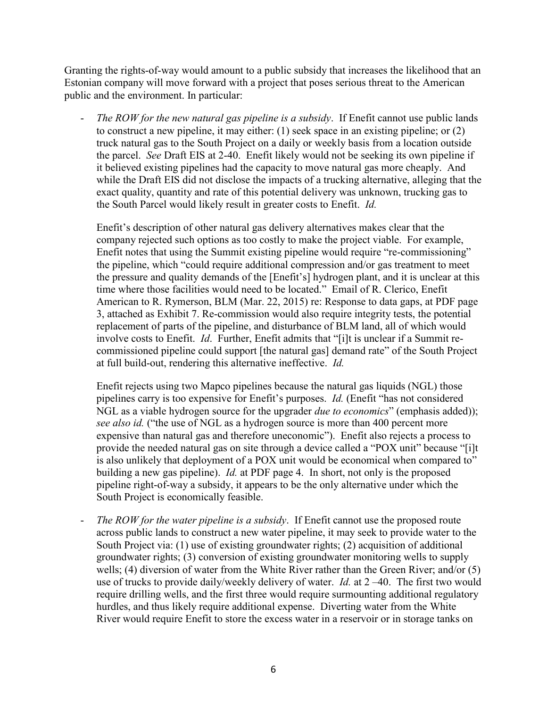Granting the rights-of-way would amount to a public subsidy that increases the likelihood that an Estonian company will move forward with a project that poses serious threat to the American public and the environment. In particular:

The ROW for the new natural gas pipeline is a subsidy. If Enefit cannot use public lands to construct a new pipeline, it may either: (1) seek space in an existing pipeline; or (2) truck natural gas to the South Project on a daily or weekly basis from a location outside the parcel. *See* Draft EIS at 2-40. Enefit likely would not be seeking its own pipeline if it believed existing pipelines had the capacity to move natural gas more cheaply. And while the Draft EIS did not disclose the impacts of a trucking alternative, alleging that the exact quality, quantity and rate of this potential delivery was unknown, trucking gas to the South Parcel would likely result in greater costs to Enefit. *Id.*

Enefit's description of other natural gas delivery alternatives makes clear that the company rejected such options as too costly to make the project viable. For example, Enefit notes that using the Summit existing pipeline would require "re-commissioning" the pipeline, which "could require additional compression and/or gas treatment to meet the pressure and quality demands of the [Enefit's] hydrogen plant, and it is unclear at this time where those facilities would need to be located." Email of R. Clerico, Enefit American to R. Rymerson, BLM (Mar. 22, 2015) re: Response to data gaps, at PDF page 3, attached as Exhibit 7. Re-commission would also require integrity tests, the potential replacement of parts of the pipeline, and disturbance of BLM land, all of which would involve costs to Enefit. *Id*. Further, Enefit admits that "[i]t is unclear if a Summit recommissioned pipeline could support [the natural gas] demand rate" of the South Project at full build-out, rendering this alternative ineffective. *Id.*

Enefit rejects using two Mapco pipelines because the natural gas liquids (NGL) those pipelines carry is too expensive for Enefit's purposes. *Id.* (Enefit "has not considered NGL as a viable hydrogen source for the upgrader *due to economics*" (emphasis added)); *see also id.* ("the use of NGL as a hydrogen source is more than 400 percent more expensive than natural gas and therefore uneconomic"). Enefit also rejects a process to provide the needed natural gas on site through a device called a "POX unit" because "[i]t is also unlikely that deployment of a POX unit would be economical when compared to" building a new gas pipeline). *Id.* at PDF page 4. In short, not only is the proposed pipeline right-of-way a subsidy, it appears to be the only alternative under which the South Project is economically feasible.

The *ROW for the water pipeline is a subsidy*. If Enefit cannot use the proposed route across public lands to construct a new water pipeline, it may seek to provide water to the South Project via: (1) use of existing groundwater rights; (2) acquisition of additional groundwater rights; (3) conversion of existing groundwater monitoring wells to supply wells; (4) diversion of water from the White River rather than the Green River; and/or (5) use of trucks to provide daily/weekly delivery of water. *Id.* at 2 –40.The first two would require drilling wells, and the first three would require surmounting additional regulatory hurdles, and thus likely require additional expense. Diverting water from the White River would require Enefit to store the excess water in a reservoir or in storage tanks on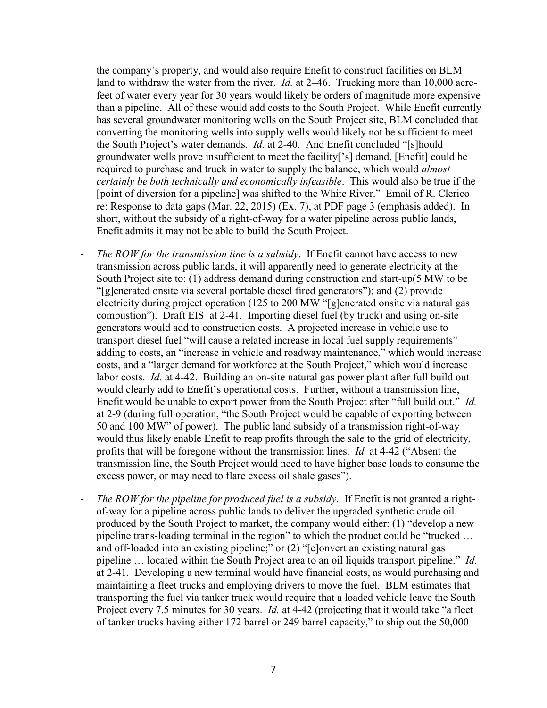the company's property, and would also require Enefit to construct facilities on BLM land to withdraw the water from the river. *Id.* at 2–46. Trucking more than 10,000 acrefeet of water every year for 30 years would likely be orders of magnitude more expensive than a pipeline. All of these would add costs to the South Project. While Enefit currently has several groundwater monitoring wells on the South Project site, BLM concluded that converting the monitoring wells into supply wells would likely not be sufficient to meet the South Project's water demands. *Id.* at 2-40. And Enefit concluded "[s]hould groundwater wells prove insufficient to meet the facility['s] demand, [Enefit] could be required to purchase and truck in water to supply the balance, which would *almost certainly be both technically and economically infeasible*. This would also be true if the [point of diversion for a pipeline] was shifted to the White River." Email of R. Clerico re: Response to data gaps (Mar. 22, 2015) (Ex. 7), at PDF page 3 (emphasis added). In short, without the subsidy of a right-of-way for a water pipeline across public lands, Enefit admits it may not be able to build the South Project.

- *The ROW for the transmission line is a subsidy*. If Enefit cannot have access to new transmission across public lands, it will apparently need to generate electricity at the South Project site to: (1) address demand during construction and start-up(5 MW to be "[g]enerated onsite via several portable diesel fired generators"); and (2) provide electricity during project operation (125 to 200 MW "[g]enerated onsite via natural gas combustion"). Draft EIS at 2-41. Importing diesel fuel (by truck) and using on-site generators would add to construction costs. A projected increase in vehicle use to transport diesel fuel "will cause a related increase in local fuel supply requirements" adding to costs, an "increase in vehicle and roadway maintenance," which would increase costs, and a "larger demand for workforce at the South Project," which would increase labor costs. *Id.* at 4-42. Building an on-site natural gas power plant after full build out would clearly add to Enefit's operational costs. Further, without a transmission line, Enefit would be unable to export power from the South Project after "full build out." *Id.* at 2-9 (during full operation, "the South Project would be capable of exporting between 50 and 100 MW" of power). The public land subsidy of a transmission right-of-way would thus likely enable Enefit to reap profits through the sale to the grid of electricity, profits that will be foregone without the transmission lines. *Id.* at 4-42 ("Absent the transmission line, the South Project would need to have higher base loads to consume the excess power, or may need to flare excess oil shale gases").
- *The ROW for the pipeline for produced fuel is a subsidy*. If Enefit is not granted a rightof-way for a pipeline across public lands to deliver the upgraded synthetic crude oil produced by the South Project to market, the company would either: (1) "develop a new pipeline trans-loading terminal in the region" to which the product could be "trucked … and off-loaded into an existing pipeline;" or (2) "[c]onvert an existing natural gas pipeline … located within the South Project area to an oil liquids transport pipeline." *Id.* at 2-41. Developing a new terminal would have financial costs, as would purchasing and maintaining a fleet trucks and employing drivers to move the fuel. BLM estimates that transporting the fuel via tanker truck would require that a loaded vehicle leave the South Project every 7.5 minutes for 30 years. *Id.* at 4-42 (projecting that it would take "a fleet of tanker trucks having either 172 barrel or 249 barrel capacity," to ship out the 50,000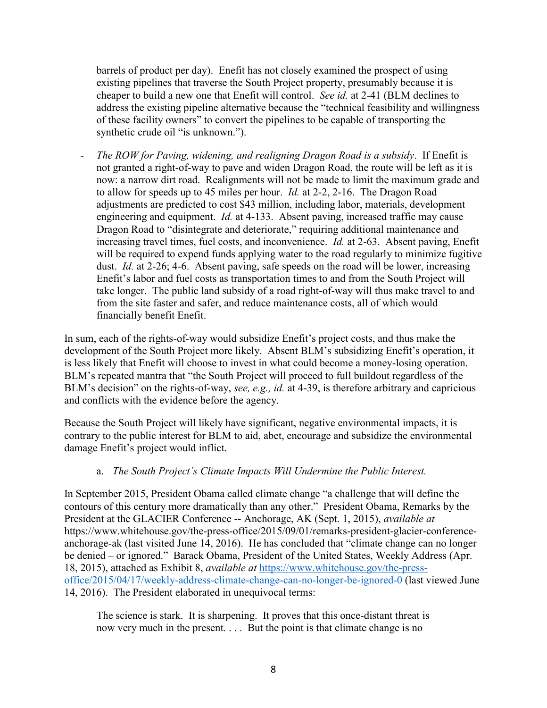barrels of product per day). Enefit has not closely examined the prospect of using existing pipelines that traverse the South Project property, presumably because it is cheaper to build a new one that Enefit will control. *See id.* at 2-41 (BLM declines to address the existing pipeline alternative because the "technical feasibility and willingness of these facility owners" to convert the pipelines to be capable of transporting the synthetic crude oil "is unknown.").

- *The ROW for Paving, widening, and realigning Dragon Road is a subsidy*. If Enefit is not granted a right-of-way to pave and widen Dragon Road, the route will be left as it is now: a narrow dirt road. Realignments will not be made to limit the maximum grade and to allow for speeds up to 45 miles per hour. *Id.* at 2-2, 2-16. The Dragon Road adjustments are predicted to cost \$43 million, including labor, materials, development engineering and equipment. *Id.* at 4-133. Absent paving, increased traffic may cause Dragon Road to "disintegrate and deteriorate," requiring additional maintenance and increasing travel times, fuel costs, and inconvenience. *Id.* at 2-63. Absent paving, Enefit will be required to expend funds applying water to the road regularly to minimize fugitive dust. *Id.* at 2-26; 4-6. Absent paving, safe speeds on the road will be lower, increasing Enefit's labor and fuel costs as transportation times to and from the South Project will take longer. The public land subsidy of a road right-of-way will thus make travel to and from the site faster and safer, and reduce maintenance costs, all of which would financially benefit Enefit.

In sum, each of the rights-of-way would subsidize Enefit's project costs, and thus make the development of the South Project more likely. Absent BLM's subsidizing Enefit's operation, it is less likely that Enefit will choose to invest in what could become a money-losing operation. BLM's repeated mantra that "the South Project will proceed to full buildout regardless of the BLM's decision" on the rights-of-way, *see, e.g., id.* at 4-39, is therefore arbitrary and capricious and conflicts with the evidence before the agency.

Because the South Project will likely have significant, negative environmental impacts, it is contrary to the public interest for BLM to aid, abet, encourage and subsidize the environmental damage Enefit's project would inflict.

## a. *The South Project's Climate Impacts Will Undermine the Public Interest.*

In September 2015, President Obama called climate change "a challenge that will define the contours of this century more dramatically than any other." President Obama, Remarks by the President at the GLACIER Conference -- Anchorage, AK (Sept. 1, 2015), *available at* https://www.whitehouse.gov/the-press-office/2015/09/01/remarks-president-glacier-conferenceanchorage-ak (last visited June 14, 2016). He has concluded that "climate change can no longer be denied – or ignored." Barack Obama, President of the United States, Weekly Address (Apr. 18, 2015), attached as Exhibit 8, *available at* [https://www.whitehouse.gov/the-press](https://www.whitehouse.gov/the-press-office/2015/04/17/weekly-address-climate-change-can-no-longer-be-ignored-0)[office/2015/04/17/weekly-address-climate-change-can-no-longer-be-ignored-0](https://www.whitehouse.gov/the-press-office/2015/04/17/weekly-address-climate-change-can-no-longer-be-ignored-0) (last viewed June 14, 2016). The President elaborated in unequivocal terms:

The science is stark. It is sharpening. It proves that this once-distant threat is now very much in the present.... But the point is that climate change is no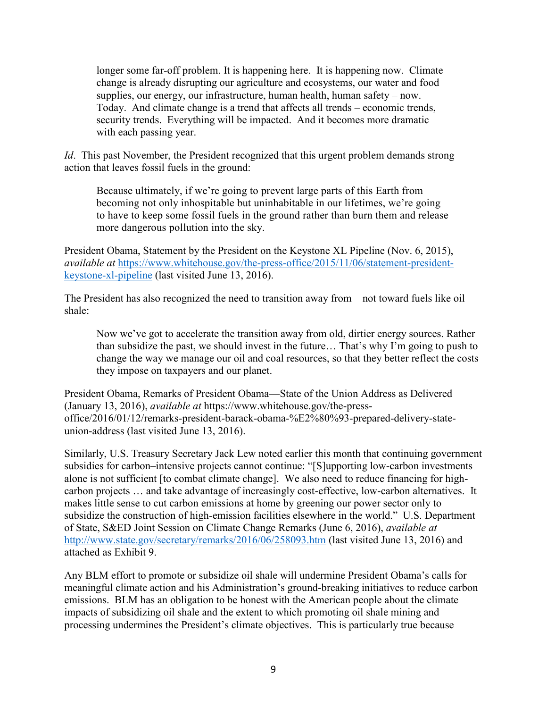longer some far-off problem. It is happening here. It is happening now. Climate change is already disrupting our agriculture and ecosystems, our water and food supplies, our energy, our infrastructure, human health, human safety – now. Today. And climate change is a trend that affects all trends – economic trends, security trends. Everything will be impacted. And it becomes more dramatic with each passing year.

*Id*. This past November, the President recognized that this urgent problem demands strong action that leaves fossil fuels in the ground:

Because ultimately, if we're going to prevent large parts of this Earth from becoming not only inhospitable but uninhabitable in our lifetimes, we're going to have to keep some fossil fuels in the ground rather than burn them and release more dangerous pollution into the sky.

President Obama, Statement by the President on the Keystone XL Pipeline (Nov. 6, 2015), *available at* [https://www.whitehouse.gov/the-press-office/2015/11/06/statement-president](https://www.whitehouse.gov/the-press-office/2015/11/06/statement-president-keystone-xl-pipeline)[keystone-xl-pipeline](https://www.whitehouse.gov/the-press-office/2015/11/06/statement-president-keystone-xl-pipeline) (last visited June 13, 2016).

The President has also recognized the need to transition away from – not toward fuels like oil shale:

Now we've got to accelerate the transition away from old, dirtier energy sources. Rather than subsidize the past, we should invest in the future… That's why I'm going to push to change the way we manage our oil and coal resources, so that they better reflect the costs they impose on taxpayers and our planet.

President Obama, Remarks of President Obama—State of the Union Address as Delivered (January 13, 2016), *available at* https://www.whitehouse.gov/the-pressoffice/2016/01/12/remarks-president-barack-obama-%E2%80%93-prepared-delivery-stateunion-address (last visited June 13, 2016).

Similarly, U.S. Treasury Secretary Jack Lew noted earlier this month that continuing government subsidies for carbon–intensive projects cannot continue: "[S]upporting low-carbon investments alone is not sufficient [to combat climate change]. We also need to reduce financing for highcarbon projects … and take advantage of increasingly cost-effective, low-carbon alternatives. It makes little sense to cut carbon emissions at home by greening our power sector only to subsidize the construction of high-emission facilities elsewhere in the world." U.S. Department of State, S&ED Joint Session on Climate Change Remarks (June 6, 2016), *available at* <http://www.state.gov/secretary/remarks/2016/06/258093.htm> (last visited June 13, 2016) and attached as Exhibit 9.

Any BLM effort to promote or subsidize oil shale will undermine President Obama's calls for meaningful climate action and his Administration's ground-breaking initiatives to reduce carbon emissions. BLM has an obligation to be honest with the American people about the climate impacts of subsidizing oil shale and the extent to which promoting oil shale mining and processing undermines the President's climate objectives. This is particularly true because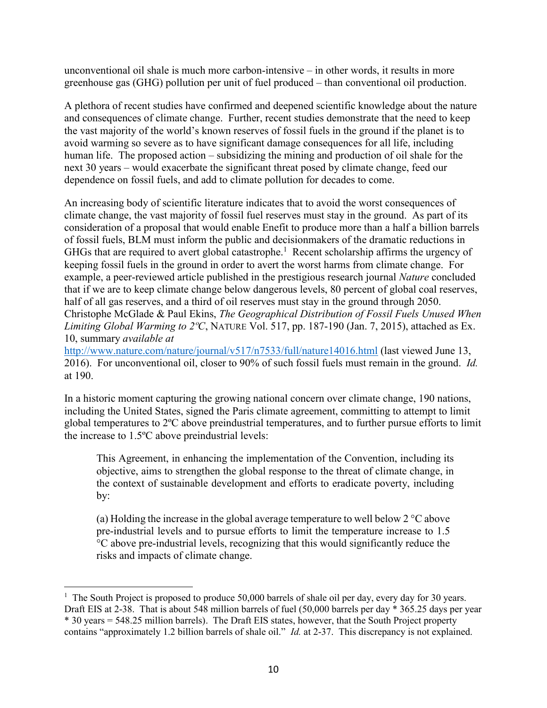unconventional oil shale is much more carbon-intensive – in other words, it results in more greenhouse gas (GHG) pollution per unit of fuel produced – than conventional oil production.

A plethora of recent studies have confirmed and deepened scientific knowledge about the nature and consequences of climate change. Further, recent studies demonstrate that the need to keep the vast majority of the world's known reserves of fossil fuels in the ground if the planet is to avoid warming so severe as to have significant damage consequences for all life, including human life. The proposed action – subsidizing the mining and production of oil shale for the next 30 years – would exacerbate the significant threat posed by climate change, feed our dependence on fossil fuels, and add to climate pollution for decades to come.

An increasing body of scientific literature indicates that to avoid the worst consequences of climate change, the vast majority of fossil fuel reserves must stay in the ground. As part of its consideration of a proposal that would enable Enefit to produce more than a half a billion barrels of fossil fuels, BLM must inform the public and decisionmakers of the dramatic reductions in GHGs that are required to avert global catastrophe.<sup>1</sup> Recent scholarship affirms the urgency of keeping fossil fuels in the ground in order to avert the worst harms from climate change. For example, a peer-reviewed article published in the prestigious research journal *Nature* concluded that if we are to keep climate change below dangerous levels, 80 percent of global coal reserves, half of all gas reserves, and a third of oil reserves must stay in the ground through 2050. Christophe McGlade & Paul Ekins, *The Geographical Distribution of Fossil Fuels Unused When Limiting Global Warming to 2ºC*, NATURE Vol. 517, pp. 187-190 (Jan. 7, 2015), attached as Ex. 10, summary *available at* 

<http://www.nature.com/nature/journal/v517/n7533/full/nature14016.html> (last viewed June 13, 2016). For unconventional oil, closer to 90% of such fossil fuels must remain in the ground. *Id.* at 190.

In a historic moment capturing the growing national concern over climate change, 190 nations, including the United States, signed the Paris climate agreement, committing to attempt to limit global temperatures to 2ºC above preindustrial temperatures, and to further pursue efforts to limit the increase to 1.5ºC above preindustrial levels:

This Agreement, in enhancing the implementation of the Convention, including its objective, aims to strengthen the global response to the threat of climate change, in the context of sustainable development and efforts to eradicate poverty, including by:

(a) Holding the increase in the global average temperature to well below  $2^{\circ}$ C above pre-industrial levels and to pursue efforts to limit the temperature increase to 1.5 °C above pre-industrial levels, recognizing that this would significantly reduce the risks and impacts of climate change.

 $\overline{a}$ <sup>1</sup> The South Project is proposed to produce 50,000 barrels of shale oil per day, every day for 30 years. Draft EIS at 2-38. That is about 548 million barrels of fuel (50,000 barrels per day \* 365.25 days per year \* 30 years = 548.25 million barrels). The Draft EIS states, however, that the South Project property contains "approximately 1.2 billion barrels of shale oil." *Id.* at 2-37. This discrepancy is not explained.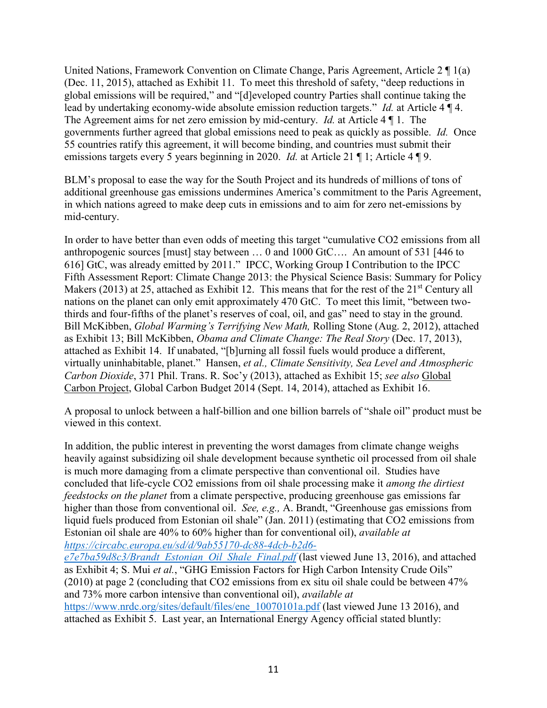United Nations, Framework Convention on Climate Change, Paris Agreement, Article 2 ¶ 1(a) (Dec. 11, 2015), attached as Exhibit 11. To meet this threshold of safety, "deep reductions in global emissions will be required," and "[d]eveloped country Parties shall continue taking the lead by undertaking economy-wide absolute emission reduction targets." *Id.* at Article 4 ¶ 4. The Agreement aims for net zero emission by mid-century. *Id.* at Article 4 ¶ 1. The governments further agreed that global emissions need to peak as quickly as possible. *Id.* Once 55 countries ratify this agreement, it will become binding, and countries must submit their emissions targets every 5 years beginning in 2020. *Id.* at Article 21 ¶ 1; Article 4 ¶ 9.

BLM's proposal to ease the way for the South Project and its hundreds of millions of tons of additional greenhouse gas emissions undermines America's commitment to the Paris Agreement, in which nations agreed to make deep cuts in emissions and to aim for zero net-emissions by mid-century.

In order to have better than even odds of meeting this target "cumulative CO2 emissions from all anthropogenic sources [must] stay between … 0 and 1000 GtC…. An amount of 531 [446 to 616] GtC, was already emitted by 2011." IPCC, Working Group I Contribution to the IPCC Fifth Assessment Report: Climate Change 2013: the Physical Science Basis: Summary for Policy Makers (2013) at 25, attached as Exhibit 12. This means that for the rest of the  $21<sup>st</sup>$  Century all nations on the planet can only emit approximately 470 GtC. To meet this limit, "between twothirds and four-fifths of the planet's reserves of coal, oil, and gas" need to stay in the ground. Bill McKibben, *Global Warming's Terrifying New Math,* Rolling Stone (Aug. 2, 2012), attached as Exhibit 13; Bill McKibben, *Obama and Climate Change: The Real Story* (Dec. 17, 2013), attached as Exhibit 14. If unabated, "[b]urning all fossil fuels would produce a different, virtually uninhabitable, planet." Hansen, *et al., Climate Sensitivity, Sea Level and Atmospheric Carbon Dioxide*, 371 Phil. Trans. R. Soc'y (2013), attached as Exhibit 15; *see also* Global Carbon Project, Global Carbon Budget 2014 (Sept. 14, 2014), attached as Exhibit 16.

A proposal to unlock between a half-billion and one billion barrels of "shale oil" product must be viewed in this context.

In addition, the public interest in preventing the worst damages from climate change weighs heavily against subsidizing oil shale development because synthetic oil processed from oil shale is much more damaging from a climate perspective than conventional oil. Studies have concluded that life-cycle CO2 emissions from oil shale processing make it *among the dirtiest feedstocks on the planet* from a climate perspective, producing greenhouse gas emissions far higher than those from conventional oil. *See, e.g.,* A. Brandt, "Greenhouse gas emissions from liquid fuels produced from Estonian oil shale" (Jan. 2011) (estimating that CO2 emissions from Estonian oil shale are 40% to 60% higher than for conventional oil), *available at [https://circabc.europa.eu/sd/d/9ab55170-dc88-4dcb-b2d6-](https://circabc.europa.eu/sd/d/9ab55170-dc88-4dcb-b2d6-e7e7ba59d8c3/Brandt_Estonian_Oil_Shale_Final.pdf)*

*[e7e7ba59d8c3/Brandt\\_Estonian\\_Oil\\_Shale\\_Final.pdf](https://circabc.europa.eu/sd/d/9ab55170-dc88-4dcb-b2d6-e7e7ba59d8c3/Brandt_Estonian_Oil_Shale_Final.pdf)* (last viewed June 13, 2016), and attached as Exhibit 4; S. Mui *et al.*, "GHG Emission Factors for High Carbon Intensity Crude Oils" (2010) at page 2 (concluding that CO2 emissions from ex situ oil shale could be between 47% and 73% more carbon intensive than conventional oil), *available at*  [https://www.nrdc.org/sites/default/files/ene\\_10070101a.pdf](https://www.nrdc.org/sites/default/files/ene_10070101a.pdf) (last viewed June 13 2016), and attached as Exhibit 5. Last year, an International Energy Agency official stated bluntly: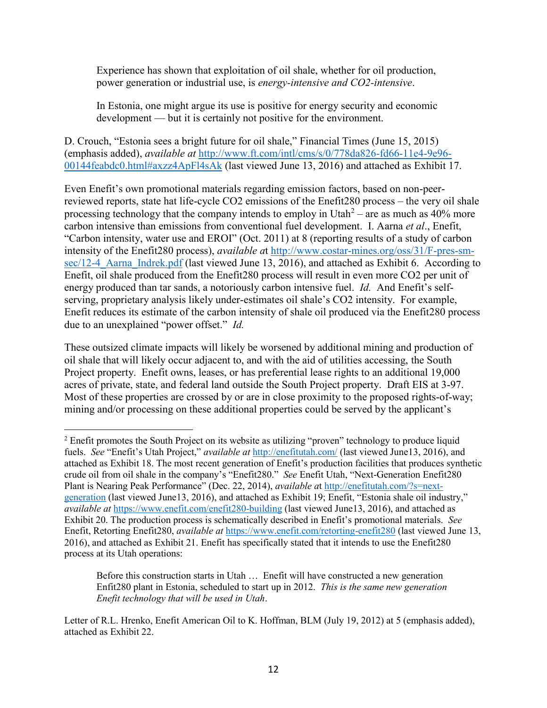Experience has shown that exploitation of oil shale, whether for oil production, power generation or industrial use, is *energy-intensive and CO2-intensive*.

In Estonia, one might argue its use is positive for energy security and economic development — but it is certainly not positive for the environment.

D. Crouch, "Estonia sees a bright future for oil shale," Financial Times (June 15, 2015) (emphasis added), *available at* [http://www.ft.com/intl/cms/s/0/778da826-fd66-11e4-9e96-](http://www.ft.com/intl/cms/s/0/778da826-fd66-11e4-9e96-00144feabdc0.html#axzz4ApFl4sAk) [00144feabdc0.html#axzz4ApFl4sAk](http://www.ft.com/intl/cms/s/0/778da826-fd66-11e4-9e96-00144feabdc0.html#axzz4ApFl4sAk) (last viewed June 13, 2016) and attached as Exhibit 17.

Even Enefit's own promotional materials regarding emission factors, based on non-peerreviewed reports, state hat life-cycle CO2 emissions of the Enefit280 process – the very oil shale processing technology that the company intends to employ in Utah<sup>2</sup> – are as much as  $40\%$  more carbon intensive than emissions from conventional fuel development. I. Aarna *et al*., Enefit, "Carbon intensity, water use and EROI" (Oct. 2011) at 8 (reporting results of a study of carbon intensity of the Enefit280 process), *available a*t [http://www.costar-mines.org/oss/31/F-pres-sm](http://www.costar-mines.org/oss/31/F-pres-sm-sec/12-4_Aarna_Indrek.pdf)sec/12-4 Aarna Indrek.pdf (last viewed June 13, 2016), and attached as Exhibit 6. According to Enefit, oil shale produced from the Enefit280 process will result in even more CO2 per unit of energy produced than tar sands, a notoriously carbon intensive fuel. *Id.* And Enefit's selfserving, proprietary analysis likely under-estimates oil shale's CO2 intensity. For example, Enefit reduces its estimate of the carbon intensity of shale oil produced via the Enefit280 process due to an unexplained "power offset." *Id.*

These outsized climate impacts will likely be worsened by additional mining and production of oil shale that will likely occur adjacent to, and with the aid of utilities accessing, the South Project property. Enefit owns, leases, or has preferential lease rights to an additional 19,000 acres of private, state, and federal land outside the South Project property. Draft EIS at 3-97. Most of these properties are crossed by or are in close proximity to the proposed rights-of-way; mining and/or processing on these additional properties could be served by the applicant's

 $\overline{a}$ 

Before this construction starts in Utah … Enefit will have constructed a new generation Enfit280 plant in Estonia, scheduled to start up in 2012. *This is the same new generation Enefit technology that will be used in Utah*.

<sup>&</sup>lt;sup>2</sup> Enefit promotes the South Project on its website as utilizing "proven" technology to produce liquid fuels. *See* "Enefit's Utah Project," *available at* <http://enefitutah.com/> (last viewed June13, 2016), and attached as Exhibit 18. The most recent generation of Enefit's production facilities that produces synthetic crude oil from oil shale in the company's "Enefit280." *See* Enefit Utah, "Next-Generation Enefit280 Plant is Nearing Peak Performance" (Dec. 22, 2014), *available a*t [http://enefitutah.com/?s=next](http://enefitutah.com/?s=next-generation)[generation](http://enefitutah.com/?s=next-generation) (last viewed June13, 2016), and attached as Exhibit 19; Enefit, "Estonia shale oil industry," *available at* <https://www.enefit.com/enefit280-building> (last viewed June13, 2016), and attached as Exhibit 20. The production process is schematically described in Enefit's promotional materials. *See*  Enefit, Retorting Enefit280, *available at* <https://www.enefit.com/retorting-enefit280> (last viewed June 13, 2016), and attached as Exhibit 21. Enefit has specifically stated that it intends to use the Enefit280 process at its Utah operations:

Letter of R.L. Hrenko, Enefit American Oil to K. Hoffman, BLM (July 19, 2012) at 5 (emphasis added), attached as Exhibit 22.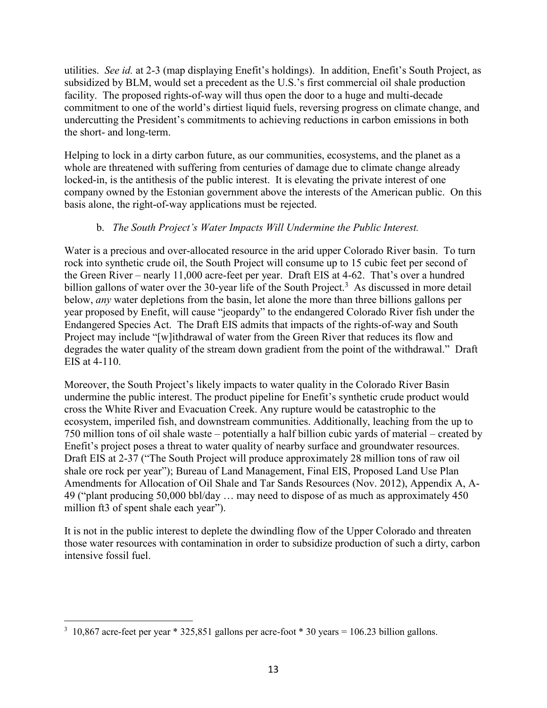utilities. *See id.* at 2-3 (map displaying Enefit's holdings). In addition, Enefit's South Project, as subsidized by BLM, would set a precedent as the U.S.'s first commercial oil shale production facility. The proposed rights-of-way will thus open the door to a huge and multi-decade commitment to one of the world's dirtiest liquid fuels, reversing progress on climate change, and undercutting the President's commitments to achieving reductions in carbon emissions in both the short- and long-term.

Helping to lock in a dirty carbon future, as our communities, ecosystems, and the planet as a whole are threatened with suffering from centuries of damage due to climate change already locked-in, is the antithesis of the public interest. It is elevating the private interest of one company owned by the Estonian government above the interests of the American public. On this basis alone, the right-of-way applications must be rejected.

# b. *The South Project's Water Impacts Will Undermine the Public Interest.*

Water is a precious and over-allocated resource in the arid upper Colorado River basin. To turn rock into synthetic crude oil, the South Project will consume up to 15 cubic feet per second of the Green River – nearly 11,000 acre-feet per year. Draft EIS at 4-62. That's over a hundred billion gallons of water over the 30-year life of the South Project.<sup>3</sup> As discussed in more detail below, *any* water depletions from the basin, let alone the more than three billions gallons per year proposed by Enefit, will cause "jeopardy" to the endangered Colorado River fish under the Endangered Species Act. The Draft EIS admits that impacts of the rights-of-way and South Project may include "[w]ithdrawal of water from the Green River that reduces its flow and degrades the water quality of the stream down gradient from the point of the withdrawal." Draft EIS at 4-110.

Moreover, the South Project's likely impacts to water quality in the Colorado River Basin undermine the public interest. The product pipeline for Enefit's synthetic crude product would cross the White River and Evacuation Creek. Any rupture would be catastrophic to the ecosystem, imperiled fish, and downstream communities. Additionally, leaching from the up to 750 million tons of oil shale waste – potentially a half billion cubic yards of material – created by Enefit's project poses a threat to water quality of nearby surface and groundwater resources. Draft EIS at 2-37 ("The South Project will produce approximately 28 million tons of raw oil shale ore rock per year"); Bureau of Land Management, Final EIS, Proposed Land Use Plan Amendments for Allocation of Oil Shale and Tar Sands Resources (Nov. 2012), Appendix A, A-49 ("plant producing 50,000 bbl/day … may need to dispose of as much as approximately 450 million ft3 of spent shale each year").

It is not in the public interest to deplete the dwindling flow of the Upper Colorado and threaten those water resources with contamination in order to subsidize production of such a dirty, carbon intensive fossil fuel.

 $\overline{a}$  $3\,10,867$  acre-feet per year \* 325,851 gallons per acre-foot \* 30 years = 106.23 billion gallons.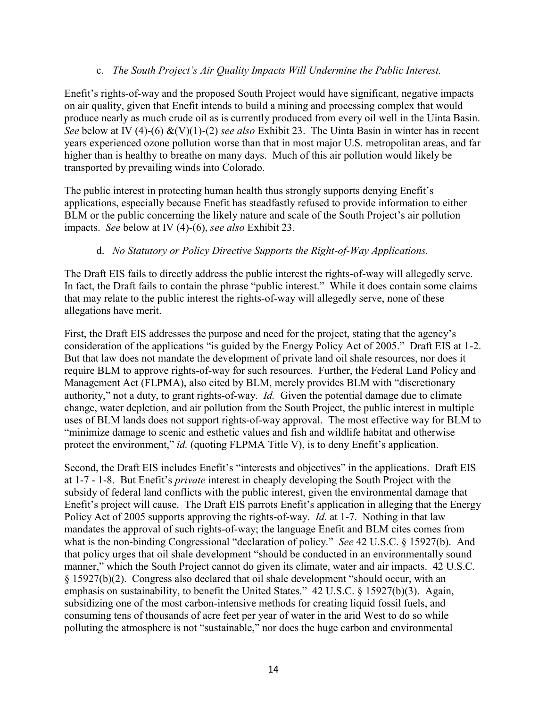### c. *The South Project's Air Quality Impacts Will Undermine the Public Interest.*

Enefit's rights-of-way and the proposed South Project would have significant, negative impacts on air quality, given that Enefit intends to build a mining and processing complex that would produce nearly as much crude oil as is currently produced from every oil well in the Uinta Basin. *See* below at IV (4)-(6) &(V)(1)-(2) *see also* Exhibit 23. The Uinta Basin in winter has in recent years experienced ozone pollution worse than that in most major U.S. metropolitan areas, and far higher than is healthy to breathe on many days. Much of this air pollution would likely be transported by prevailing winds into Colorado.

The public interest in protecting human health thus strongly supports denying Enefit's applications, especially because Enefit has steadfastly refused to provide information to either BLM or the public concerning the likely nature and scale of the South Project's air pollution impacts. *See* below at IV (4)-(6), *see also* Exhibit 23.

## d. *No Statutory or Policy Directive Supports the Right-of-Way Applications.*

The Draft EIS fails to directly address the public interest the rights-of-way will allegedly serve. In fact, the Draft fails to contain the phrase "public interest." While it does contain some claims that may relate to the public interest the rights-of-way will allegedly serve, none of these allegations have merit.

First, the Draft EIS addresses the purpose and need for the project, stating that the agency's consideration of the applications "is guided by the Energy Policy Act of 2005." Draft EIS at 1-2. But that law does not mandate the development of private land oil shale resources, nor does it require BLM to approve rights-of-way for such resources. Further, the Federal Land Policy and Management Act (FLPMA), also cited by BLM, merely provides BLM with "discretionary authority," not a duty, to grant rights-of-way. *Id.* Given the potential damage due to climate change, water depletion, and air pollution from the South Project, the public interest in multiple uses of BLM lands does not support rights-of-way approval. The most effective way for BLM to "minimize damage to scenic and esthetic values and fish and wildlife habitat and otherwise protect the environment," *id.* (quoting FLPMA Title V), is to deny Enefit's application.

Second, the Draft EIS includes Enefit's "interests and objectives" in the applications. Draft EIS at 1-7 - 1-8. But Enefit's *private* interest in cheaply developing the South Project with the subsidy of federal land conflicts with the public interest, given the environmental damage that Enefit's project will cause. The Draft EIS parrots Enefit's application in alleging that the Energy Policy Act of 2005 supports approving the rights-of-way. *Id.* at 1-7. Nothing in that law mandates the approval of such rights-of-way; the language Enefit and BLM cites comes from what is the non-binding Congressional "declaration of policy." *See* 42 U.S.C. § 15927(b). And that policy urges that oil shale development "should be conducted in an environmentally sound manner," which the South Project cannot do given its climate, water and air impacts. 42 U.S.C. § 15927(b)(2). Congress also declared that oil shale development "should occur, with an emphasis on sustainability, to benefit the United States." 42 U.S.C. § 15927(b)(3). Again, subsidizing one of the most carbon-intensive methods for creating liquid fossil fuels, and consuming tens of thousands of acre feet per year of water in the arid West to do so while polluting the atmosphere is not "sustainable," nor does the huge carbon and environmental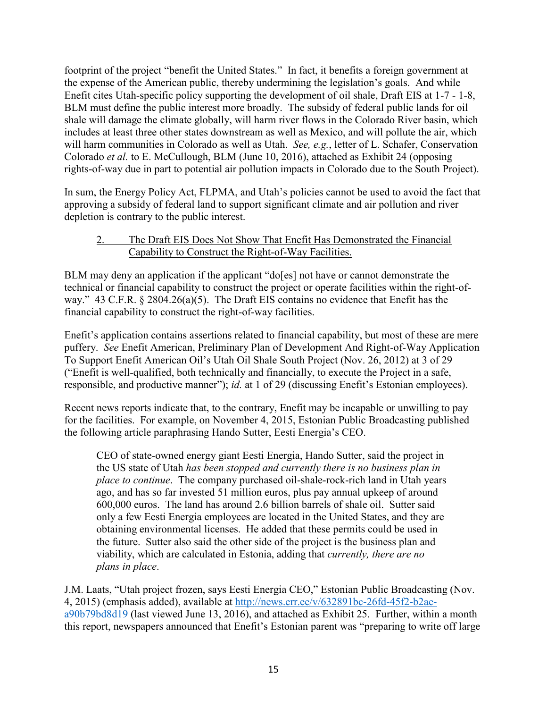footprint of the project "benefit the United States." In fact, it benefits a foreign government at the expense of the American public, thereby undermining the legislation's goals. And while Enefit cites Utah-specific policy supporting the development of oil shale, Draft EIS at 1-7 - 1-8, BLM must define the public interest more broadly. The subsidy of federal public lands for oil shale will damage the climate globally, will harm river flows in the Colorado River basin, which includes at least three other states downstream as well as Mexico, and will pollute the air, which will harm communities in Colorado as well as Utah. *See, e.g.*, letter of L. Schafer, Conservation Colorado *et al.* to E. McCullough, BLM (June 10, 2016), attached as Exhibit 24 (opposing rights-of-way due in part to potential air pollution impacts in Colorado due to the South Project).

In sum, the Energy Policy Act, FLPMA, and Utah's policies cannot be used to avoid the fact that approving a subsidy of federal land to support significant climate and air pollution and river depletion is contrary to the public interest.

# 2. The Draft EIS Does Not Show That Enefit Has Demonstrated the Financial Capability to Construct the Right-of-Way Facilities.

BLM may deny an application if the applicant "do[es] not have or cannot demonstrate the technical or financial capability to construct the project or operate facilities within the right-ofway." 43 C.F.R. § 2804.26(a)(5). The Draft EIS contains no evidence that Enefit has the financial capability to construct the right-of-way facilities.

Enefit's application contains assertions related to financial capability, but most of these are mere puffery. *See* Enefit American, Preliminary Plan of Development And Right-of-Way Application To Support Enefit American Oil's Utah Oil Shale South Project (Nov. 26, 2012) at 3 of 29 ("Enefit is well-qualified, both technically and financially, to execute the Project in a safe, responsible, and productive manner"); *id.* at 1 of 29 (discussing Enefit's Estonian employees).

Recent news reports indicate that, to the contrary, Enefit may be incapable or unwilling to pay for the facilities. For example, on November 4, 2015, Estonian Public Broadcasting published the following article paraphrasing Hando Sutter, Eesti Energia's CEO.

CEO of state-owned energy giant Eesti Energia, Hando Sutter, said the project in the US state of Utah *has been stopped and currently there is no business plan in place to continue*. The company purchased oil-shale-rock-rich land in Utah years ago, and has so far invested 51 million euros, plus pay annual upkeep of around 600,000 euros. The land has around 2.6 billion barrels of shale oil. Sutter said only a few Eesti Energia employees are located in the United States, and they are obtaining environmental licenses. He added that these permits could be used in the future. Sutter also said the other side of the project is the business plan and viability, which are calculated in Estonia, adding that *currently, there are no plans in place*.

J.M. Laats, "Utah project frozen, says Eesti Energia CEO," Estonian Public Broadcasting (Nov. 4, 2015) (emphasis added), available at [http://news.err.ee/v/632891bc-26fd-45f2-b2ae](http://news.err.ee/v/632891bc-26fd-45f2-b2ae-a90b79bd8d19)[a90b79bd8d19](http://news.err.ee/v/632891bc-26fd-45f2-b2ae-a90b79bd8d19) (last viewed June 13, 2016), and attached as Exhibit 25. Further, within a month this report, newspapers announced that Enefit's Estonian parent was "preparing to write off large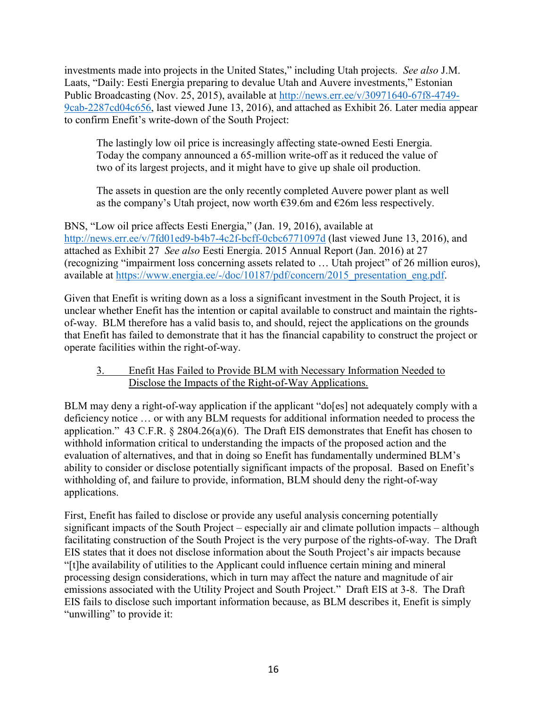investments made into projects in the United States," including Utah projects. *See also* J.M. Laats, "Daily: Eesti Energia preparing to devalue Utah and Auvere investments," Estonian Public Broadcasting (Nov. 25, 2015), available at [http://news.err.ee/v/30971640-67f8-4749-](http://news.err.ee/v/30971640-67f8-4749-9cab-2287cd04c656) [9cab-2287cd04c656,](http://news.err.ee/v/30971640-67f8-4749-9cab-2287cd04c656) last viewed June 13, 2016), and attached as Exhibit 26. Later media appear to confirm Enefit's write-down of the South Project:

The lastingly low oil price is increasingly affecting state-owned Eesti Energia. Today the company announced a 65-million write-off as it reduced the value of two of its largest projects, and it might have to give up shale oil production.

The assets in question are the only recently completed Auvere power plant as well as the company's Utah project, now worth  $\epsilon$ 39.6m and  $\epsilon$ 26m less respectively.

BNS, "Low oil price affects Eesti Energia," (Jan. 19, 2016), available at <http://news.err.ee/v/7fd01ed9-b4b7-4c2f-bcff-0cbc6771097d> (last viewed June 13, 2016), and attached as Exhibit 27 *See also* Eesti Energia. 2015 Annual Report (Jan. 2016) at 27 (recognizing "impairment loss concerning assets related to … Utah project" of 26 million euros), available at [https://www.energia.ee/-/doc/10187/pdf/concern/2015\\_presentation\\_eng.pdf.](https://www.energia.ee/-/doc/10187/pdf/concern/2015_presentation_eng.pdf)

Given that Enefit is writing down as a loss a significant investment in the South Project, it is unclear whether Enefit has the intention or capital available to construct and maintain the rightsof-way. BLM therefore has a valid basis to, and should, reject the applications on the grounds that Enefit has failed to demonstrate that it has the financial capability to construct the project or operate facilities within the right-of-way.

# 3. Enefit Has Failed to Provide BLM with Necessary Information Needed to Disclose the Impacts of the Right-of-Way Applications.

BLM may deny a right-of-way application if the applicant "do[es] not adequately comply with a deficiency notice … or with any BLM requests for additional information needed to process the application." 43 C.F.R. § 2804.26(a)(6). The Draft EIS demonstrates that Enefit has chosen to withhold information critical to understanding the impacts of the proposed action and the evaluation of alternatives, and that in doing so Enefit has fundamentally undermined BLM's ability to consider or disclose potentially significant impacts of the proposal. Based on Enefit's withholding of, and failure to provide, information, BLM should deny the right-of-way applications.

First, Enefit has failed to disclose or provide any useful analysis concerning potentially significant impacts of the South Project – especially air and climate pollution impacts – although facilitating construction of the South Project is the very purpose of the rights-of-way. The Draft EIS states that it does not disclose information about the South Project's air impacts because "[t]he availability of utilities to the Applicant could influence certain mining and mineral processing design considerations, which in turn may affect the nature and magnitude of air emissions associated with the Utility Project and South Project." Draft EIS at 3-8. The Draft EIS fails to disclose such important information because, as BLM describes it, Enefit is simply "unwilling" to provide it: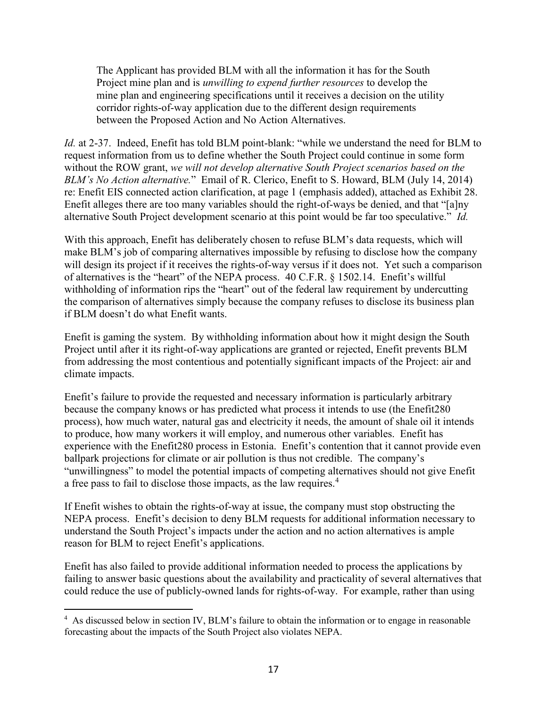The Applicant has provided BLM with all the information it has for the South Project mine plan and is *unwilling to expend further resources* to develop the mine plan and engineering specifications until it receives a decision on the utility corridor rights-of-way application due to the different design requirements between the Proposed Action and No Action Alternatives.

*Id.* at 2-37. Indeed, Enefit has told BLM point-blank: "while we understand the need for BLM to request information from us to define whether the South Project could continue in some form without the ROW grant, *we will not develop alternative South Project scenarios based on the BLM's No Action alternative.*" Email of R. Clerico, Enefit to S. Howard, BLM (July 14, 2014) re: Enefit EIS connected action clarification, at page 1 (emphasis added), attached as Exhibit 28. Enefit alleges there are too many variables should the right-of-ways be denied, and that "[a]ny alternative South Project development scenario at this point would be far too speculative." *Id.*

With this approach, Enefit has deliberately chosen to refuse BLM's data requests, which will make BLM's job of comparing alternatives impossible by refusing to disclose how the company will design its project if it receives the rights-of-way versus if it does not. Yet such a comparison of alternatives is the "heart" of the NEPA process. 40 C.F.R. § 1502.14. Enefit's willful withholding of information rips the "heart" out of the federal law requirement by undercutting the comparison of alternatives simply because the company refuses to disclose its business plan if BLM doesn't do what Enefit wants.

Enefit is gaming the system. By withholding information about how it might design the South Project until after it its right-of-way applications are granted or rejected, Enefit prevents BLM from addressing the most contentious and potentially significant impacts of the Project: air and climate impacts.

Enefit's failure to provide the requested and necessary information is particularly arbitrary because the company knows or has predicted what process it intends to use (the Enefit280 process), how much water, natural gas and electricity it needs, the amount of shale oil it intends to produce, how many workers it will employ, and numerous other variables. Enefit has experience with the Enefit280 process in Estonia. Enefit's contention that it cannot provide even ballpark projections for climate or air pollution is thus not credible. The company's "unwillingness" to model the potential impacts of competing alternatives should not give Enefit a free pass to fail to disclose those impacts, as the law requires.<sup>4</sup>

If Enefit wishes to obtain the rights-of-way at issue, the company must stop obstructing the NEPA process. Enefit's decision to deny BLM requests for additional information necessary to understand the South Project's impacts under the action and no action alternatives is ample reason for BLM to reject Enefit's applications.

Enefit has also failed to provide additional information needed to process the applications by failing to answer basic questions about the availability and practicality of several alternatives that could reduce the use of publicly-owned lands for rights-of-way. For example, rather than using

 $\overline{a}$ 

<sup>4</sup> As discussed below in section IV, BLM's failure to obtain the information or to engage in reasonable forecasting about the impacts of the South Project also violates NEPA.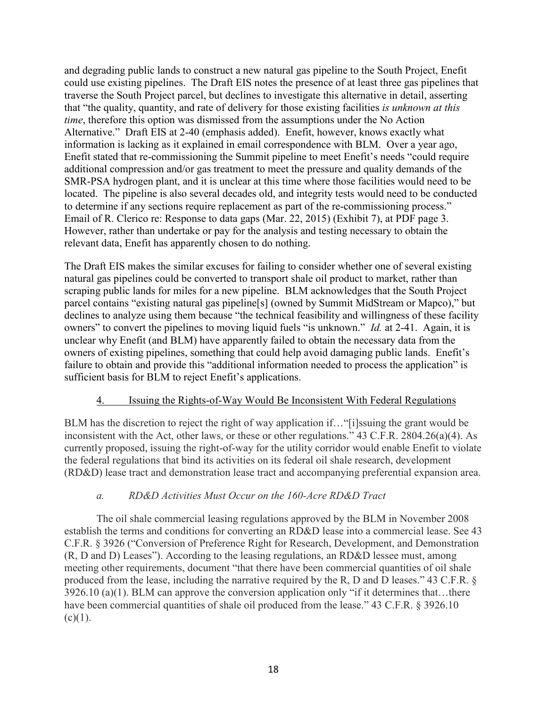and degrading public lands to construct a new natural gas pipeline to the South Project, Enefit could use existing pipelines. The Draft EIS notes the presence of at least three gas pipelines that traverse the South Project parcel, but declines to investigate this alternative in detail, asserting that "the quality, quantity, and rate of delivery for those existing facilities *is unknown at this time*, therefore this option was dismissed from the assumptions under the No Action Alternative." Draft EIS at 2-40 (emphasis added). Enefit, however, knows exactly what information is lacking as it explained in email correspondence with BLM. Over a year ago, Enefit stated that re-commissioning the Summit pipeline to meet Enefit's needs "could require additional compression and/or gas treatment to meet the pressure and quality demands of the SMR-PSA hydrogen plant, and it is unclear at this time where those facilities would need to be located. The pipeline is also several decades old, and integrity tests would need to be conducted to determine if any sections require replacement as part of the re-commissioning process." Email of R. Clerico re: Response to data gaps (Mar. 22, 2015) (Exhibit 7), at PDF page 3. However, rather than undertake or pay for the analysis and testing necessary to obtain the relevant data, Enefit has apparently chosen to do nothing.

The Draft EIS makes the similar excuses for failing to consider whether one of several existing natural gas pipelines could be converted to transport shale oil product to market, rather than scraping public lands for miles for a new pipeline. BLM acknowledges that the South Project parcel contains "existing natural gas pipeline[s] (owned by Summit MidStream or Mapco)," but declines to analyze using them because "the technical feasibility and willingness of these facility owners" to convert the pipelines to moving liquid fuels "is unknown." *Id.* at 2-41. Again, it is unclear why Enefit (and BLM) have apparently failed to obtain the necessary data from the owners of existing pipelines, something that could help avoid damaging public lands. Enefit's failure to obtain and provide this "additional information needed to process the application" is sufficient basis for BLM to reject Enefit's applications.

## 4. Issuing the Rights-of-Way Would Be Inconsistent With Federal Regulations

BLM has the discretion to reject the right of way application if…"[i]ssuing the grant would be inconsistent with the Act, other laws, or these or other regulations." 43 C.F.R. 2804.26(a)(4). As currently proposed, issuing the right-of-way for the utility corridor would enable Enefit to violate the federal regulations that bind its activities on its federal oil shale research, development (RD&D) lease tract and demonstration lease tract and accompanying preferential expansion area.

# *a. RD&D Activities Must Occur on the 160-Acre RD&D Tract*

The oil shale commercial leasing regulations approved by the BLM in November 2008 establish the terms and conditions for converting an RD&D lease into a commercial lease. See 43 C.F.R. § 3926 ("Conversion of Preference Right for Research, Development, and Demonstration (R, D and D) Leases"). According to the leasing regulations, an RD&D lessee must, among meeting other requirements, document "that there have been commercial quantities of oil shale produced from the lease, including the narrative required by the R, D and D leases." 43 C.F.R. § 3926.10 (a)(1). BLM can approve the conversion application only "if it determines that…there have been commercial quantities of shale oil produced from the lease." 43 C.F.R. § 3926.10  $(c)(1)$ .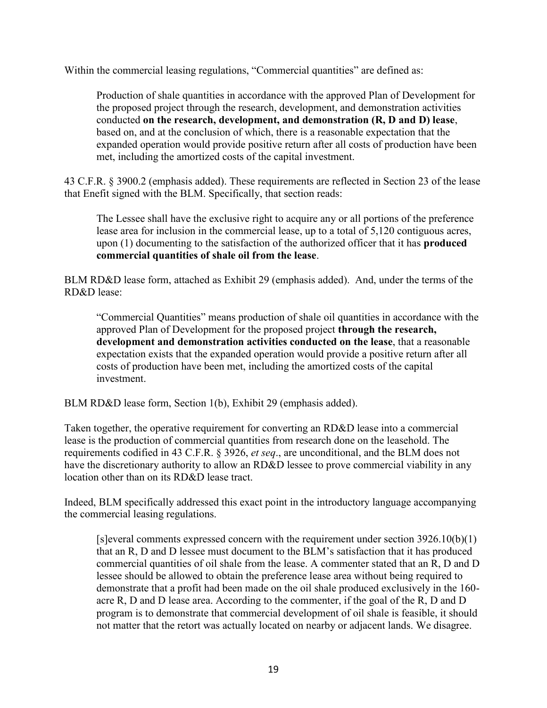Within the commercial leasing regulations, "Commercial quantities" are defined as:

Production of shale quantities in accordance with the approved Plan of Development for the proposed project through the research, development, and demonstration activities conducted **on the research, development, and demonstration (R, D and D) lease**, based on, and at the conclusion of which, there is a reasonable expectation that the expanded operation would provide positive return after all costs of production have been met, including the amortized costs of the capital investment.

43 C.F.R. § 3900.2 (emphasis added). These requirements are reflected in Section 23 of the lease that Enefit signed with the BLM. Specifically, that section reads:

The Lessee shall have the exclusive right to acquire any or all portions of the preference lease area for inclusion in the commercial lease, up to a total of 5,120 contiguous acres, upon (1) documenting to the satisfaction of the authorized officer that it has **produced commercial quantities of shale oil from the lease**.

BLM RD&D lease form, attached as Exhibit 29 (emphasis added). And, under the terms of the RD&D lease:

"Commercial Quantities" means production of shale oil quantities in accordance with the approved Plan of Development for the proposed project **through the research, development and demonstration activities conducted on the lease**, that a reasonable expectation exists that the expanded operation would provide a positive return after all costs of production have been met, including the amortized costs of the capital investment.

BLM RD&D lease form, Section 1(b), Exhibit 29 (emphasis added).

Taken together, the operative requirement for converting an RD&D lease into a commercial lease is the production of commercial quantities from research done on the leasehold. The requirements codified in 43 C.F.R. § 3926, *et seq*., are unconditional, and the BLM does not have the discretionary authority to allow an RD&D lessee to prove commercial viability in any location other than on its RD&D lease tract.

Indeed, BLM specifically addressed this exact point in the introductory language accompanying the commercial leasing regulations.

[s]everal comments expressed concern with the requirement under section 3926.10(b)(1) that an R, D and D lessee must document to the BLM's satisfaction that it has produced commercial quantities of oil shale from the lease. A commenter stated that an R, D and D lessee should be allowed to obtain the preference lease area without being required to demonstrate that a profit had been made on the oil shale produced exclusively in the 160 acre R, D and D lease area. According to the commenter, if the goal of the R, D and D program is to demonstrate that commercial development of oil shale is feasible, it should not matter that the retort was actually located on nearby or adjacent lands. We disagree.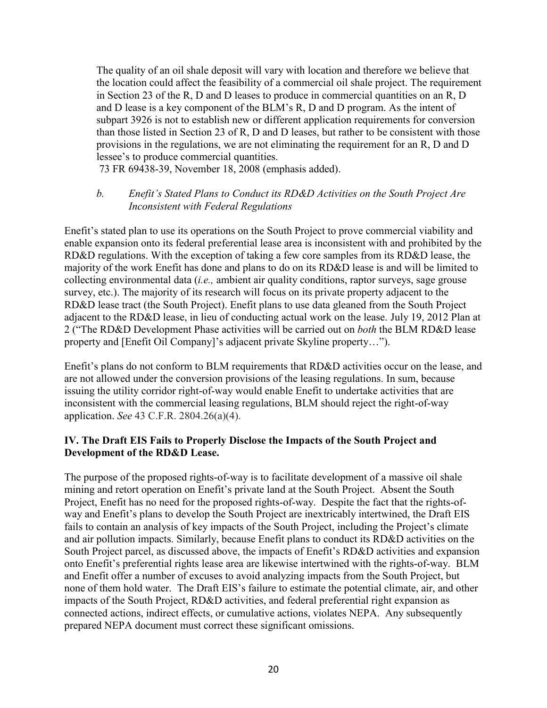The quality of an oil shale deposit will vary with location and therefore we believe that the location could affect the feasibility of a commercial oil shale project. The requirement in Section 23 of the R, D and D leases to produce in commercial quantities on an R, D and D lease is a key component of the BLM's R, D and D program. As the intent of subpart 3926 is not to establish new or different application requirements for conversion than those listed in Section 23 of R, D and D leases, but rather to be consistent with those provisions in the regulations, we are not eliminating the requirement for an R, D and D lessee's to produce commercial quantities.

73 FR 69438-39, November 18, 2008 (emphasis added).

## *b. Enefit's Stated Plans to Conduct its RD&D Activities on the South Project Are Inconsistent with Federal Regulations*

Enefit's stated plan to use its operations on the South Project to prove commercial viability and enable expansion onto its federal preferential lease area is inconsistent with and prohibited by the RD&D regulations. With the exception of taking a few core samples from its RD&D lease, the majority of the work Enefit has done and plans to do on its RD&D lease is and will be limited to collecting environmental data (*i.e.,* ambient air quality conditions, raptor surveys, sage grouse survey, etc.). The majority of its research will focus on its private property adjacent to the RD&D lease tract (the South Project). Enefit plans to use data gleaned from the South Project adjacent to the RD&D lease, in lieu of conducting actual work on the lease. July 19, 2012 Plan at 2 ("The RD&D Development Phase activities will be carried out on *both* the BLM RD&D lease property and [Enefit Oil Company]'s adjacent private Skyline property…").

Enefit's plans do not conform to BLM requirements that RD&D activities occur on the lease, and are not allowed under the conversion provisions of the leasing regulations. In sum, because issuing the utility corridor right-of-way would enable Enefit to undertake activities that are inconsistent with the commercial leasing regulations, BLM should reject the right-of-way application. *See* 43 C.F.R. 2804.26(a)(4).

## **IV. The Draft EIS Fails to Properly Disclose the Impacts of the South Project and Development of the RD&D Lease.**

The purpose of the proposed rights-of-way is to facilitate development of a massive oil shale mining and retort operation on Enefit's private land at the South Project. Absent the South Project, Enefit has no need for the proposed rights-of-way. Despite the fact that the rights-ofway and Enefit's plans to develop the South Project are inextricably intertwined, the Draft EIS fails to contain an analysis of key impacts of the South Project, including the Project's climate and air pollution impacts. Similarly, because Enefit plans to conduct its RD&D activities on the South Project parcel, as discussed above, the impacts of Enefit's RD&D activities and expansion onto Enefit's preferential rights lease area are likewise intertwined with the rights-of-way. BLM and Enefit offer a number of excuses to avoid analyzing impacts from the South Project, but none of them hold water. The Draft EIS's failure to estimate the potential climate, air, and other impacts of the South Project, RD&D activities, and federal preferential right expansion as connected actions, indirect effects, or cumulative actions, violates NEPA. Any subsequently prepared NEPA document must correct these significant omissions.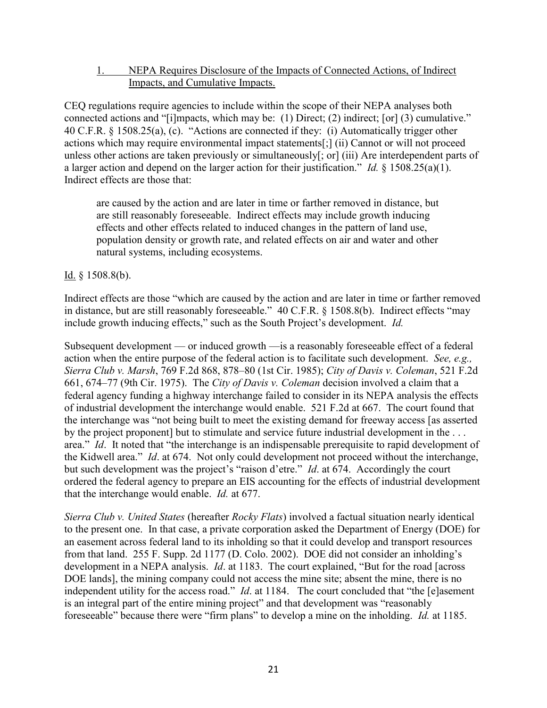### 1. NEPA Requires Disclosure of the Impacts of Connected Actions, of Indirect Impacts, and Cumulative Impacts.

CEQ regulations require agencies to include within the scope of their NEPA analyses both connected actions and "[i]mpacts, which may be: (1) Direct; (2) indirect; [or] (3) cumulative." 40 C.F.R. § 1508.25(a), (c). "Actions are connected if they: (i) Automatically trigger other actions which may require environmental impact statements[;] (ii) Cannot or will not proceed unless other actions are taken previously or simultaneously[; or] (iii) Are interdependent parts of a larger action and depend on the larger action for their justification." *Id.* § 1508.25(a)(1). Indirect effects are those that:

are caused by the action and are later in time or farther removed in distance, but are still reasonably foreseeable. Indirect effects may include growth inducing effects and other effects related to induced changes in the pattern of land use, population density or growth rate, and related effects on air and water and other natural systems, including ecosystems.

Id.  $§$  1508.8(b).

Indirect effects are those "which are caused by the action and are later in time or farther removed in distance, but are still reasonably foreseeable." 40 C.F.R. § 1508.8(b). Indirect effects "may include growth inducing effects," such as the South Project's development. *Id.*

Subsequent development — or induced growth —is a reasonably foreseeable effect of a federal action when the entire purpose of the federal action is to facilitate such development. *See, e.g., Sierra Club v. Marsh*, 769 F.2d 868, 878–80 (1st Cir. 1985); *City of Davis v. Coleman*, 521 F.2d 661, 674–77 (9th Cir. 1975). The *City of Davis v. Coleman* decision involved a claim that a federal agency funding a highway interchange failed to consider in its NEPA analysis the effects of industrial development the interchange would enable. 521 F.2d at 667. The court found that the interchange was "not being built to meet the existing demand for freeway access [as asserted by the project proponent] but to stimulate and service future industrial development in the ... area." *Id*. It noted that "the interchange is an indispensable prerequisite to rapid development of the Kidwell area." *Id*. at 674. Not only could development not proceed without the interchange, but such development was the project's "raison d'etre." *Id*. at 674. Accordingly the court ordered the federal agency to prepare an EIS accounting for the effects of industrial development that the interchange would enable. *Id.* at 677.

*Sierra Club v. United States* (hereafter *Rocky Flats*) involved a factual situation nearly identical to the present one. In that case, a private corporation asked the Department of Energy (DOE) for an easement across federal land to its inholding so that it could develop and transport resources from that land. 255 F. Supp. 2d 1177 (D. Colo. 2002). DOE did not consider an inholding's development in a NEPA analysis. *Id*. at 1183. The court explained, "But for the road [across DOE lands], the mining company could not access the mine site; absent the mine, there is no independent utility for the access road." *Id*. at 1184. The court concluded that "the [e]asement is an integral part of the entire mining project" and that development was "reasonably foreseeable" because there were "firm plans" to develop a mine on the inholding. *Id.* at 1185.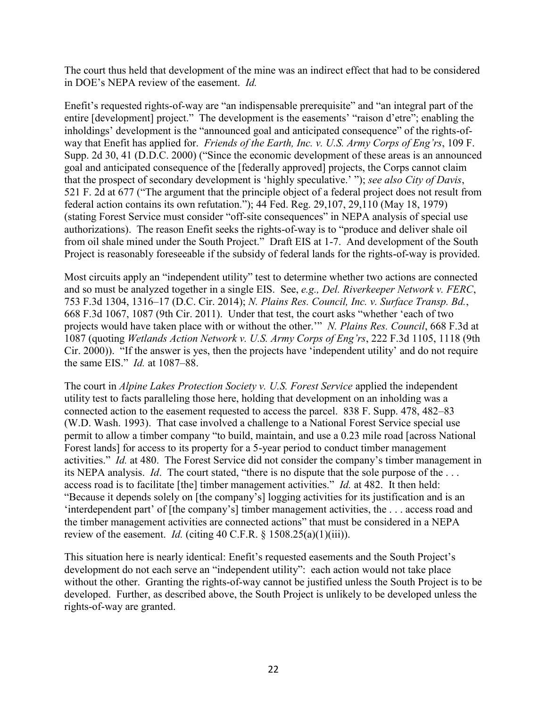The court thus held that development of the mine was an indirect effect that had to be considered in DOE's NEPA review of the easement. *Id.*

Enefit's requested rights-of-way are "an indispensable prerequisite" and "an integral part of the entire [development] project." The development is the easements' "raison d'etre"; enabling the inholdings' development is the "announced goal and anticipated consequence" of the rights-ofway that Enefit has applied for. *Friends of the Earth, Inc. v. U.S. Army Corps of Eng'rs*, 109 F. Supp. 2d 30, 41 (D.D.C. 2000) ("Since the economic development of these areas is an announced goal and anticipated consequence of the [federally approved] projects, the Corps cannot claim that the prospect of secondary development is 'highly speculative.' "); *see also City of Davis*, 521 F. 2d at 677 ("The argument that the principle object of a federal project does not result from federal action contains its own refutation."); 44 Fed. Reg. 29,107, 29,110 (May 18, 1979) (stating Forest Service must consider "off-site consequences" in NEPA analysis of special use authorizations). The reason Enefit seeks the rights-of-way is to "produce and deliver shale oil from oil shale mined under the South Project." Draft EIS at 1-7. And development of the South Project is reasonably foreseeable if the subsidy of federal lands for the rights-of-way is provided.

Most circuits apply an "independent utility" test to determine whether two actions are connected and so must be analyzed together in a single EIS. See, *e.g., Del. Riverkeeper Network v. FERC*, 753 F.3d 1304, 1316–17 (D.C. Cir. 2014); *N. Plains Res. Council, Inc. v. Surface Transp. Bd.*, 668 F.3d 1067, 1087 (9th Cir. 2011). Under that test, the court asks "whether 'each of two projects would have taken place with or without the other.'" *N. Plains Res. Council*, 668 F.3d at 1087 (quoting *Wetlands Action Network v. U.S. Army Corps of Eng'rs*, 222 F.3d 1105, 1118 (9th Cir. 2000)). "If the answer is yes, then the projects have 'independent utility' and do not require the same EIS." *Id.* at 1087–88.

The court in *Alpine Lakes Protection Society v. U.S. Forest Service* applied the independent utility test to facts paralleling those here, holding that development on an inholding was a connected action to the easement requested to access the parcel. 838 F. Supp. 478, 482–83 (W.D. Wash. 1993). That case involved a challenge to a National Forest Service special use permit to allow a timber company "to build, maintain, and use a 0.23 mile road [across National Forest lands] for access to its property for a 5-year period to conduct timber management activities." *Id.* at 480. The Forest Service did not consider the company's timber management in its NEPA analysis. *Id*. The court stated, "there is no dispute that the sole purpose of the . . . access road is to facilitate [the] timber management activities." *Id.* at 482. It then held: "Because it depends solely on [the company's] logging activities for its justification and is an 'interdependent part' of [the company's] timber management activities, the . . . access road and the timber management activities are connected actions" that must be considered in a NEPA review of the easement. *Id.* (citing 40 C.F.R.  $\S$  1508.25(a)(1)(iii)).

This situation here is nearly identical: Enefit's requested easements and the South Project's development do not each serve an "independent utility": each action would not take place without the other. Granting the rights-of-way cannot be justified unless the South Project is to be developed. Further, as described above, the South Project is unlikely to be developed unless the rights-of-way are granted.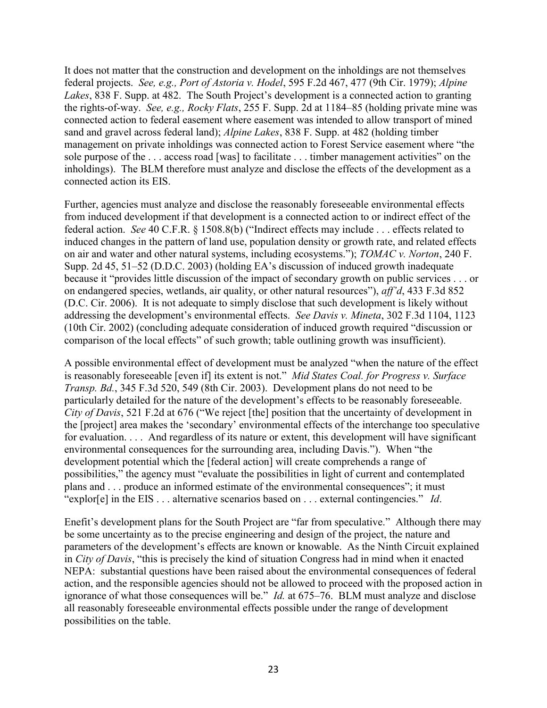It does not matter that the construction and development on the inholdings are not themselves federal projects. *See, e.g., Port of Astoria v. Hodel*, 595 F.2d 467, 477 (9th Cir. 1979); *Alpine Lakes*, 838 F. Supp. at 482. The South Project's development is a connected action to granting the rights-of-way. *See, e.g., Rocky Flats*, 255 F. Supp. 2d at 1184–85 (holding private mine was connected action to federal easement where easement was intended to allow transport of mined sand and gravel across federal land); *Alpine Lakes*, 838 F. Supp. at 482 (holding timber management on private inholdings was connected action to Forest Service easement where "the sole purpose of the . . . access road [was] to facilitate . . . timber management activities" on the inholdings). The BLM therefore must analyze and disclose the effects of the development as a connected action its EIS.

Further, agencies must analyze and disclose the reasonably foreseeable environmental effects from induced development if that development is a connected action to or indirect effect of the federal action. *See* 40 C.F.R. § 1508.8(b) ("Indirect effects may include . . . effects related to induced changes in the pattern of land use, population density or growth rate, and related effects on air and water and other natural systems, including ecosystems."); *TOMAC v. Norton*, 240 F. Supp. 2d 45, 51–52 (D.D.C. 2003) (holding EA's discussion of induced growth inadequate because it "provides little discussion of the impact of secondary growth on public services . . . or on endangered species, wetlands, air quality, or other natural resources"), *aff'd*, 433 F.3d 852 (D.C. Cir. 2006). It is not adequate to simply disclose that such development is likely without addressing the development's environmental effects. *See Davis v. Mineta*, 302 F.3d 1104, 1123 (10th Cir. 2002) (concluding adequate consideration of induced growth required "discussion or comparison of the local effects" of such growth; table outlining growth was insufficient).

A possible environmental effect of development must be analyzed "when the nature of the effect is reasonably foreseeable [even if] its extent is not." *Mid States Coal. for Progress v. Surface Transp. Bd.*, 345 F.3d 520, 549 (8th Cir. 2003). Development plans do not need to be particularly detailed for the nature of the development's effects to be reasonably foreseeable. *City of Davis*, 521 F.2d at 676 ("We reject [the] position that the uncertainty of development in the [project] area makes the 'secondary' environmental effects of the interchange too speculative for evaluation. . . . And regardless of its nature or extent, this development will have significant environmental consequences for the surrounding area, including Davis."). When "the development potential which the [federal action] will create comprehends a range of possibilities," the agency must "evaluate the possibilities in light of current and contemplated plans and . . . produce an informed estimate of the environmental consequences"; it must "explor[e] in the EIS . . . alternative scenarios based on . . . external contingencies." *Id*.

Enefit's development plans for the South Project are "far from speculative." Although there may be some uncertainty as to the precise engineering and design of the project, the nature and parameters of the development's effects are known or knowable. As the Ninth Circuit explained in *City of Davis*, "this is precisely the kind of situation Congress had in mind when it enacted NEPA: substantial questions have been raised about the environmental consequences of federal action, and the responsible agencies should not be allowed to proceed with the proposed action in ignorance of what those consequences will be." *Id.* at 675–76. BLM must analyze and disclose all reasonably foreseeable environmental effects possible under the range of development possibilities on the table.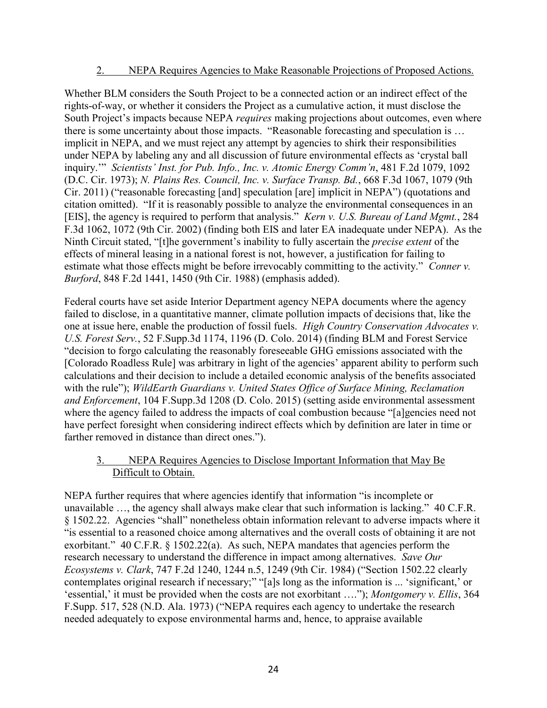#### 2. NEPA Requires Agencies to Make Reasonable Projections of Proposed Actions.

Whether BLM considers the South Project to be a connected action or an indirect effect of the rights-of-way, or whether it considers the Project as a cumulative action, it must disclose the South Project's impacts because NEPA *requires* making projections about outcomes, even where there is some uncertainty about those impacts. "Reasonable forecasting and speculation is … implicit in NEPA, and we must reject any attempt by agencies to shirk their responsibilities under NEPA by labeling any and all discussion of future environmental effects as 'crystal ball inquiry.'" *Scientists' Inst. for Pub. Info., Inc. v. Atomic Energy Comm'n*, 481 F.2d 1079, 1092 (D.C. Cir. 1973); *N. Plains Res. Council, Inc. v. Surface Transp. Bd.*, 668 F.3d 1067, 1079 (9th Cir. 2011) ("reasonable forecasting [and] speculation [are] implicit in NEPA") (quotations and citation omitted). "If it is reasonably possible to analyze the environmental consequences in an [EIS], the agency is required to perform that analysis." *Kern v. U.S. Bureau of Land Mgmt.*, 284 F.3d 1062, 1072 (9th Cir. 2002) (finding both EIS and later EA inadequate under NEPA). As the Ninth Circuit stated, "[t]he government's inability to fully ascertain the *precise extent* of the effects of mineral leasing in a national forest is not, however, a justification for failing to estimate what those effects might be before irrevocably committing to the activity." *Conner v. Burford*, 848 F.2d 1441, 1450 (9th Cir. 1988) (emphasis added).

Federal courts have set aside Interior Department agency NEPA documents where the agency failed to disclose, in a quantitative manner, climate pollution impacts of decisions that, like the one at issue here, enable the production of fossil fuels. *High Country Conservation Advocates v. U.S. Forest Serv.*, 52 F.Supp.3d 1174, 1196 (D. Colo. 2014) (finding BLM and Forest Service "decision to forgo calculating the reasonably foreseeable GHG emissions associated with the [Colorado Roadless Rule] was arbitrary in light of the agencies' apparent ability to perform such calculations and their decision to include a detailed economic analysis of the benefits associated with the rule"); *WildEarth Guardians v. United States Office of Surface Mining, Reclamation and Enforcement*, 104 F.Supp.3d 1208 (D. Colo. 2015) (setting aside environmental assessment where the agency failed to address the impacts of coal combustion because "[a]gencies need not have perfect foresight when considering indirect effects which by definition are later in time or farther removed in distance than direct ones.").

## 3. NEPA Requires Agencies to Disclose Important Information that May Be Difficult to Obtain.

NEPA further requires that where agencies identify that information "is incomplete or unavailable …, the agency shall always make clear that such information is lacking." 40 C.F.R. § 1502.22. Agencies "shall" nonetheless obtain information relevant to adverse impacts where it "is essential to a reasoned choice among alternatives and the overall costs of obtaining it are not exorbitant." 40 C.F.R. § 1502.22(a). As such, NEPA mandates that agencies perform the research necessary to understand the difference in impact among alternatives. *Save Our Ecosystems v. Clark*, 747 F.2d 1240, 1244 n.5, 1249 (9th Cir. 1984) ("Section 1502.22 clearly contemplates original research if necessary;" "[a]s long as the information is ... 'significant,' or 'essential,' it must be provided when the costs are not exorbitant …."); *Montgomery v. Ellis*, 364 F.Supp. 517, 528 (N.D. Ala. 1973) ("NEPA requires each agency to undertake the research needed adequately to expose environmental harms and, hence, to appraise available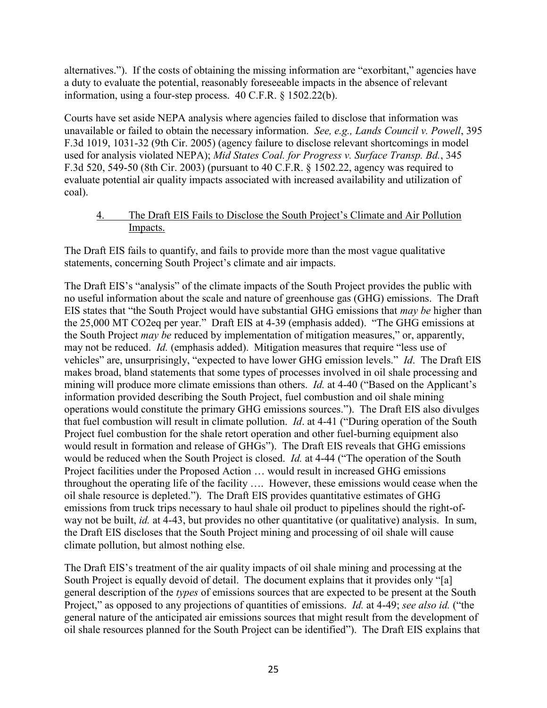alternatives."). If the costs of obtaining the missing information are "exorbitant," agencies have a duty to evaluate the potential, reasonably foreseeable impacts in the absence of relevant information, using a four-step process. 40 C.F.R. § 1502.22(b).

Courts have set aside NEPA analysis where agencies failed to disclose that information was unavailable or failed to obtain the necessary information. *See, e.g., Lands Council v. Powell*, 395 F.3d 1019, 1031-32 (9th Cir. 2005) (agency failure to disclose relevant shortcomings in model used for analysis violated NEPA); *Mid States Coal. for Progress v. Surface Transp. Bd.*, 345 F.3d 520, 549-50 (8th Cir. 2003) (pursuant to 40 C.F.R. § 1502.22, agency was required to evaluate potential air quality impacts associated with increased availability and utilization of coal).

## 4. The Draft EIS Fails to Disclose the South Project's Climate and Air Pollution Impacts.

The Draft EIS fails to quantify, and fails to provide more than the most vague qualitative statements, concerning South Project's climate and air impacts.

The Draft EIS's "analysis" of the climate impacts of the South Project provides the public with no useful information about the scale and nature of greenhouse gas (GHG) emissions. The Draft EIS states that "the South Project would have substantial GHG emissions that *may be* higher than the 25,000 MT CO2eq per year." Draft EIS at 4-39 (emphasis added). "The GHG emissions at the South Project *may be* reduced by implementation of mitigation measures," or, apparently, may not be reduced. *Id.* (emphasis added). Mitigation measures that require "less use of vehicles" are, unsurprisingly, "expected to have lower GHG emission levels." *Id*. The Draft EIS makes broad, bland statements that some types of processes involved in oil shale processing and mining will produce more climate emissions than others. *Id.* at 4-40 ("Based on the Applicant's information provided describing the South Project, fuel combustion and oil shale mining operations would constitute the primary GHG emissions sources."). The Draft EIS also divulges that fuel combustion will result in climate pollution. *Id*. at 4-41 ("During operation of the South Project fuel combustion for the shale retort operation and other fuel-burning equipment also would result in formation and release of GHGs"). The Draft EIS reveals that GHG emissions would be reduced when the South Project is closed. *Id.* at 4-44 ("The operation of the South Project facilities under the Proposed Action … would result in increased GHG emissions throughout the operating life of the facility …. However, these emissions would cease when the oil shale resource is depleted."). The Draft EIS provides quantitative estimates of GHG emissions from truck trips necessary to haul shale oil product to pipelines should the right-ofway not be built, *id.* at 4-43, but provides no other quantitative (or qualitative) analysis. In sum, the Draft EIS discloses that the South Project mining and processing of oil shale will cause climate pollution, but almost nothing else.

The Draft EIS's treatment of the air quality impacts of oil shale mining and processing at the South Project is equally devoid of detail. The document explains that it provides only "[a] general description of the *types* of emissions sources that are expected to be present at the South Project," as opposed to any projections of quantities of emissions. *Id.* at 4-49; *see also id.* ("the general nature of the anticipated air emissions sources that might result from the development of oil shale resources planned for the South Project can be identified"). The Draft EIS explains that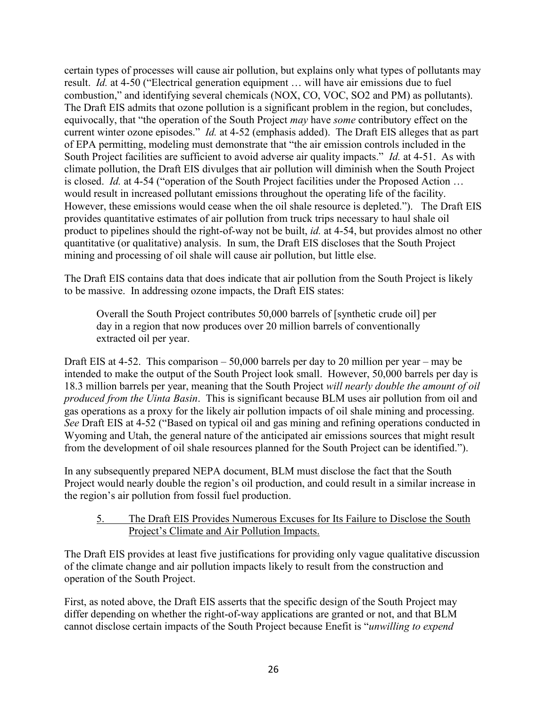certain types of processes will cause air pollution, but explains only what types of pollutants may result. *Id.* at 4-50 ("Electrical generation equipment … will have air emissions due to fuel combustion," and identifying several chemicals (NOX, CO, VOC, SO2 and PM) as pollutants). The Draft EIS admits that ozone pollution is a significant problem in the region, but concludes, equivocally, that "the operation of the South Project *may* have *some* contributory effect on the current winter ozone episodes." *Id.* at 4-52 (emphasis added). The Draft EIS alleges that as part of EPA permitting, modeling must demonstrate that "the air emission controls included in the South Project facilities are sufficient to avoid adverse air quality impacts." *Id.* at 4-51. As with climate pollution, the Draft EIS divulges that air pollution will diminish when the South Project is closed. *Id.* at 4-54 ("operation of the South Project facilities under the Proposed Action … would result in increased pollutant emissions throughout the operating life of the facility. However, these emissions would cease when the oil shale resource is depleted."). The Draft EIS provides quantitative estimates of air pollution from truck trips necessary to haul shale oil product to pipelines should the right-of-way not be built, *id.* at 4-54, but provides almost no other quantitative (or qualitative) analysis. In sum, the Draft EIS discloses that the South Project mining and processing of oil shale will cause air pollution, but little else.

The Draft EIS contains data that does indicate that air pollution from the South Project is likely to be massive. In addressing ozone impacts, the Draft EIS states:

Overall the South Project contributes 50,000 barrels of [synthetic crude oil] per day in a region that now produces over 20 million barrels of conventionally extracted oil per year.

Draft EIS at 4-52. This comparison  $-50,000$  barrels per day to 20 million per year – may be intended to make the output of the South Project look small. However, 50,000 barrels per day is 18.3 million barrels per year, meaning that the South Project *will nearly double the amount of oil produced from the Uinta Basin*. This is significant because BLM uses air pollution from oil and gas operations as a proxy for the likely air pollution impacts of oil shale mining and processing. *See* Draft EIS at 4-52 ("Based on typical oil and gas mining and refining operations conducted in Wyoming and Utah, the general nature of the anticipated air emissions sources that might result from the development of oil shale resources planned for the South Project can be identified.").

In any subsequently prepared NEPA document, BLM must disclose the fact that the South Project would nearly double the region's oil production, and could result in a similar increase in the region's air pollution from fossil fuel production.

## 5. The Draft EIS Provides Numerous Excuses for Its Failure to Disclose the South Project's Climate and Air Pollution Impacts.

The Draft EIS provides at least five justifications for providing only vague qualitative discussion of the climate change and air pollution impacts likely to result from the construction and operation of the South Project.

First, as noted above, the Draft EIS asserts that the specific design of the South Project may differ depending on whether the right-of-way applications are granted or not, and that BLM cannot disclose certain impacts of the South Project because Enefit is "*unwilling to expend*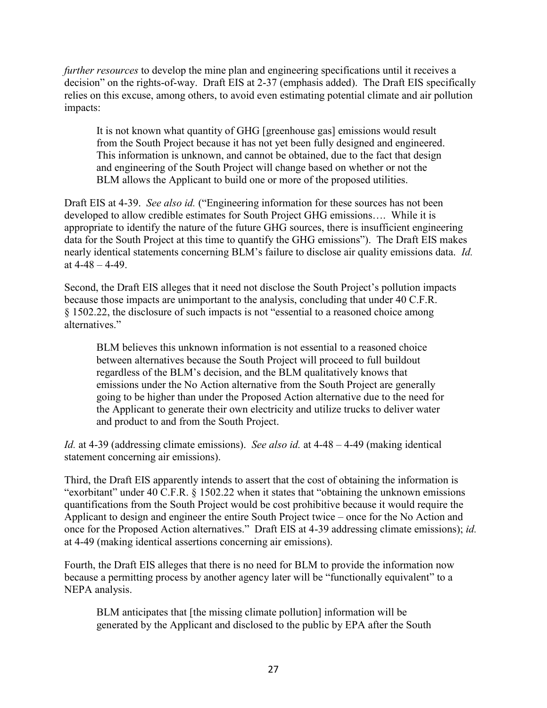*further resources* to develop the mine plan and engineering specifications until it receives a decision" on the rights-of-way. Draft EIS at 2-37 (emphasis added). The Draft EIS specifically relies on this excuse, among others, to avoid even estimating potential climate and air pollution impacts:

It is not known what quantity of GHG [greenhouse gas] emissions would result from the South Project because it has not yet been fully designed and engineered. This information is unknown, and cannot be obtained, due to the fact that design and engineering of the South Project will change based on whether or not the BLM allows the Applicant to build one or more of the proposed utilities.

Draft EIS at 4-39. *See also id.* ("Engineering information for these sources has not been developed to allow credible estimates for South Project GHG emissions…. While it is appropriate to identify the nature of the future GHG sources, there is insufficient engineering data for the South Project at this time to quantify the GHG emissions"). The Draft EIS makes nearly identical statements concerning BLM's failure to disclose air quality emissions data. *Id.* at  $4 - 48 - 4 - 49$ .

Second, the Draft EIS alleges that it need not disclose the South Project's pollution impacts because those impacts are unimportant to the analysis, concluding that under 40 C.F.R. § 1502.22, the disclosure of such impacts is not "essential to a reasoned choice among alternatives."

BLM believes this unknown information is not essential to a reasoned choice between alternatives because the South Project will proceed to full buildout regardless of the BLM's decision, and the BLM qualitatively knows that emissions under the No Action alternative from the South Project are generally going to be higher than under the Proposed Action alternative due to the need for the Applicant to generate their own electricity and utilize trucks to deliver water and product to and from the South Project.

*Id.* at 4-39 (addressing climate emissions). *See also id.* at 4-48 – 4-49 (making identical statement concerning air emissions).

Third, the Draft EIS apparently intends to assert that the cost of obtaining the information is "exorbitant" under 40 C.F.R. § 1502.22 when it states that "obtaining the unknown emissions quantifications from the South Project would be cost prohibitive because it would require the Applicant to design and engineer the entire South Project twice – once for the No Action and once for the Proposed Action alternatives." Draft EIS at 4-39 addressing climate emissions); *id.* at 4-49 (making identical assertions concerning air emissions).

Fourth, the Draft EIS alleges that there is no need for BLM to provide the information now because a permitting process by another agency later will be "functionally equivalent" to a NEPA analysis.

BLM anticipates that [the missing climate pollution] information will be generated by the Applicant and disclosed to the public by EPA after the South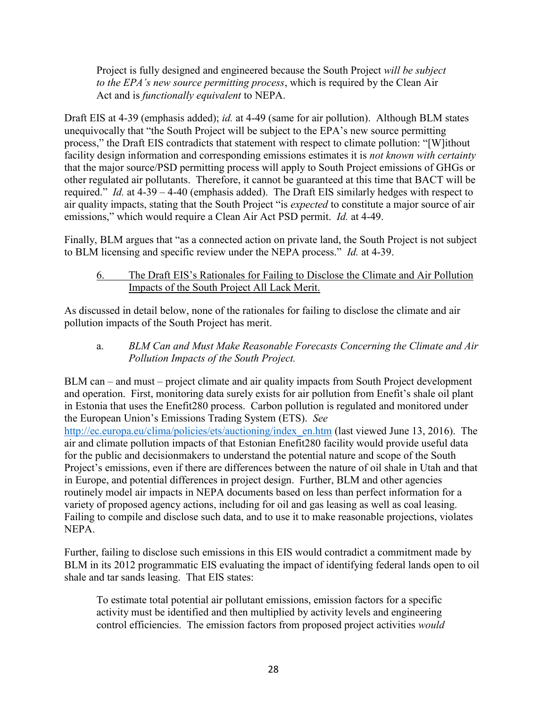Project is fully designed and engineered because the South Project *will be subject to the EPA's new source permitting process*, which is required by the Clean Air Act and is *functionally equivalent* to NEPA.

Draft EIS at 4-39 (emphasis added); *id.* at 4-49 (same for air pollution). Although BLM states unequivocally that "the South Project will be subject to the EPA's new source permitting process," the Draft EIS contradicts that statement with respect to climate pollution: "[W]ithout facility design information and corresponding emissions estimates it is *not known with certainty*  that the major source/PSD permitting process will apply to South Project emissions of GHGs or other regulated air pollutants. Therefore, it cannot be guaranteed at this time that BACT will be required." *Id.* at 4-39 – 4-40 (emphasis added). The Draft EIS similarly hedges with respect to air quality impacts, stating that the South Project "is *expected* to constitute a major source of air emissions," which would require a Clean Air Act PSD permit. *Id.* at 4-49.

Finally, BLM argues that "as a connected action on private land, the South Project is not subject to BLM licensing and specific review under the NEPA process." *Id.* at 4-39.

## 6. The Draft EIS's Rationales for Failing to Disclose the Climate and Air Pollution Impacts of the South Project All Lack Merit.

As discussed in detail below, none of the rationales for failing to disclose the climate and air pollution impacts of the South Project has merit.

a. *BLM Can and Must Make Reasonable Forecasts Concerning the Climate and Air Pollution Impacts of the South Project.*

BLM can – and must – project climate and air quality impacts from South Project development and operation. First, monitoring data surely exists for air pollution from Enefit's shale oil plant in Estonia that uses the Enefit280 process. Carbon pollution is regulated and monitored under the European Union's Emissions Trading System (ETS). *See*

[http://ec.europa.eu/clima/policies/ets/auctioning/index\\_en.htm](http://ec.europa.eu/clima/policies/ets/auctioning/index_en.htm) (last viewed June 13, 2016). The air and climate pollution impacts of that Estonian Enefit280 facility would provide useful data for the public and decisionmakers to understand the potential nature and scope of the South Project's emissions, even if there are differences between the nature of oil shale in Utah and that in Europe, and potential differences in project design. Further, BLM and other agencies routinely model air impacts in NEPA documents based on less than perfect information for a variety of proposed agency actions, including for oil and gas leasing as well as coal leasing. Failing to compile and disclose such data, and to use it to make reasonable projections, violates NEPA.

Further, failing to disclose such emissions in this EIS would contradict a commitment made by BLM in its 2012 programmatic EIS evaluating the impact of identifying federal lands open to oil shale and tar sands leasing. That EIS states:

To estimate total potential air pollutant emissions, emission factors for a specific activity must be identified and then multiplied by activity levels and engineering control efficiencies. The emission factors from proposed project activities *would*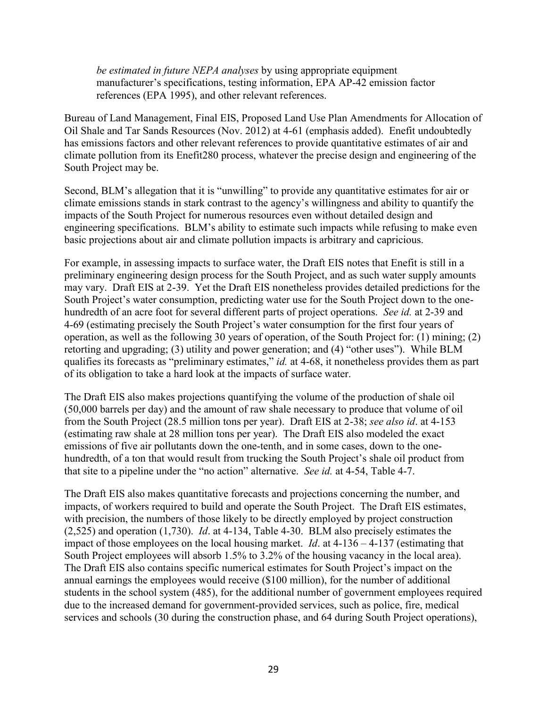*be estimated in future NEPA analyses* by using appropriate equipment manufacturer's specifications, testing information, EPA AP-42 emission factor references (EPA 1995), and other relevant references.

Bureau of Land Management, Final EIS, Proposed Land Use Plan Amendments for Allocation of Oil Shale and Tar Sands Resources (Nov. 2012) at 4-61 (emphasis added). Enefit undoubtedly has emissions factors and other relevant references to provide quantitative estimates of air and climate pollution from its Enefit280 process, whatever the precise design and engineering of the South Project may be.

Second, BLM's allegation that it is "unwilling" to provide any quantitative estimates for air or climate emissions stands in stark contrast to the agency's willingness and ability to quantify the impacts of the South Project for numerous resources even without detailed design and engineering specifications. BLM's ability to estimate such impacts while refusing to make even basic projections about air and climate pollution impacts is arbitrary and capricious.

For example, in assessing impacts to surface water, the Draft EIS notes that Enefit is still in a preliminary engineering design process for the South Project, and as such water supply amounts may vary. Draft EIS at 2-39. Yet the Draft EIS nonetheless provides detailed predictions for the South Project's water consumption, predicting water use for the South Project down to the onehundredth of an acre foot for several different parts of project operations. *See id.* at 2-39 and 4-69 (estimating precisely the South Project's water consumption for the first four years of operation, as well as the following 30 years of operation, of the South Project for: (1) mining; (2) retorting and upgrading; (3) utility and power generation; and (4) "other uses"). While BLM qualifies its forecasts as "preliminary estimates," *id.* at 4-68, it nonetheless provides them as part of its obligation to take a hard look at the impacts of surface water.

The Draft EIS also makes projections quantifying the volume of the production of shale oil (50,000 barrels per day) and the amount of raw shale necessary to produce that volume of oil from the South Project (28.5 million tons per year). Draft EIS at 2-38; *see also id*. at 4-153 (estimating raw shale at 28 million tons per year). The Draft EIS also modeled the exact emissions of five air pollutants down the one-tenth, and in some cases, down to the onehundredth, of a ton that would result from trucking the South Project's shale oil product from that site to a pipeline under the "no action" alternative. *See id.* at 4-54, Table 4-7.

The Draft EIS also makes quantitative forecasts and projections concerning the number, and impacts, of workers required to build and operate the South Project. The Draft EIS estimates, with precision, the numbers of those likely to be directly employed by project construction (2,525) and operation (1,730). *Id*. at 4-134, Table 4-30. BLM also precisely estimates the impact of those employees on the local housing market. *Id*. at 4-136 – 4-137 (estimating that South Project employees will absorb 1.5% to 3.2% of the housing vacancy in the local area). The Draft EIS also contains specific numerical estimates for South Project's impact on the annual earnings the employees would receive (\$100 million), for the number of additional students in the school system (485), for the additional number of government employees required due to the increased demand for government-provided services, such as police, fire, medical services and schools (30 during the construction phase, and 64 during South Project operations),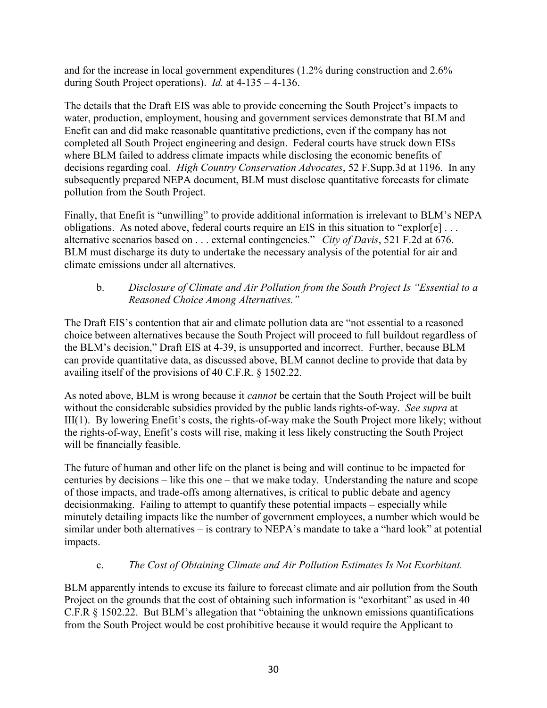and for the increase in local government expenditures (1.2% during construction and 2.6% during South Project operations). *Id.* at 4-135 – 4-136.

The details that the Draft EIS was able to provide concerning the South Project's impacts to water, production, employment, housing and government services demonstrate that BLM and Enefit can and did make reasonable quantitative predictions, even if the company has not completed all South Project engineering and design. Federal courts have struck down EISs where BLM failed to address climate impacts while disclosing the economic benefits of decisions regarding coal. *High Country Conservation Advocates*, 52 F.Supp.3d at 1196. In any subsequently prepared NEPA document, BLM must disclose quantitative forecasts for climate pollution from the South Project.

Finally, that Enefit is "unwilling" to provide additional information is irrelevant to BLM's NEPA obligations. As noted above, federal courts require an EIS in this situation to "explor[e] . . . alternative scenarios based on . . . external contingencies." *City of Davis*, 521 F.2d at 676. BLM must discharge its duty to undertake the necessary analysis of the potential for air and climate emissions under all alternatives.

# b. *Disclosure of Climate and Air Pollution from the South Project Is "Essential to a Reasoned Choice Among Alternatives."*

The Draft EIS's contention that air and climate pollution data are "not essential to a reasoned choice between alternatives because the South Project will proceed to full buildout regardless of the BLM's decision," Draft EIS at 4-39, is unsupported and incorrect. Further, because BLM can provide quantitative data, as discussed above, BLM cannot decline to provide that data by availing itself of the provisions of 40 C.F.R. § 1502.22.

As noted above, BLM is wrong because it *cannot* be certain that the South Project will be built without the considerable subsidies provided by the public lands rights-of-way. *See supra* at III(1). By lowering Enefit's costs, the rights-of-way make the South Project more likely; without the rights-of-way, Enefit's costs will rise, making it less likely constructing the South Project will be financially feasible.

The future of human and other life on the planet is being and will continue to be impacted for centuries by decisions – like this one – that we make today. Understanding the nature and scope of those impacts, and trade-offs among alternatives, is critical to public debate and agency decisionmaking. Failing to attempt to quantify these potential impacts – especially while minutely detailing impacts like the number of government employees, a number which would be similar under both alternatives – is contrary to NEPA's mandate to take a "hard look" at potential impacts.

# c. *The Cost of Obtaining Climate and Air Pollution Estimates Is Not Exorbitant.*

BLM apparently intends to excuse its failure to forecast climate and air pollution from the South Project on the grounds that the cost of obtaining such information is "exorbitant" as used in 40 C.F.R § 1502.22. But BLM's allegation that "obtaining the unknown emissions quantifications from the South Project would be cost prohibitive because it would require the Applicant to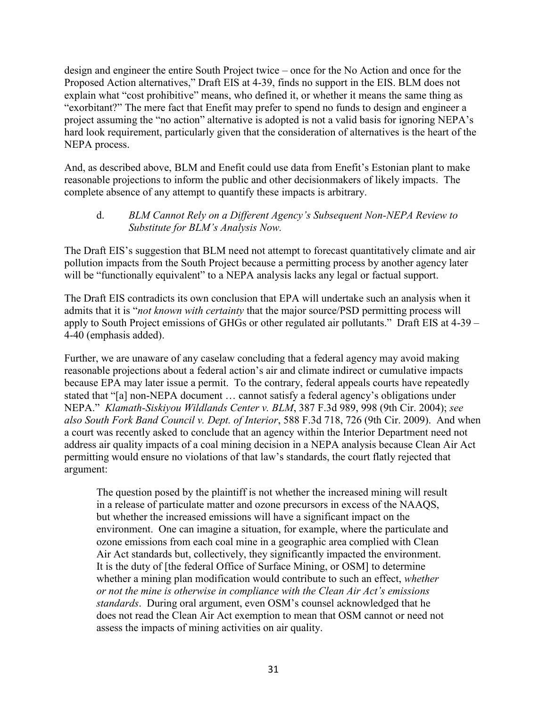design and engineer the entire South Project twice – once for the No Action and once for the Proposed Action alternatives," Draft EIS at 4-39, finds no support in the EIS. BLM does not explain what "cost prohibitive" means, who defined it, or whether it means the same thing as "exorbitant?" The mere fact that Enefit may prefer to spend no funds to design and engineer a project assuming the "no action" alternative is adopted is not a valid basis for ignoring NEPA's hard look requirement, particularly given that the consideration of alternatives is the heart of the NEPA process.

And, as described above, BLM and Enefit could use data from Enefit's Estonian plant to make reasonable projections to inform the public and other decisionmakers of likely impacts. The complete absence of any attempt to quantify these impacts is arbitrary.

## d. *BLM Cannot Rely on a Different Agency's Subsequent Non-NEPA Review to Substitute for BLM's Analysis Now.*

The Draft EIS's suggestion that BLM need not attempt to forecast quantitatively climate and air pollution impacts from the South Project because a permitting process by another agency later will be "functionally equivalent" to a NEPA analysis lacks any legal or factual support.

The Draft EIS contradicts its own conclusion that EPA will undertake such an analysis when it admits that it is "*not known with certainty* that the major source/PSD permitting process will apply to South Project emissions of GHGs or other regulated air pollutants." Draft EIS at 4-39 – 4-40 (emphasis added).

Further, we are unaware of any caselaw concluding that a federal agency may avoid making reasonable projections about a federal action's air and climate indirect or cumulative impacts because EPA may later issue a permit. To the contrary, federal appeals courts have repeatedly stated that "[a] non-NEPA document … cannot satisfy a federal agency's obligations under NEPA." *Klamath-Siskiyou Wildlands Center v. BLM*, 387 F.3d 989, 998 (9th Cir. 2004); *see also South Fork Band Council v. Dept. of Interior*, 588 F.3d 718, 726 (9th Cir. 2009). And when a court was recently asked to conclude that an agency within the Interior Department need not address air quality impacts of a coal mining decision in a NEPA analysis because Clean Air Act permitting would ensure no violations of that law's standards, the court flatly rejected that argument:

The question posed by the plaintiff is not whether the increased mining will result in a release of particulate matter and ozone precursors in excess of the NAAQS, but whether the increased emissions will have a significant impact on the environment. One can imagine a situation, for example, where the particulate and ozone emissions from each coal mine in a geographic area complied with Clean Air Act standards but, collectively, they significantly impacted the environment. It is the duty of [the federal Office of Surface Mining, or OSM] to determine whether a mining plan modification would contribute to such an effect, *whether or not the mine is otherwise in compliance with the Clean Air Act's emissions standards*. During oral argument, even OSM's counsel acknowledged that he does not read the Clean Air Act exemption to mean that OSM cannot or need not assess the impacts of mining activities on air quality.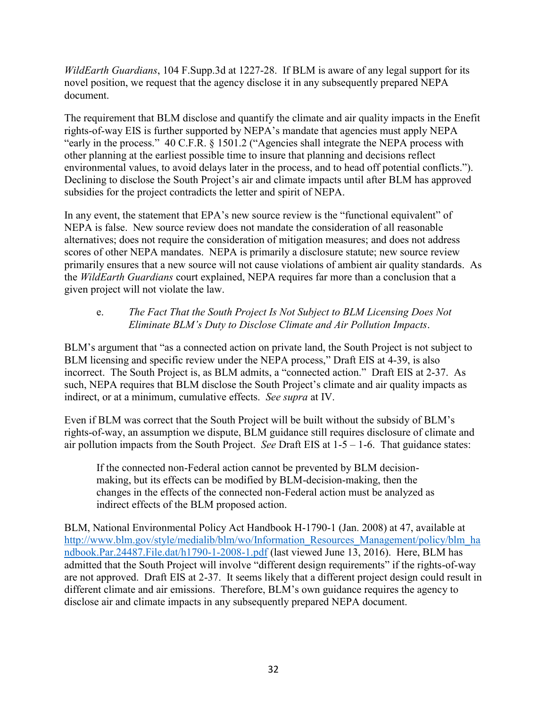*WildEarth Guardians*, 104 F.Supp.3d at 1227-28. If BLM is aware of any legal support for its novel position, we request that the agency disclose it in any subsequently prepared NEPA document.

The requirement that BLM disclose and quantify the climate and air quality impacts in the Enefit rights-of-way EIS is further supported by NEPA's mandate that agencies must apply NEPA "early in the process." 40 C.F.R. § 1501.2 ("Agencies shall integrate the NEPA process with other planning at the earliest possible time to insure that planning and decisions reflect environmental values, to avoid delays later in the process, and to head off potential conflicts."). Declining to disclose the South Project's air and climate impacts until after BLM has approved subsidies for the project contradicts the letter and spirit of NEPA.

In any event, the statement that EPA's new source review is the "functional equivalent" of NEPA is false. New source review does not mandate the consideration of all reasonable alternatives; does not require the consideration of mitigation measures; and does not address scores of other NEPA mandates. NEPA is primarily a disclosure statute; new source review primarily ensures that a new source will not cause violations of ambient air quality standards. As the *WildEarth Guardians* court explained, NEPA requires far more than a conclusion that a given project will not violate the law.

## e. *The Fact That the South Project Is Not Subject to BLM Licensing Does Not Eliminate BLM's Duty to Disclose Climate and Air Pollution Impacts*.

BLM's argument that "as a connected action on private land, the South Project is not subject to BLM licensing and specific review under the NEPA process," Draft EIS at 4-39, is also incorrect. The South Project is, as BLM admits, a "connected action." Draft EIS at 2-37. As such, NEPA requires that BLM disclose the South Project's climate and air quality impacts as indirect, or at a minimum, cumulative effects. *See supra* at IV.

Even if BLM was correct that the South Project will be built without the subsidy of BLM's rights-of-way, an assumption we dispute, BLM guidance still requires disclosure of climate and air pollution impacts from the South Project. *See* Draft EIS at 1-5 – 1-6. That guidance states:

If the connected non-Federal action cannot be prevented by BLM decisionmaking, but its effects can be modified by BLM-decision-making, then the changes in the effects of the connected non-Federal action must be analyzed as indirect effects of the BLM proposed action.

BLM, National Environmental Policy Act Handbook H-1790-1 (Jan. 2008) at 47, available at [http://www.blm.gov/style/medialib/blm/wo/Information\\_Resources\\_Management/policy/blm\\_ha](http://www.blm.gov/style/medialib/blm/wo/Information_Resources_Management/policy/blm_handbook.Par.24487.File.dat/h1790-1-2008-1.pdf) [ndbook.Par.24487.File.dat/h1790-1-2008-1.pdf](http://www.blm.gov/style/medialib/blm/wo/Information_Resources_Management/policy/blm_handbook.Par.24487.File.dat/h1790-1-2008-1.pdf) (last viewed June 13, 2016). Here, BLM has admitted that the South Project will involve "different design requirements" if the rights-of-way are not approved. Draft EIS at 2-37. It seems likely that a different project design could result in different climate and air emissions. Therefore, BLM's own guidance requires the agency to disclose air and climate impacts in any subsequently prepared NEPA document.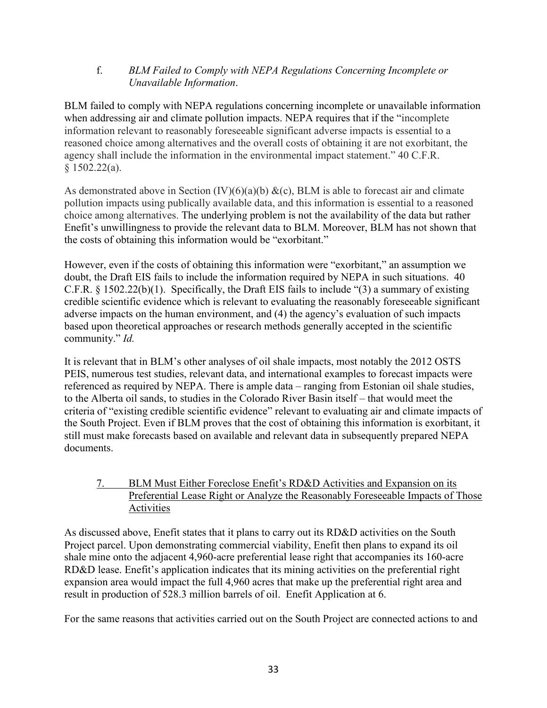## f. *BLM Failed to Comply with NEPA Regulations Concerning Incomplete or Unavailable Information*.

BLM failed to comply with NEPA regulations concerning incomplete or unavailable information when addressing air and climate pollution impacts. NEPA requires that if the "incomplete" information relevant to reasonably foreseeable significant adverse impacts is essential to a reasoned choice among alternatives and the overall costs of obtaining it are not exorbitant, the agency shall include the information in the environmental impact statement." 40 C.F.R. § 1502.22(a).

As demonstrated above in Section  $(IV)(6)(a)(b) &c(c)$ , BLM is able to forecast air and climate pollution impacts using publically available data, and this information is essential to a reasoned choice among alternatives. The underlying problem is not the availability of the data but rather Enefit's unwillingness to provide the relevant data to BLM. Moreover, BLM has not shown that the costs of obtaining this information would be "exorbitant."

However, even if the costs of obtaining this information were "exorbitant," an assumption we doubt, the Draft EIS fails to include the information required by NEPA in such situations. 40 C.F.R. § 1502.22(b)(1). Specifically, the Draft EIS fails to include "(3) a summary of existing credible scientific evidence which is relevant to evaluating the reasonably foreseeable significant adverse impacts on the human environment, and (4) the agency's evaluation of such impacts based upon theoretical approaches or research methods generally accepted in the scientific community." *Id.*

It is relevant that in BLM's other analyses of oil shale impacts, most notably the 2012 OSTS PEIS, numerous test studies, relevant data, and international examples to forecast impacts were referenced as required by NEPA. There is ample data – ranging from Estonian oil shale studies, to the Alberta oil sands, to studies in the Colorado River Basin itself – that would meet the criteria of "existing credible scientific evidence" relevant to evaluating air and climate impacts of the South Project. Even if BLM proves that the cost of obtaining this information is exorbitant, it still must make forecasts based on available and relevant data in subsequently prepared NEPA documents.

# 7. BLM Must Either Foreclose Enefit's RD&D Activities and Expansion on its Preferential Lease Right or Analyze the Reasonably Foreseeable Impacts of Those Activities

As discussed above, Enefit states that it plans to carry out its RD&D activities on the South Project parcel. Upon demonstrating commercial viability, Enefit then plans to expand its oil shale mine onto the adjacent 4,960-acre preferential lease right that accompanies its 160-acre RD&D lease. Enefit's application indicates that its mining activities on the preferential right expansion area would impact the full 4,960 acres that make up the preferential right area and result in production of 528.3 million barrels of oil. Enefit Application at 6.

For the same reasons that activities carried out on the South Project are connected actions to and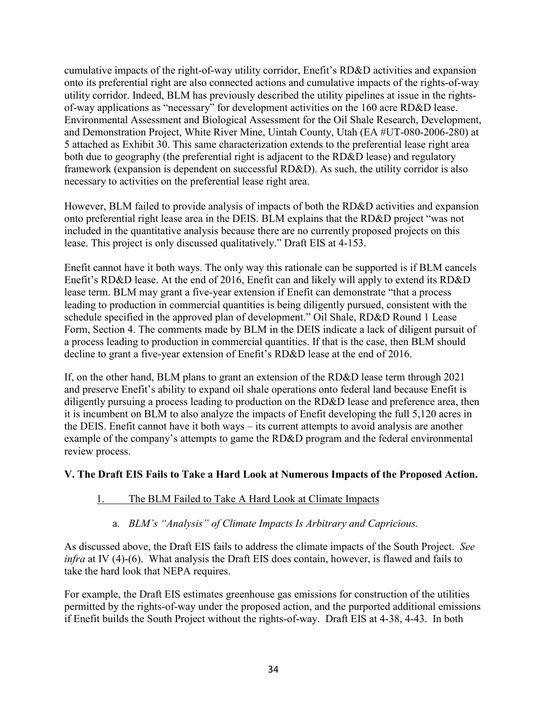cumulative impacts of the right-of-way utility corridor, Enefit's RD&D activities and expansion onto its preferential right are also connected actions and cumulative impacts of the rights-of-way utility corridor. Indeed, BLM has previously described the utility pipelines at issue in the rightsof-way applications as "necessary" for development activities on the 160 acre RD&D lease. Environmental Assessment and Biological Assessment for the Oil Shale Research, Development, and Demonstration Project, White River Mine, Uintah County, Utah (EA #UT-080-2006-280) at 5 attached as Exhibit 30. This same characterization extends to the preferential lease right area both due to geography (the preferential right is adjacent to the RD&D lease) and regulatory framework (expansion is dependent on successful RD&D). As such, the utility corridor is also necessary to activities on the preferential lease right area.

However, BLM failed to provide analysis of impacts of both the RD&D activities and expansion onto preferential right lease area in the DEIS. BLM explains that the RD&D project "was not included in the quantitative analysis because there are no currently proposed projects on this lease. This project is only discussed qualitatively." Draft EIS at 4-153.

Enefit cannot have it both ways. The only way this rationale can be supported is if BLM cancels Enefit's RD&D lease. At the end of 2016, Enefit can and likely will apply to extend its RD&D lease term. BLM may grant a five-year extension if Enefit can demonstrate "that a process leading to production in commercial quantities is being diligently pursued, consistent with the schedule specified in the approved plan of development." Oil Shale, RD&D Round 1 Lease Form, Section 4. The comments made by BLM in the DEIS indicate a lack of diligent pursuit of a process leading to production in commercial quantities. If that is the case, then BLM should decline to grant a five-year extension of Enefit's RD&D lease at the end of 2016.

If, on the other hand, BLM plans to grant an extension of the RD&D lease term through 2021 and preserve Enefit's ability to expand oil shale operations onto federal land because Enefit is diligently pursuing a process leading to production on the RD&D lease and preference area, then it is incumbent on BLM to also analyze the impacts of Enefit developing the full 5,120 acres in the DEIS. Enefit cannot have it both ways – its current attempts to avoid analysis are another example of the company's attempts to game the RD&D program and the federal environmental review process.

# **V. The Draft EIS Fails to Take a Hard Look at Numerous Impacts of the Proposed Action.**

# 1. The BLM Failed to Take A Hard Look at Climate Impacts

## a. *BLM's "Analysis" of Climate Impacts Is Arbitrary and Capricious.*

As discussed above, the Draft EIS fails to address the climate impacts of the South Project. *See infra* at IV (4)-(6). What analysis the Draft EIS does contain, however, is flawed and fails to take the hard look that NEPA requires.

For example, the Draft EIS estimates greenhouse gas emissions for construction of the utilities permitted by the rights-of-way under the proposed action, and the purported additional emissions if Enefit builds the South Project without the rights-of-way. Draft EIS at 4-38, 4-43. In both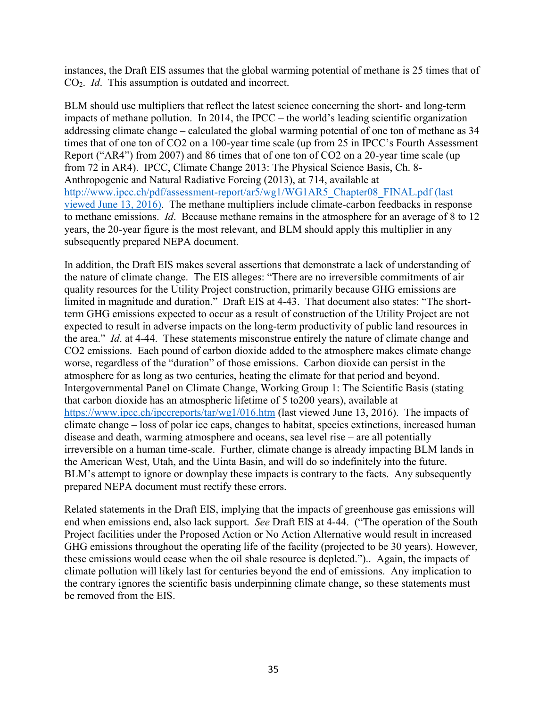instances, the Draft EIS assumes that the global warming potential of methane is 25 times that of CO2. *Id*. This assumption is outdated and incorrect.

BLM should use multipliers that reflect the latest science concerning the short- and long-term impacts of methane pollution. In 2014, the IPCC – the world's leading scientific organization addressing climate change – calculated the global warming potential of one ton of methane as 34 times that of one ton of CO2 on a 100-year time scale (up from 25 in IPCC's Fourth Assessment Report ("AR4") from 2007) and 86 times that of one ton of CO2 on a 20-year time scale (up from 72 in AR4). IPCC, Climate Change 2013: The Physical Science Basis, Ch. 8- Anthropogenic and Natural Radiative Forcing (2013), at 714, available at [http://www.ipcc.ch/pdf/assessment-report/ar5/wg1/WG1AR5\\_Chapter08\\_FINAL.pdf](http://www.ipcc.ch/pdf/assessment-report/ar5/wg1/WG1AR5_Chapter08_FINAL.pdf) (last viewed June 13, 2016). The methane multipliers include climate-carbon feedbacks in response to methane emissions. *Id*. Because methane remains in the atmosphere for an average of 8 to 12 years, the 20-year figure is the most relevant, and BLM should apply this multiplier in any subsequently prepared NEPA document.

In addition, the Draft EIS makes several assertions that demonstrate a lack of understanding of the nature of climate change. The EIS alleges: "There are no irreversible commitments of air quality resources for the Utility Project construction, primarily because GHG emissions are limited in magnitude and duration." Draft EIS at 4-43. That document also states: "The shortterm GHG emissions expected to occur as a result of construction of the Utility Project are not expected to result in adverse impacts on the long-term productivity of public land resources in the area." *Id*. at 4-44. These statements misconstrue entirely the nature of climate change and CO2 emissions. Each pound of carbon dioxide added to the atmosphere makes climate change worse, regardless of the "duration" of those emissions. Carbon dioxide can persist in the atmosphere for as long as two centuries, heating the climate for that period and beyond. Intergovernmental Panel on Climate Change, Working Group 1: The Scientific Basis (stating that carbon dioxide has an atmospheric lifetime of 5 to200 years), available at <https://www.ipcc.ch/ipccreports/tar/wg1/016.htm> (last viewed June 13, 2016). The impacts of climate change – loss of polar ice caps, changes to habitat, species extinctions, increased human disease and death, warming atmosphere and oceans, sea level rise – are all potentially irreversible on a human time-scale. Further, climate change is already impacting BLM lands in the American West, Utah, and the Uinta Basin, and will do so indefinitely into the future. BLM's attempt to ignore or downplay these impacts is contrary to the facts. Any subsequently prepared NEPA document must rectify these errors.

Related statements in the Draft EIS, implying that the impacts of greenhouse gas emissions will end when emissions end, also lack support. *See* Draft EIS at 4-44. ("The operation of the South Project facilities under the Proposed Action or No Action Alternative would result in increased GHG emissions throughout the operating life of the facility (projected to be 30 years). However, these emissions would cease when the oil shale resource is depleted.").. Again, the impacts of climate pollution will likely last for centuries beyond the end of emissions. Any implication to the contrary ignores the scientific basis underpinning climate change, so these statements must be removed from the EIS.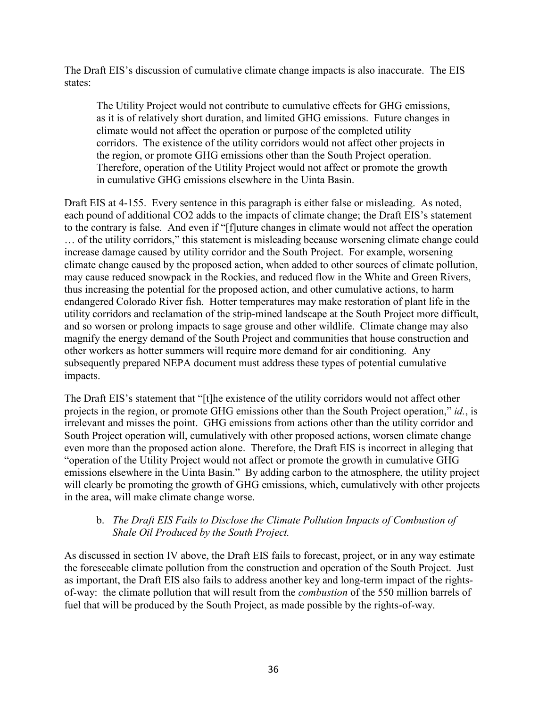The Draft EIS's discussion of cumulative climate change impacts is also inaccurate. The EIS states:

The Utility Project would not contribute to cumulative effects for GHG emissions, as it is of relatively short duration, and limited GHG emissions. Future changes in climate would not affect the operation or purpose of the completed utility corridors. The existence of the utility corridors would not affect other projects in the region, or promote GHG emissions other than the South Project operation. Therefore, operation of the Utility Project would not affect or promote the growth in cumulative GHG emissions elsewhere in the Uinta Basin.

Draft EIS at 4-155. Every sentence in this paragraph is either false or misleading. As noted, each pound of additional CO2 adds to the impacts of climate change; the Draft EIS's statement to the contrary is false. And even if "[f]uture changes in climate would not affect the operation … of the utility corridors," this statement is misleading because worsening climate change could increase damage caused by utility corridor and the South Project. For example, worsening climate change caused by the proposed action, when added to other sources of climate pollution, may cause reduced snowpack in the Rockies, and reduced flow in the White and Green Rivers, thus increasing the potential for the proposed action, and other cumulative actions, to harm endangered Colorado River fish. Hotter temperatures may make restoration of plant life in the utility corridors and reclamation of the strip-mined landscape at the South Project more difficult, and so worsen or prolong impacts to sage grouse and other wildlife. Climate change may also magnify the energy demand of the South Project and communities that house construction and other workers as hotter summers will require more demand for air conditioning. Any subsequently prepared NEPA document must address these types of potential cumulative impacts.

The Draft EIS's statement that "[t]he existence of the utility corridors would not affect other projects in the region, or promote GHG emissions other than the South Project operation," *id.*, is irrelevant and misses the point. GHG emissions from actions other than the utility corridor and South Project operation will, cumulatively with other proposed actions, worsen climate change even more than the proposed action alone. Therefore, the Draft EIS is incorrect in alleging that "operation of the Utility Project would not affect or promote the growth in cumulative GHG emissions elsewhere in the Uinta Basin." By adding carbon to the atmosphere, the utility project will clearly be promoting the growth of GHG emissions, which, cumulatively with other projects in the area, will make climate change worse.

## b. *The Draft EIS Fails to Disclose the Climate Pollution Impacts of Combustion of Shale Oil Produced by the South Project.*

As discussed in section IV above, the Draft EIS fails to forecast, project, or in any way estimate the foreseeable climate pollution from the construction and operation of the South Project. Just as important, the Draft EIS also fails to address another key and long-term impact of the rightsof-way: the climate pollution that will result from the *combustion* of the 550 million barrels of fuel that will be produced by the South Project, as made possible by the rights-of-way.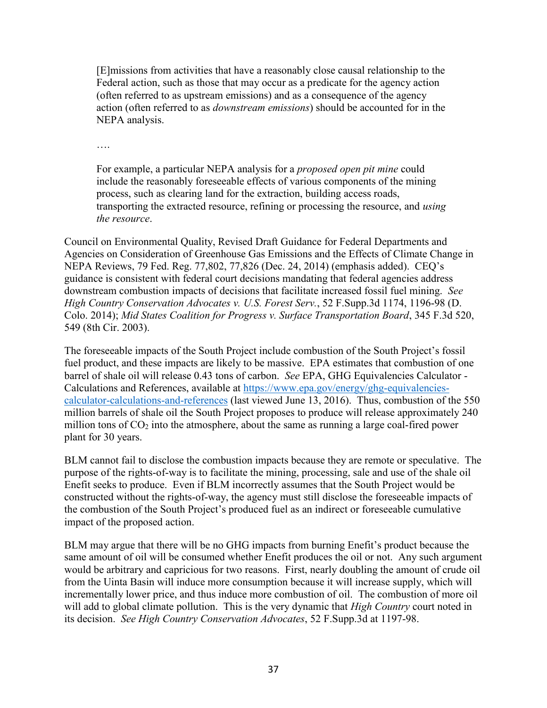[E]missions from activities that have a reasonably close causal relationship to the Federal action, such as those that may occur as a predicate for the agency action (often referred to as upstream emissions) and as a consequence of the agency action (often referred to as *downstream emissions*) should be accounted for in the NEPA analysis.

….

For example, a particular NEPA analysis for a *proposed open pit mine* could include the reasonably foreseeable effects of various components of the mining process, such as clearing land for the extraction, building access roads, transporting the extracted resource, refining or processing the resource, and *using the resource*.

Council on Environmental Quality, Revised Draft Guidance for Federal Departments and Agencies on Consideration of Greenhouse Gas Emissions and the Effects of Climate Change in NEPA Reviews, 79 Fed. Reg. 77,802, 77,826 (Dec. 24, 2014) (emphasis added). CEQ's guidance is consistent with federal court decisions mandating that federal agencies address downstream combustion impacts of decisions that facilitate increased fossil fuel mining. *See High Country Conservation Advocates v. U.S. Forest Serv.*, 52 F.Supp.3d 1174, 1196-98 (D. Colo. 2014); *Mid States Coalition for Progress v. Surface Transportation Board*, 345 F.3d 520, 549 (8th Cir. 2003).

The foreseeable impacts of the South Project include combustion of the South Project's fossil fuel product, and these impacts are likely to be massive. EPA estimates that combustion of one barrel of shale oil will release 0.43 tons of carbon. *See* EPA, GHG Equivalencies Calculator - Calculations and References, available at [https://www.epa.gov/energy/ghg-equivalencies](https://www.epa.gov/energy/ghg-equivalencies-calculator-calculations-and-references)[calculator-calculations-and-references](https://www.epa.gov/energy/ghg-equivalencies-calculator-calculations-and-references) (last viewed June 13, 2016). Thus, combustion of the 550 million barrels of shale oil the South Project proposes to produce will release approximately 240 million tons of  $CO<sub>2</sub>$  into the atmosphere, about the same as running a large coal-fired power plant for 30 years.

BLM cannot fail to disclose the combustion impacts because they are remote or speculative. The purpose of the rights-of-way is to facilitate the mining, processing, sale and use of the shale oil Enefit seeks to produce. Even if BLM incorrectly assumes that the South Project would be constructed without the rights-of-way, the agency must still disclose the foreseeable impacts of the combustion of the South Project's produced fuel as an indirect or foreseeable cumulative impact of the proposed action.

BLM may argue that there will be no GHG impacts from burning Enefit's product because the same amount of oil will be consumed whether Enefit produces the oil or not. Any such argument would be arbitrary and capricious for two reasons. First, nearly doubling the amount of crude oil from the Uinta Basin will induce more consumption because it will increase supply, which will incrementally lower price, and thus induce more combustion of oil. The combustion of more oil will add to global climate pollution. This is the very dynamic that *High Country* court noted in its decision. *See High Country Conservation Advocates*, 52 F.Supp.3d at 1197-98.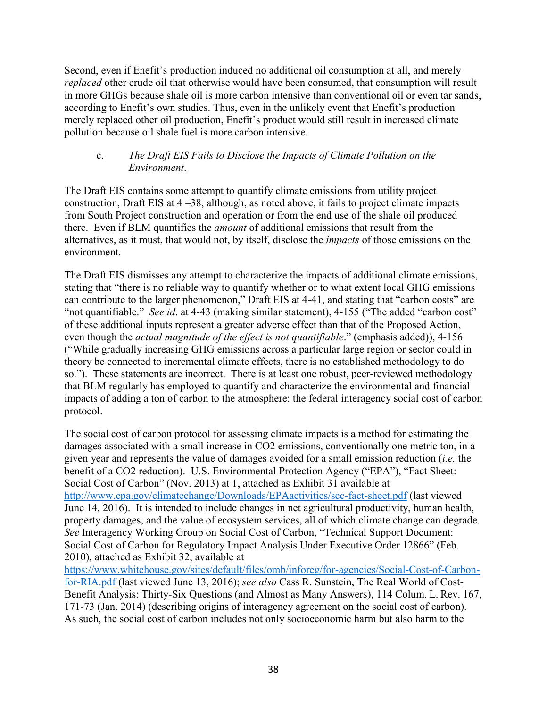Second, even if Enefit's production induced no additional oil consumption at all, and merely *replaced* other crude oil that otherwise would have been consumed, that consumption will result in more GHGs because shale oil is more carbon intensive than conventional oil or even tar sands, according to Enefit's own studies. Thus, even in the unlikely event that Enefit's production merely replaced other oil production, Enefit's product would still result in increased climate pollution because oil shale fuel is more carbon intensive.

### c. *The Draft EIS Fails to Disclose the Impacts of Climate Pollution on the Environment*.

The Draft EIS contains some attempt to quantify climate emissions from utility project construction, Draft EIS at 4 –38, although, as noted above, it fails to project climate impacts from South Project construction and operation or from the end use of the shale oil produced there. Even if BLM quantifies the *amount* of additional emissions that result from the alternatives, as it must, that would not, by itself, disclose the *impacts* of those emissions on the environment.

The Draft EIS dismisses any attempt to characterize the impacts of additional climate emissions, stating that "there is no reliable way to quantify whether or to what extent local GHG emissions can contribute to the larger phenomenon," Draft EIS at 4-41, and stating that "carbon costs" are "not quantifiable." *See id*. at 4-43 (making similar statement), 4-155 ("The added "carbon cost" of these additional inputs represent a greater adverse effect than that of the Proposed Action, even though the *actual magnitude of the effect is not quantifiable*." (emphasis added)), 4-156 ("While gradually increasing GHG emissions across a particular large region or sector could in theory be connected to incremental climate effects, there is no established methodology to do so."). These statements are incorrect. There is at least one robust, peer-reviewed methodology that BLM regularly has employed to quantify and characterize the environmental and financial impacts of adding a ton of carbon to the atmosphere: the federal interagency social cost of carbon protocol.

The social cost of carbon protocol for assessing climate impacts is a method for estimating the damages associated with a small increase in CO2 emissions, conventionally one metric ton, in a given year and represents the value of damages avoided for a small emission reduction (*i.e.* the benefit of a CO2 reduction). U.S. Environmental Protection Agency ("EPA"), "Fact Sheet: Social Cost of Carbon" (Nov. 2013) at 1, attached as Exhibit 31 available at <http://www.epa.gov/climatechange/Downloads/EPAactivities/scc-fact-sheet.pdf> (last viewed June 14, 2016). It is intended to include changes in net agricultural productivity, human health, property damages, and the value of ecosystem services, all of which climate change can degrade. *See* Interagency Working Group on Social Cost of Carbon, "Technical Support Document: Social Cost of Carbon for Regulatory Impact Analysis Under Executive Order 12866" (Feb. 2010), attached as Exhibit 32, available at

[https://www.whitehouse.gov/sites/default/files/omb/inforeg/for-agencies/Social-Cost-of-Carbon](https://www.whitehouse.gov/sites/default/files/omb/inforeg/for-agencies/Social-Cost-of-Carbon-for-RIA.pdf)[for-RIA.pdf](https://www.whitehouse.gov/sites/default/files/omb/inforeg/for-agencies/Social-Cost-of-Carbon-for-RIA.pdf) (last viewed June 13, 2016); *see also* Cass R. Sunstein, The Real World of Cost-Benefit Analysis: Thirty-Six Questions (and Almost as Many Answers), 114 Colum. L. Rev. 167, 171-73 (Jan. 2014) (describing origins of interagency agreement on the social cost of carbon). As such, the social cost of carbon includes not only socioeconomic harm but also harm to the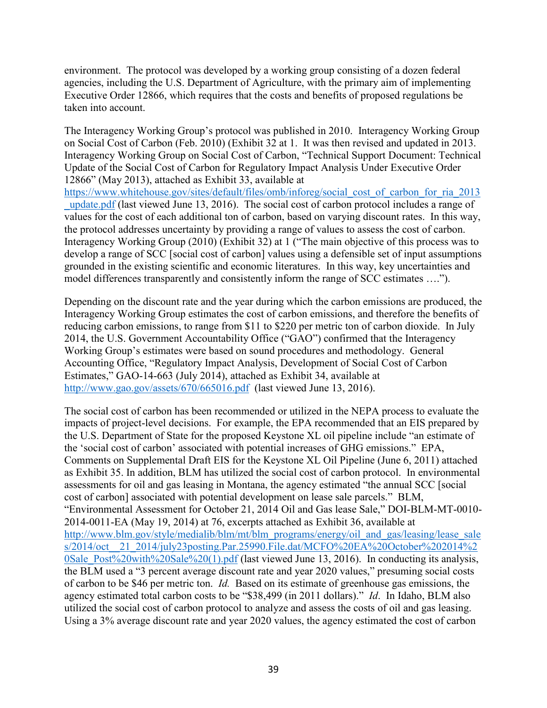environment. The protocol was developed by a working group consisting of a dozen federal agencies, including the U.S. Department of Agriculture, with the primary aim of implementing Executive Order 12866, which requires that the costs and benefits of proposed regulations be taken into account.

The Interagency Working Group's protocol was published in 2010. Interagency Working Group on Social Cost of Carbon (Feb. 2010) (Exhibit 32 at 1. It was then revised and updated in 2013. Interagency Working Group on Social Cost of Carbon, "Technical Support Document: Technical Update of the Social Cost of Carbon for Regulatory Impact Analysis Under Executive Order 12866" (May 2013), attached as Exhibit 33, available at

[https://www.whitehouse.gov/sites/default/files/omb/inforeg/social\\_cost\\_of\\_carbon\\_for\\_ria\\_2013](https://www.whitehouse.gov/sites/default/files/omb/inforeg/social_cost_of_carbon_for_ria_2013_update.pdf) [\\_update.pdf](https://www.whitehouse.gov/sites/default/files/omb/inforeg/social_cost_of_carbon_for_ria_2013_update.pdf) (last viewed June 13, 2016). The social cost of carbon protocol includes a range of values for the cost of each additional ton of carbon, based on varying discount rates. In this way, the protocol addresses uncertainty by providing a range of values to assess the cost of carbon. Interagency Working Group (2010) (Exhibit 32) at 1 ("The main objective of this process was to develop a range of SCC [social cost of carbon] values using a defensible set of input assumptions grounded in the existing scientific and economic literatures. In this way, key uncertainties and model differences transparently and consistently inform the range of SCC estimates ….").

Depending on the discount rate and the year during which the carbon emissions are produced, the Interagency Working Group estimates the cost of carbon emissions, and therefore the benefits of reducing carbon emissions, to range from \$11 to \$220 per metric ton of carbon dioxide. In July 2014, the U.S. Government Accountability Office ("GAO") confirmed that the Interagency Working Group's estimates were based on sound procedures and methodology. General Accounting Office, "Regulatory Impact Analysis, Development of Social Cost of Carbon Estimates," GAO-14-663 (July 2014), attached as Exhibit 34, available at <http://www.gao.gov/assets/670/665016.pdf>(last viewed June 13, 2016).

The social cost of carbon has been recommended or utilized in the NEPA process to evaluate the impacts of project-level decisions. For example, the EPA recommended that an EIS prepared by the U.S. Department of State for the proposed Keystone XL oil pipeline include "an estimate of the 'social cost of carbon' associated with potential increases of GHG emissions." EPA, Comments on Supplemental Draft EIS for the Keystone XL Oil Pipeline (June 6, 2011) attached as Exhibit 35. In addition, BLM has utilized the social cost of carbon protocol. In environmental assessments for oil and gas leasing in Montana, the agency estimated "the annual SCC [social cost of carbon] associated with potential development on lease sale parcels." BLM, "Environmental Assessment for October 21, 2014 Oil and Gas lease Sale," DOI-BLM-MT-0010- 2014-0011-EA (May 19, 2014) at 76, excerpts attached as Exhibit 36, available at [http://www.blm.gov/style/medialib/blm/mt/blm\\_programs/energy/oil\\_and\\_gas/leasing/lease\\_sale](http://www.blm.gov/style/medialib/blm/mt/blm_programs/energy/oil_and_gas/leasing/lease_sales/2014/oct__21_2014/july23posting.Par.25990.File.dat/MCFO%20EA%20October%202014%20Sale_Post%20with%20Sale%20(1).pdf) [s/2014/oct\\_\\_21\\_2014/july23posting.Par.25990.File.dat/MCFO%20EA%20October%202014%2](http://www.blm.gov/style/medialib/blm/mt/blm_programs/energy/oil_and_gas/leasing/lease_sales/2014/oct__21_2014/july23posting.Par.25990.File.dat/MCFO%20EA%20October%202014%20Sale_Post%20with%20Sale%20(1).pdf) [0Sale\\_Post%20with%20Sale%20\(1\).pdf](http://www.blm.gov/style/medialib/blm/mt/blm_programs/energy/oil_and_gas/leasing/lease_sales/2014/oct__21_2014/july23posting.Par.25990.File.dat/MCFO%20EA%20October%202014%20Sale_Post%20with%20Sale%20(1).pdf) (last viewed June 13, 2016). In conducting its analysis, the BLM used a "3 percent average discount rate and year 2020 values," presuming social costs of carbon to be \$46 per metric ton. *Id.* Based on its estimate of greenhouse gas emissions, the agency estimated total carbon costs to be "\$38,499 (in 2011 dollars)." *Id*. In Idaho, BLM also utilized the social cost of carbon protocol to analyze and assess the costs of oil and gas leasing. Using a 3% average discount rate and year 2020 values, the agency estimated the cost of carbon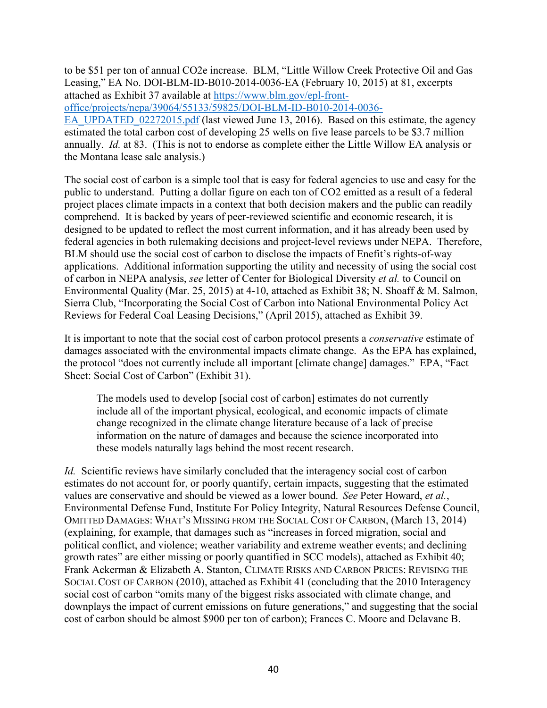to be \$51 per ton of annual CO2e increase. BLM, "Little Willow Creek Protective Oil and Gas Leasing," EA No. DOI-BLM-ID-B010-2014-0036-EA (February 10, 2015) at 81, excerpts attached as Exhibit 37 available at [https://www.blm.gov/epl-front](https://www.blm.gov/epl-front-office/projects/nepa/39064/55133/59825/DOI-BLM-ID-B010-2014-0036-EA_UPDATED_02272015.pdf)[office/projects/nepa/39064/55133/59825/DOI-BLM-ID-B010-2014-0036-](https://www.blm.gov/epl-front-office/projects/nepa/39064/55133/59825/DOI-BLM-ID-B010-2014-0036-EA_UPDATED_02272015.pdf) [EA\\_UPDATED\\_02272015.pdf](https://www.blm.gov/epl-front-office/projects/nepa/39064/55133/59825/DOI-BLM-ID-B010-2014-0036-EA_UPDATED_02272015.pdf) (last viewed June 13, 2016). Based on this estimate, the agency estimated the total carbon cost of developing 25 wells on five lease parcels to be \$3.7 million annually. *Id.* at 83. (This is not to endorse as complete either the Little Willow EA analysis or the Montana lease sale analysis.)

The social cost of carbon is a simple tool that is easy for federal agencies to use and easy for the public to understand. Putting a dollar figure on each ton of CO2 emitted as a result of a federal project places climate impacts in a context that both decision makers and the public can readily comprehend. It is backed by years of peer-reviewed scientific and economic research, it is designed to be updated to reflect the most current information, and it has already been used by federal agencies in both rulemaking decisions and project-level reviews under NEPA. Therefore, BLM should use the social cost of carbon to disclose the impacts of Enefit's rights-of-way applications. Additional information supporting the utility and necessity of using the social cost of carbon in NEPA analysis, *see* letter of Center for Biological Diversity *et al.* to Council on Environmental Quality (Mar. 25, 2015) at 4-10, attached as Exhibit 38; N. Shoaff & M. Salmon, Sierra Club, "Incorporating the Social Cost of Carbon into National Environmental Policy Act Reviews for Federal Coal Leasing Decisions," (April 2015), attached as Exhibit 39.

It is important to note that the social cost of carbon protocol presents a *conservative* estimate of damages associated with the environmental impacts climate change. As the EPA has explained, the protocol "does not currently include all important [climate change] damages." EPA, "Fact Sheet: Social Cost of Carbon" (Exhibit 31).

The models used to develop [social cost of carbon] estimates do not currently include all of the important physical, ecological, and economic impacts of climate change recognized in the climate change literature because of a lack of precise information on the nature of damages and because the science incorporated into these models naturally lags behind the most recent research.

*Id.* Scientific reviews have similarly concluded that the interagency social cost of carbon estimates do not account for, or poorly quantify, certain impacts, suggesting that the estimated values are conservative and should be viewed as a lower bound. *See* Peter Howard, *et al.*, Environmental Defense Fund, Institute For Policy Integrity, Natural Resources Defense Council, OMITTED DAMAGES: WHAT'S MISSING FROM THE SOCIAL COST OF CARBON, (March 13, 2014) (explaining, for example, that damages such as "increases in forced migration, social and political conflict, and violence; weather variability and extreme weather events; and declining growth rates" are either missing or poorly quantified in SCC models), attached as Exhibit 40; Frank Ackerman & Elizabeth A. Stanton, CLIMATE RISKS AND CARBON PRICES: REVISING THE SOCIAL COST OF CARBON (2010), attached as Exhibit 41 (concluding that the 2010 Interagency social cost of carbon "omits many of the biggest risks associated with climate change, and downplays the impact of current emissions on future generations," and suggesting that the social cost of carbon should be almost \$900 per ton of carbon); Frances C. Moore and Delavane B.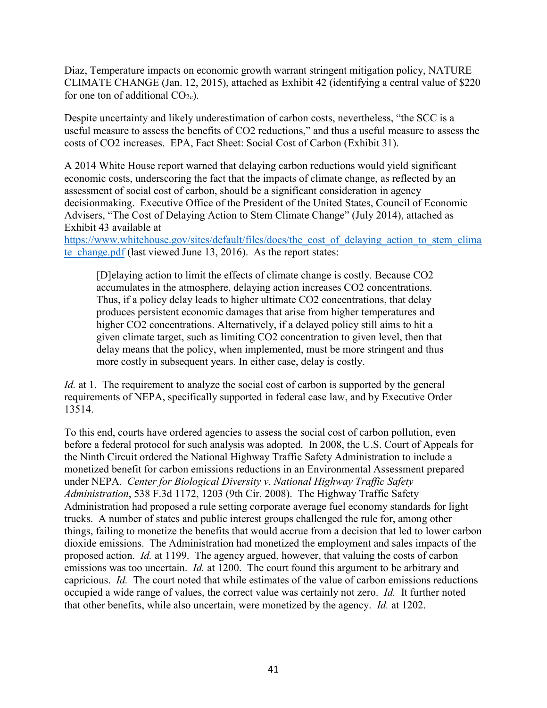Diaz, Temperature impacts on economic growth warrant stringent mitigation policy, NATURE CLIMATE CHANGE (Jan. 12, 2015), attached as Exhibit 42 (identifying a central value of \$220 for one ton of additional  $CO<sub>2e</sub>$ ).

Despite uncertainty and likely underestimation of carbon costs, nevertheless, "the SCC is a useful measure to assess the benefits of CO2 reductions," and thus a useful measure to assess the costs of CO2 increases. EPA, Fact Sheet: Social Cost of Carbon (Exhibit 31).

A 2014 White House report warned that delaying carbon reductions would yield significant economic costs, underscoring the fact that the impacts of climate change, as reflected by an assessment of social cost of carbon, should be a significant consideration in agency decisionmaking. Executive Office of the President of the United States, Council of Economic Advisers, "The Cost of Delaying Action to Stem Climate Change" (July 2014), attached as Exhibit 43 available at

[https://www.whitehouse.gov/sites/default/files/docs/the\\_cost\\_of\\_delaying\\_action\\_to\\_stem\\_clima](https://www.whitehouse.gov/sites/default/files/docs/the_cost_of_delaying_action_to_stem_climate_change.pdf) te change.pdf (last viewed June 13, 2016). As the report states:

[D]elaying action to limit the effects of climate change is costly. Because CO2 accumulates in the atmosphere, delaying action increases CO2 concentrations. Thus, if a policy delay leads to higher ultimate CO2 concentrations, that delay produces persistent economic damages that arise from higher temperatures and higher CO2 concentrations. Alternatively, if a delayed policy still aims to hit a given climate target, such as limiting CO2 concentration to given level, then that delay means that the policy, when implemented, must be more stringent and thus more costly in subsequent years. In either case, delay is costly.

*Id.* at 1. The requirement to analyze the social cost of carbon is supported by the general requirements of NEPA, specifically supported in federal case law, and by Executive Order 13514.

To this end, courts have ordered agencies to assess the social cost of carbon pollution, even before a federal protocol for such analysis was adopted. In 2008, the U.S. Court of Appeals for the Ninth Circuit ordered the National Highway Traffic Safety Administration to include a monetized benefit for carbon emissions reductions in an Environmental Assessment prepared under NEPA. *Center for Biological Diversity v. National Highway Traffic Safety Administration*, 538 F.3d 1172, 1203 (9th Cir. 2008). The Highway Traffic Safety Administration had proposed a rule setting corporate average fuel economy standards for light trucks. A number of states and public interest groups challenged the rule for, among other things, failing to monetize the benefits that would accrue from a decision that led to lower carbon dioxide emissions. The Administration had monetized the employment and sales impacts of the proposed action. *Id.* at 1199. The agency argued, however, that valuing the costs of carbon emissions was too uncertain. *Id.* at 1200. The court found this argument to be arbitrary and capricious. *Id.* The court noted that while estimates of the value of carbon emissions reductions occupied a wide range of values, the correct value was certainly not zero. *Id.* It further noted that other benefits, while also uncertain, were monetized by the agency. *Id.* at 1202.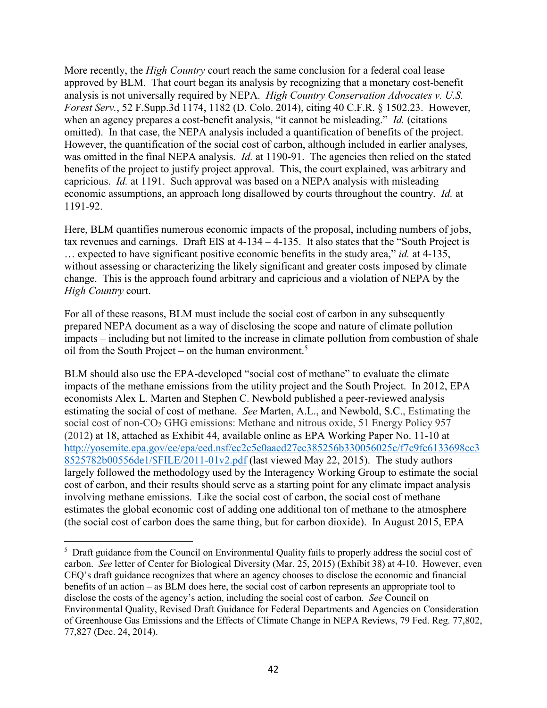More recently, the *High Country* court reach the same conclusion for a federal coal lease approved by BLM. That court began its analysis by recognizing that a monetary cost-benefit analysis is not universally required by NEPA. *High Country Conservation Advocates v. U.S. Forest Serv.*, 52 F.Supp.3d 1174, 1182 (D. Colo. 2014), citing 40 C.F.R. § 1502.23. However, when an agency prepares a cost-benefit analysis, "it cannot be misleading." *Id.* (citations omitted). In that case, the NEPA analysis included a quantification of benefits of the project. However, the quantification of the social cost of carbon, although included in earlier analyses, was omitted in the final NEPA analysis. *Id.* at 1190-91. The agencies then relied on the stated benefits of the project to justify project approval. This, the court explained, was arbitrary and capricious. *Id.* at 1191. Such approval was based on a NEPA analysis with misleading economic assumptions, an approach long disallowed by courts throughout the country. *Id.* at 1191-92.

Here, BLM quantifies numerous economic impacts of the proposal, including numbers of jobs, tax revenues and earnings. Draft EIS at 4-134 – 4-135. It also states that the "South Project is … expected to have significant positive economic benefits in the study area," *id.* at 4-135, without assessing or characterizing the likely significant and greater costs imposed by climate change. This is the approach found arbitrary and capricious and a violation of NEPA by the *High Country* court.

For all of these reasons, BLM must include the social cost of carbon in any subsequently prepared NEPA document as a way of disclosing the scope and nature of climate pollution impacts – including but not limited to the increase in climate pollution from combustion of shale oil from the South Project – on the human environment.<sup>5</sup>

BLM should also use the EPA-developed "social cost of methane" to evaluate the climate impacts of the methane emissions from the utility project and the South Project. In 2012, EPA economists Alex L. Marten and Stephen C. Newbold published a peer-reviewed analysis estimating the social of cost of methane. *See* Marten, A.L., and Newbold, S.C., Estimating the social cost of non-CO<sub>2</sub> GHG emissions: Methane and nitrous oxide, 51 Energy Policy 957 (2012) at 18, attached as Exhibit 44, available online as EPA Working Paper No. 11-10 at [http://yosemite.epa.gov/ee/epa/eed.nsf/ec2c5e0aaed27ec385256b330056025c/f7c9fc6133698cc3](http://yosemite.epa.gov/ee/epa/eed.nsf/ec2c5e0aaed27ec385256b330056025c/f7c9fc6133698cc38525782b00556de1/$FILE/2011-01v2.pdf) [8525782b00556de1/\\$FILE/2011-01v2.pdf](http://yosemite.epa.gov/ee/epa/eed.nsf/ec2c5e0aaed27ec385256b330056025c/f7c9fc6133698cc38525782b00556de1/$FILE/2011-01v2.pdf) (last viewed May 22, 2015). The study authors largely followed the methodology used by the Interagency Working Group to estimate the social cost of carbon, and their results should serve as a starting point for any climate impact analysis involving methane emissions. Like the social cost of carbon, the social cost of methane estimates the global economic cost of adding one additional ton of methane to the atmosphere (the social cost of carbon does the same thing, but for carbon dioxide). In August 2015, EPA

 $\overline{a}$ 

<sup>&</sup>lt;sup>5</sup> Draft guidance from the Council on Environmental Quality fails to properly address the social cost of carbon. *See* letter of Center for Biological Diversity (Mar. 25, 2015) (Exhibit 38) at 4-10. However, even CEQ's draft guidance recognizes that where an agency chooses to disclose the economic and financial benefits of an action – as BLM does here, the social cost of carbon represents an appropriate tool to disclose the costs of the agency's action, including the social cost of carbon. *See* Council on Environmental Quality, Revised Draft Guidance for Federal Departments and Agencies on Consideration of Greenhouse Gas Emissions and the Effects of Climate Change in NEPA Reviews, 79 Fed. Reg. 77,802, 77,827 (Dec. 24, 2014).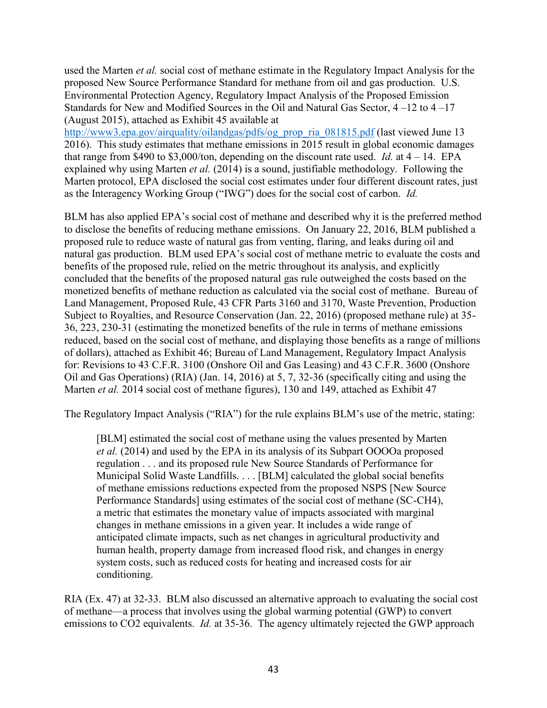used the Marten *et al.* social cost of methane estimate in the Regulatory Impact Analysis for the proposed New Source Performance Standard for methane from oil and gas production. U.S. Environmental Protection Agency, Regulatory Impact Analysis of the Proposed Emission Standards for New and Modified Sources in the Oil and Natural Gas Sector, 4 –12 to 4 –17 (August 2015), attached as Exhibit 45 available at

[http://www3.epa.gov/airquality/oilandgas/pdfs/og\\_prop\\_ria\\_081815.pdf](http://www3.epa.gov/airquality/oilandgas/pdfs/og_prop_ria_081815.pdf) (last viewed June 13 2016). This study estimates that methane emissions in 2015 result in global economic damages that range from \$490 to \$3,000/ton, depending on the discount rate used. *Id.* at  $4 - 14$ . EPA explained why using Marten *et al.* (2014) is a sound, justifiable methodology. Following the Marten protocol, EPA disclosed the social cost estimates under four different discount rates, just as the Interagency Working Group ("IWG") does for the social cost of carbon. *Id.*

BLM has also applied EPA's social cost of methane and described why it is the preferred method to disclose the benefits of reducing methane emissions. On January 22, 2016, BLM published a proposed rule to reduce waste of natural gas from venting, flaring, and leaks during oil and natural gas production. BLM used EPA's social cost of methane metric to evaluate the costs and benefits of the proposed rule, relied on the metric throughout its analysis, and explicitly concluded that the benefits of the proposed natural gas rule outweighed the costs based on the monetized benefits of methane reduction as calculated via the social cost of methane. Bureau of Land Management, Proposed Rule, 43 CFR Parts 3160 and 3170, Waste Prevention, Production Subject to Royalties, and Resource Conservation (Jan. 22, 2016) (proposed methane rule) at 35- 36, 223, 230-31 (estimating the monetized benefits of the rule in terms of methane emissions reduced, based on the social cost of methane, and displaying those benefits as a range of millions of dollars), attached as Exhibit 46; Bureau of Land Management, Regulatory Impact Analysis for: Revisions to 43 C.F.R. 3100 (Onshore Oil and Gas Leasing) and 43 C.F.R. 3600 (Onshore Oil and Gas Operations) (RIA) (Jan. 14, 2016) at 5, 7, 32-36 (specifically citing and using the Marten *et al.* 2014 social cost of methane figures), 130 and 149, attached as Exhibit 47

The Regulatory Impact Analysis ("RIA") for the rule explains BLM's use of the metric, stating:

[BLM] estimated the social cost of methane using the values presented by Marten *et al.* (2014) and used by the EPA in its analysis of its Subpart OOOOa proposed regulation . . . and its proposed rule New Source Standards of Performance for Municipal Solid Waste Landfills. . . . [BLM] calculated the global social benefits of methane emissions reductions expected from the proposed NSPS [New Source Performance Standards] using estimates of the social cost of methane (SC-CH4), a metric that estimates the monetary value of impacts associated with marginal changes in methane emissions in a given year. It includes a wide range of anticipated climate impacts, such as net changes in agricultural productivity and human health, property damage from increased flood risk, and changes in energy system costs, such as reduced costs for heating and increased costs for air conditioning.

RIA (Ex. 47) at 32-33. BLM also discussed an alternative approach to evaluating the social cost of methane—a process that involves using the global warming potential (GWP) to convert emissions to CO2 equivalents. *Id.* at 35-36. The agency ultimately rejected the GWP approach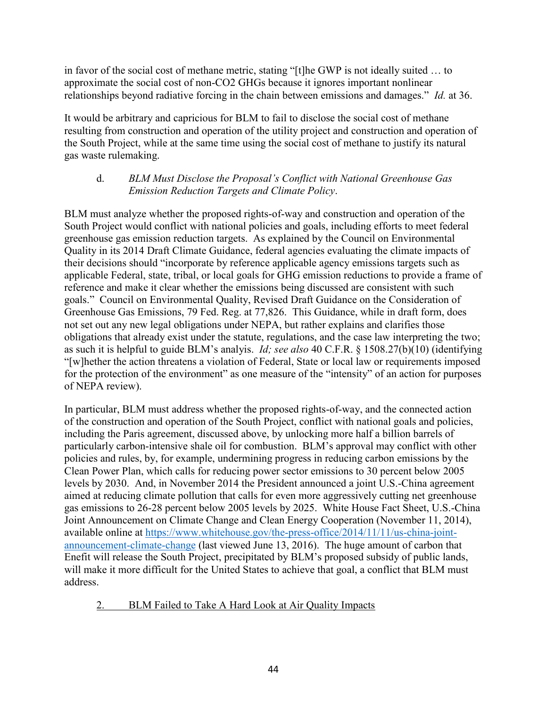in favor of the social cost of methane metric, stating "[t]he GWP is not ideally suited … to approximate the social cost of non-CO2 GHGs because it ignores important nonlinear relationships beyond radiative forcing in the chain between emissions and damages." *Id.* at 36.

It would be arbitrary and capricious for BLM to fail to disclose the social cost of methane resulting from construction and operation of the utility project and construction and operation of the South Project, while at the same time using the social cost of methane to justify its natural gas waste rulemaking.

### d. *BLM Must Disclose the Proposal's Conflict with National Greenhouse Gas Emission Reduction Targets and Climate Policy*.

BLM must analyze whether the proposed rights-of-way and construction and operation of the South Project would conflict with national policies and goals, including efforts to meet federal greenhouse gas emission reduction targets. As explained by the Council on Environmental Quality in its 2014 Draft Climate Guidance, federal agencies evaluating the climate impacts of their decisions should "incorporate by reference applicable agency emissions targets such as applicable Federal, state, tribal, or local goals for GHG emission reductions to provide a frame of reference and make it clear whether the emissions being discussed are consistent with such goals." Council on Environmental Quality, Revised Draft Guidance on the Consideration of Greenhouse Gas Emissions, 79 Fed. Reg. at 77,826. This Guidance, while in draft form, does not set out any new legal obligations under NEPA, but rather explains and clarifies those obligations that already exist under the statute, regulations, and the case law interpreting the two; as such it is helpful to guide BLM's analyis. *Id; see also* 40 C.F.R. § 1508.27(b)(10) (identifying "[w]hether the action threatens a violation of Federal, State or local law or requirements imposed for the protection of the environment" as one measure of the "intensity" of an action for purposes of NEPA review).

In particular, BLM must address whether the proposed rights-of-way, and the connected action of the construction and operation of the South Project, conflict with national goals and policies, including the Paris agreement, discussed above, by unlocking more half a billion barrels of particularly carbon-intensive shale oil for combustion. BLM's approval may conflict with other policies and rules, by, for example, undermining progress in reducing carbon emissions by the Clean Power Plan, which calls for reducing power sector emissions to 30 percent below 2005 levels by 2030. And, in November 2014 the President announced a joint U.S.-China agreement aimed at reducing climate pollution that calls for even more aggressively cutting net greenhouse gas emissions to 26-28 percent below 2005 levels by 2025. White House Fact Sheet, U.S.-China Joint Announcement on Climate Change and Clean Energy Cooperation (November 11, 2014), available online at [https://www.whitehouse.gov/the-press-office/2014/11/11/us-china-joint](https://www.whitehouse.gov/the-press-office/2014/11/11/us-china-joint-announcement-climate-change)[announcement-climate-change](https://www.whitehouse.gov/the-press-office/2014/11/11/us-china-joint-announcement-climate-change) (last viewed June 13, 2016). The huge amount of carbon that Enefit will release the South Project, precipitated by BLM's proposed subsidy of public lands, will make it more difficult for the United States to achieve that goal, a conflict that BLM must address.

# 2. BLM Failed to Take A Hard Look at Air Quality Impacts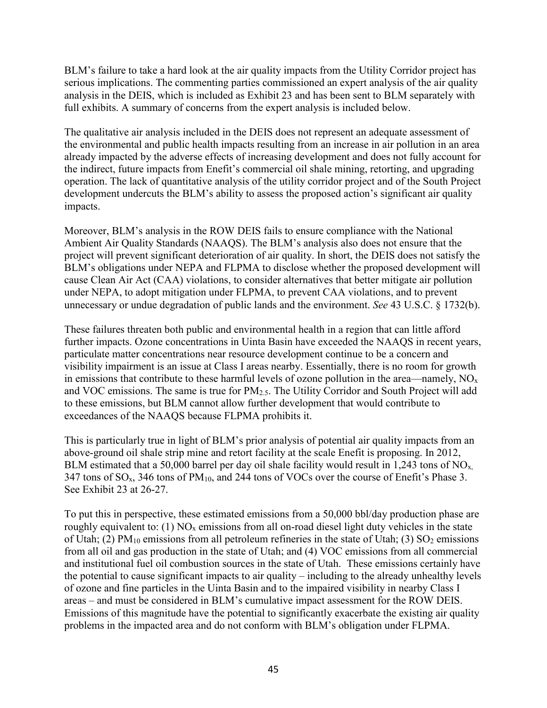BLM's failure to take a hard look at the air quality impacts from the Utility Corridor project has serious implications. The commenting parties commissioned an expert analysis of the air quality analysis in the DEIS, which is included as Exhibit 23 and has been sent to BLM separately with full exhibits. A summary of concerns from the expert analysis is included below.

The qualitative air analysis included in the DEIS does not represent an adequate assessment of the environmental and public health impacts resulting from an increase in air pollution in an area already impacted by the adverse effects of increasing development and does not fully account for the indirect, future impacts from Enefit's commercial oil shale mining, retorting, and upgrading operation. The lack of quantitative analysis of the utility corridor project and of the South Project development undercuts the BLM's ability to assess the proposed action's significant air quality impacts.

Moreover, BLM's analysis in the ROW DEIS fails to ensure compliance with the National Ambient Air Quality Standards (NAAQS). The BLM's analysis also does not ensure that the project will prevent significant deterioration of air quality. In short, the DEIS does not satisfy the BLM's obligations under NEPA and FLPMA to disclose whether the proposed development will cause Clean Air Act (CAA) violations, to consider alternatives that better mitigate air pollution under NEPA, to adopt mitigation under FLPMA, to prevent CAA violations, and to prevent unnecessary or undue degradation of public lands and the environment. *See* 43 U.S.C. § 1732(b).

These failures threaten both public and environmental health in a region that can little afford further impacts. Ozone concentrations in Uinta Basin have exceeded the NAAQS in recent years, particulate matter concentrations near resource development continue to be a concern and visibility impairment is an issue at Class I areas nearby. Essentially, there is no room for growth in emissions that contribute to these harmful levels of ozone pollution in the area—namely,  $NO<sub>x</sub>$ and VOC emissions. The same is true for PM2.5. The Utility Corridor and South Project will add to these emissions, but BLM cannot allow further development that would contribute to exceedances of the NAAQS because FLPMA prohibits it.

This is particularly true in light of BLM's prior analysis of potential air quality impacts from an above-ground oil shale strip mine and retort facility at the scale Enefit is proposing. In 2012, BLM estimated that a 50,000 barrel per day oil shale facility would result in 1,243 tons of  $NO<sub>x</sub>$ . 347 tons of  $SO_x$ , 346 tons of  $PM_{10}$ , and 244 tons of VOCs over the course of Enefit's Phase 3. See Exhibit 23 at 26-27.

To put this in perspective, these estimated emissions from a 50,000 bbl/day production phase are roughly equivalent to: (1)  $NO<sub>x</sub>$  emissions from all on-road diesel light duty vehicles in the state of Utah; (2)  $PM_{10}$  emissions from all petroleum refineries in the state of Utah; (3)  $SO_2$  emissions from all oil and gas production in the state of Utah; and (4) VOC emissions from all commercial and institutional fuel oil combustion sources in the state of Utah. These emissions certainly have the potential to cause significant impacts to air quality – including to the already unhealthy levels of ozone and fine particles in the Uinta Basin and to the impaired visibility in nearby Class I areas – and must be considered in BLM's cumulative impact assessment for the ROW DEIS. Emissions of this magnitude have the potential to significantly exacerbate the existing air quality problems in the impacted area and do not conform with BLM's obligation under FLPMA.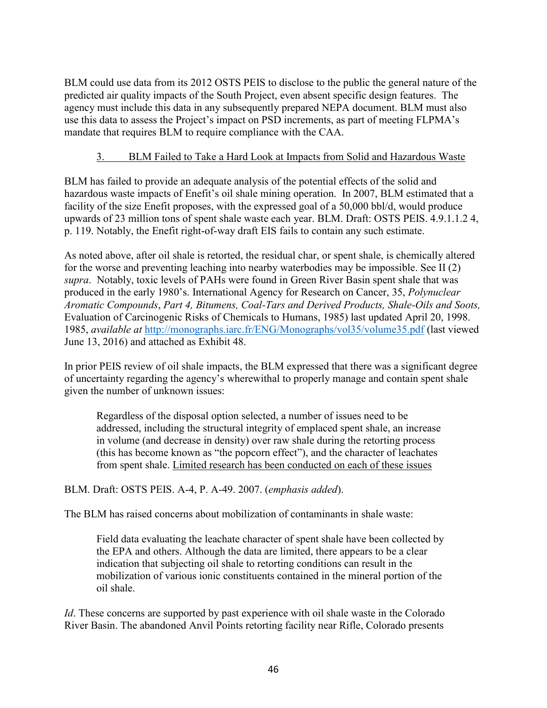BLM could use data from its 2012 OSTS PEIS to disclose to the public the general nature of the predicted air quality impacts of the South Project, even absent specific design features. The agency must include this data in any subsequently prepared NEPA document. BLM must also use this data to assess the Project's impact on PSD increments, as part of meeting FLPMA's mandate that requires BLM to require compliance with the CAA.

## 3. BLM Failed to Take a Hard Look at Impacts from Solid and Hazardous Waste

BLM has failed to provide an adequate analysis of the potential effects of the solid and hazardous waste impacts of Enefit's oil shale mining operation. In 2007, BLM estimated that a facility of the size Enefit proposes, with the expressed goal of a 50,000 bbl/d, would produce upwards of 23 million tons of spent shale waste each year. BLM. Draft: OSTS PEIS. 4.9.1.1.2 4, p. 119. Notably, the Enefit right-of-way draft EIS fails to contain any such estimate.

As noted above, after oil shale is retorted, the residual char, or spent shale, is chemically altered for the worse and preventing leaching into nearby waterbodies may be impossible. See II (2) *supra*. Notably, toxic levels of PAHs were found in Green River Basin spent shale that was produced in the early 1980's. International Agency for Research on Cancer, 35, *Polynuclear Aromatic Compounds*, *Part 4, Bitumens, Coal-Tars and Derived Products, Shale-Oils and Soots,*  Evaluation of Carcinogenic Risks of Chemicals to Humans, 1985) last updated April 20, 1998. 1985, *available at* <http://monographs.iarc.fr/ENG/Monographs/vol35/volume35.pdf> (last viewed June 13, 2016) and attached as Exhibit 48.

In prior PEIS review of oil shale impacts, the BLM expressed that there was a significant degree of uncertainty regarding the agency's wherewithal to properly manage and contain spent shale given the number of unknown issues:

Regardless of the disposal option selected, a number of issues need to be addressed, including the structural integrity of emplaced spent shale, an increase in volume (and decrease in density) over raw shale during the retorting process (this has become known as "the popcorn effect"), and the character of leachates from spent shale. Limited research has been conducted on each of these issues

BLM. Draft: OSTS PEIS. A-4, P. A-49. 2007. (*emphasis added*).

The BLM has raised concerns about mobilization of contaminants in shale waste:

Field data evaluating the leachate character of spent shale have been collected by the EPA and others. Although the data are limited, there appears to be a clear indication that subjecting oil shale to retorting conditions can result in the mobilization of various ionic constituents contained in the mineral portion of the oil shale.

*Id*. These concerns are supported by past experience with oil shale waste in the Colorado River Basin. The abandoned Anvil Points retorting facility near Rifle, Colorado presents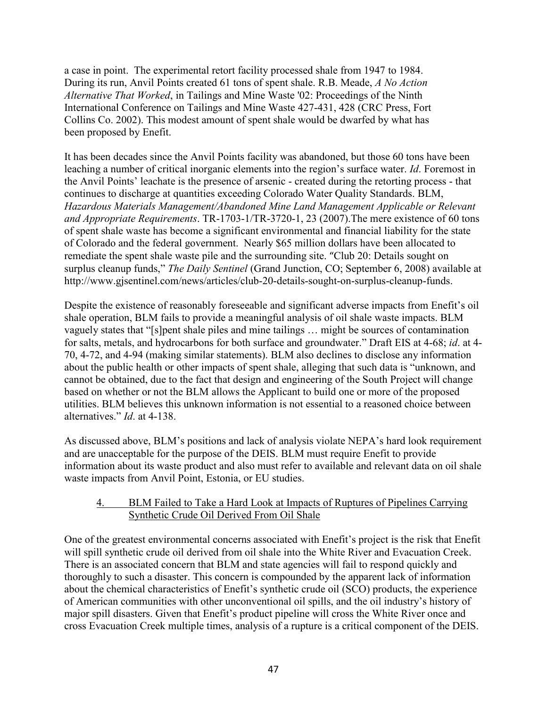a case in point. The experimental retort facility processed shale from 1947 to 1984. During its run, Anvil Points created 61 tons of spent shale. R.B. Meade, *A No Action Alternative That Worked*, in Tailings and Mine Waste '02: Proceedings of the Ninth International Conference on Tailings and Mine Waste 427-431, 428 (CRC Press, Fort Collins Co. 2002). This modest amount of spent shale would be dwarfed by what has been proposed by Enefit.

It has been decades since the Anvil Points facility was abandoned, but those 60 tons have been leaching a number of critical inorganic elements into the region's surface water. *Id*. Foremost in the Anvil Points' leachate is the presence of arsenic - created during the retorting process - that continues to discharge at quantities exceeding Colorado Water Quality Standards. BLM, *Hazardous Materials Management/Abandoned Mine Land Management Applicable or Relevant and Appropriate Requirements*. TR-1703-1/TR-3720-1, 23 (2007).The mere existence of 60 tons of spent shale waste has become a significant environmental and financial liability for the state of Colorado and the federal government. Nearly \$65 million dollars have been allocated to remediate the spent shale waste pile and the surrounding site. "Club 20: Details sought on surplus cleanup funds," *The Daily Sentinel* (Grand Junction, CO; September 6, 2008) available at http://www.gjsentinel.com/news/articles/club-20-details-sought-on-surplus-cleanup-funds.

Despite the existence of reasonably foreseeable and significant adverse impacts from Enefit's oil shale operation, BLM fails to provide a meaningful analysis of oil shale waste impacts. BLM vaguely states that "[s]pent shale piles and mine tailings … might be sources of contamination for salts, metals, and hydrocarbons for both surface and groundwater." Draft EIS at 4-68; *id*. at 4- 70, 4-72, and 4-94 (making similar statements). BLM also declines to disclose any information about the public health or other impacts of spent shale, alleging that such data is "unknown, and cannot be obtained, due to the fact that design and engineering of the South Project will change based on whether or not the BLM allows the Applicant to build one or more of the proposed utilities. BLM believes this unknown information is not essential to a reasoned choice between alternatives." *Id*. at 4-138.

As discussed above, BLM's positions and lack of analysis violate NEPA's hard look requirement and are unacceptable for the purpose of the DEIS. BLM must require Enefit to provide information about its waste product and also must refer to available and relevant data on oil shale waste impacts from Anvil Point, Estonia, or EU studies.

### 4. BLM Failed to Take a Hard Look at Impacts of Ruptures of Pipelines Carrying Synthetic Crude Oil Derived From Oil Shale

One of the greatest environmental concerns associated with Enefit's project is the risk that Enefit will spill synthetic crude oil derived from oil shale into the White River and Evacuation Creek. There is an associated concern that BLM and state agencies will fail to respond quickly and thoroughly to such a disaster. This concern is compounded by the apparent lack of information about the chemical characteristics of Enefit's synthetic crude oil (SCO) products, the experience of American communities with other unconventional oil spills, and the oil industry's history of major spill disasters. Given that Enefit's product pipeline will cross the White River once and cross Evacuation Creek multiple times, analysis of a rupture is a critical component of the DEIS.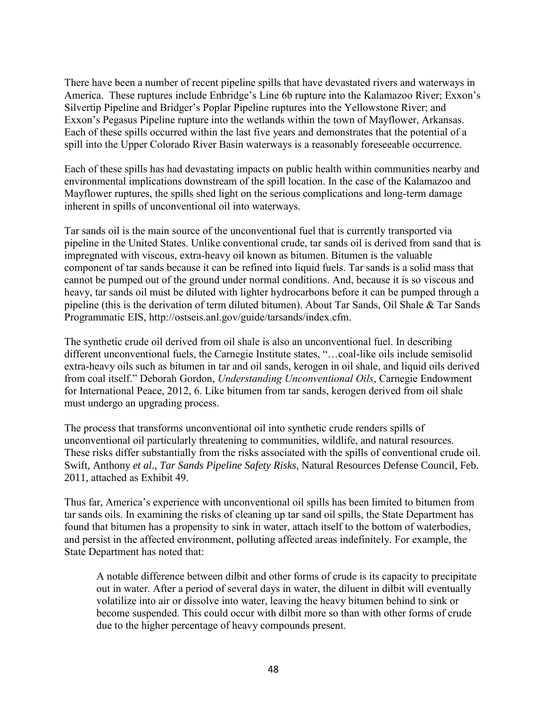There have been a number of recent pipeline spills that have devastated rivers and waterways in America. These ruptures include Enbridge's Line 6b rupture into the Kalamazoo River; Exxon's Silvertip Pipeline and Bridger's Poplar Pipeline ruptures into the Yellowstone River; and Exxon's Pegasus Pipeline rupture into the wetlands within the town of Mayflower, Arkansas. Each of these spills occurred within the last five years and demonstrates that the potential of a spill into the Upper Colorado River Basin waterways is a reasonably foreseeable occurrence.

Each of these spills has had devastating impacts on public health within communities nearby and environmental implications downstream of the spill location. In the case of the Kalamazoo and Mayflower ruptures, the spills shed light on the serious complications and long-term damage inherent in spills of unconventional oil into waterways.

Tar sands oil is the main source of the unconventional fuel that is currently transported via pipeline in the United States. Unlike conventional crude, tar sands oil is derived from sand that is impregnated with viscous, extra-heavy oil known as bitumen. Bitumen is the valuable component of tar sands because it can be refined into liquid fuels. Tar sands is a solid mass that cannot be pumped out of the ground under normal conditions. And, because it is so viscous and heavy, tar sands oil must be diluted with lighter hydrocarbons before it can be pumped through a pipeline (this is the derivation of term diluted bitumen). About Tar Sands, Oil Shale & Tar Sands Programmatic EIS, http://ostseis.anl.gov/guide/tarsands/index.cfm.

The synthetic crude oil derived from oil shale is also an unconventional fuel. In describing different unconventional fuels, the Carnegie Institute states, "…coal-like oils include semisolid extra-heavy oils such as bitumen in tar and oil sands, kerogen in oil shale, and liquid oils derived from coal itself." Deborah Gordon, *Understanding Unconventional Oils*, Carnegie Endowment for International Peace, 2012, 6. Like bitumen from tar sands, kerogen derived from oil shale must undergo an upgrading process.

The process that transforms unconventional oil into synthetic crude renders spills of unconventional oil particularly threatening to communities, wildlife, and natural resources. These risks differ substantially from the risks associated with the spills of conventional crude oil. Swift, Anthony *et al*., *Tar Sands Pipeline Safety Risks*, Natural Resources Defense Council, Feb. 2011, attached as Exhibit 49.

Thus far, America's experience with unconventional oil spills has been limited to bitumen from tar sands oils. In examining the risks of cleaning up tar sand oil spills, the State Department has found that bitumen has a propensity to sink in water, attach itself to the bottom of waterbodies, and persist in the affected environment, polluting affected areas indefinitely. For example, the State Department has noted that:

A notable difference between dilbit and other forms of crude is its capacity to precipitate out in water. After a period of several days in water, the diluent in dilbit will eventually volatilize into air or dissolve into water, leaving the heavy bitumen behind to sink or become suspended. This could occur with dilbit more so than with other forms of crude due to the higher percentage of heavy compounds present.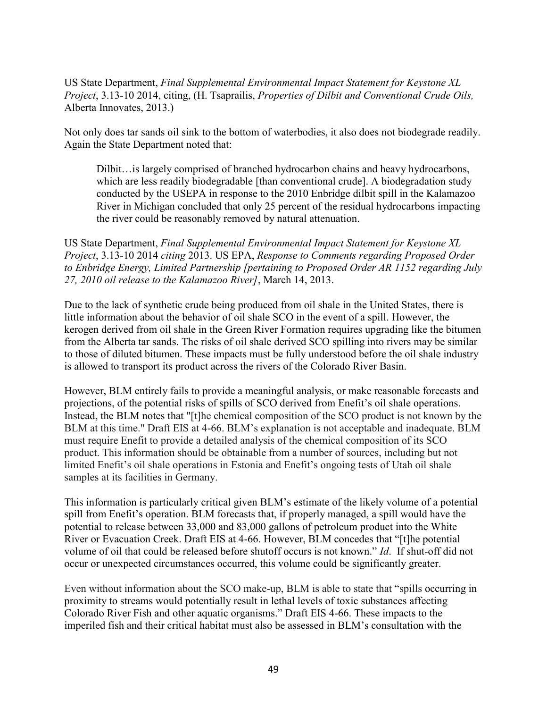US State Department, *Final Supplemental Environmental Impact Statement for Keystone XL Project*, 3.13-10 2014, citing, (H. Tsaprailis, *Properties of Dilbit and Conventional Crude Oils,* Alberta Innovates, 2013.)

Not only does tar sands oil sink to the bottom of waterbodies, it also does not biodegrade readily. Again the State Department noted that:

Dilbit…is largely comprised of branched hydrocarbon chains and heavy hydrocarbons, which are less readily biodegradable [than conventional crude]. A biodegradation study conducted by the USEPA in response to the 2010 Enbridge dilbit spill in the Kalamazoo River in Michigan concluded that only 25 percent of the residual hydrocarbons impacting the river could be reasonably removed by natural attenuation.

US State Department, *Final Supplemental Environmental Impact Statement for Keystone XL Project*, 3.13-10 2014 *citing* 2013. US EPA, *Response to Comments regarding Proposed Order to Enbridge Energy, Limited Partnership [pertaining to Proposed Order AR 1152 regarding July 27, 2010 oil release to the Kalamazoo River]*, March 14, 2013.

Due to the lack of synthetic crude being produced from oil shale in the United States, there is little information about the behavior of oil shale SCO in the event of a spill. However, the kerogen derived from oil shale in the Green River Formation requires upgrading like the bitumen from the Alberta tar sands. The risks of oil shale derived SCO spilling into rivers may be similar to those of diluted bitumen. These impacts must be fully understood before the oil shale industry is allowed to transport its product across the rivers of the Colorado River Basin.

However, BLM entirely fails to provide a meaningful analysis, or make reasonable forecasts and projections, of the potential risks of spills of SCO derived from Enefit's oil shale operations. Instead, the BLM notes that "[t]he chemical composition of the SCO product is not known by the BLM at this time." Draft EIS at 4-66. BLM's explanation is not acceptable and inadequate. BLM must require Enefit to provide a detailed analysis of the chemical composition of its SCO product. This information should be obtainable from a number of sources, including but not limited Enefit's oil shale operations in Estonia and Enefit's ongoing tests of Utah oil shale samples at its facilities in Germany.

This information is particularly critical given BLM's estimate of the likely volume of a potential spill from Enefit's operation. BLM forecasts that, if properly managed, a spill would have the potential to release between 33,000 and 83,000 gallons of petroleum product into the White River or Evacuation Creek. Draft EIS at 4-66. However, BLM concedes that "[t]he potential volume of oil that could be released before shutoff occurs is not known." *Id*. If shut-off did not occur or unexpected circumstances occurred, this volume could be significantly greater.

Even without information about the SCO make-up, BLM is able to state that "spills occurring in proximity to streams would potentially result in lethal levels of toxic substances affecting Colorado River Fish and other aquatic organisms." Draft EIS 4-66. These impacts to the imperiled fish and their critical habitat must also be assessed in BLM's consultation with the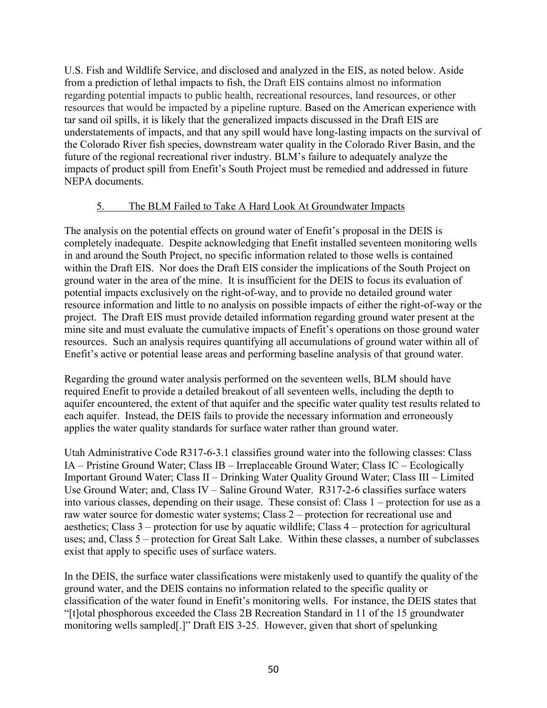U.S. Fish and Wildlife Service, and disclosed and analyzed in the EIS, as noted below. Aside from a prediction of lethal impacts to fish, the Draft EIS contains almost no information regarding potential impacts to public health, recreational resources, land resources, or other resources that would be impacted by a pipeline rupture. Based on the American experience with tar sand oil spills, it is likely that the generalized impacts discussed in the Draft EIS are understatements of impacts, and that any spill would have long-lasting impacts on the survival of the Colorado River fish species, downstream water quality in the Colorado River Basin, and the future of the regional recreational river industry. BLM's failure to adequately analyze the impacts of product spill from Enefit's South Project must be remedied and addressed in future NEPA documents.

### 5. The BLM Failed to Take A Hard Look At Groundwater Impacts

The analysis on the potential effects on ground water of Enefit's proposal in the DEIS is completely inadequate. Despite acknowledging that Enefit installed seventeen monitoring wells in and around the South Project, no specific information related to those wells is contained within the Draft EIS. Nor does the Draft EIS consider the implications of the South Project on ground water in the area of the mine. It is insufficient for the DEIS to focus its evaluation of potential impacts exclusively on the right-of-way, and to provide no detailed ground water resource information and little to no analysis on possible impacts of either the right-of-way or the project. The Draft EIS must provide detailed information regarding ground water present at the mine site and must evaluate the cumulative impacts of Enefit's operations on those ground water resources. Such an analysis requires quantifying all accumulations of ground water within all of Enefit's active or potential lease areas and performing baseline analysis of that ground water.

Regarding the ground water analysis performed on the seventeen wells, BLM should have required Enefit to provide a detailed breakout of all seventeen wells, including the depth to aquifer encountered, the extent of that aquifer and the specific water quality test results related to each aquifer. Instead, the DEIS fails to provide the necessary information and erroneously applies the water quality standards for surface water rather than ground water.

Utah Administrative Code R317-6-3.1 classifies ground water into the following classes: Class IA – Pristine Ground Water; Class IB – Irreplaceable Ground Water; Class IC – Ecologically Important Ground Water; Class II – Drinking Water Quality Ground Water; Class III – Limited Use Ground Water; and, Class IV – Saline Ground Water. R317-2-6 classifies surface waters into various classes, depending on their usage. These consist of: Class 1 – protection for use as a raw water source for domestic water systems; Class 2 – protection for recreational use and aesthetics; Class 3 – protection for use by aquatic wildlife; Class 4 – protection for agricultural uses; and, Class 5 – protection for Great Salt Lake. Within these classes, a number of subclasses exist that apply to specific uses of surface waters.

In the DEIS, the surface water classifications were mistakenly used to quantify the quality of the ground water, and the DEIS contains no information related to the specific quality or classification of the water found in Enefit's monitoring wells. For instance, the DEIS states that "[t]otal phosphorous exceeded the Class 2B Recreation Standard in 11 of the 15 groundwater monitoring wells sampled[.]" Draft EIS 3-25. However, given that short of spelunking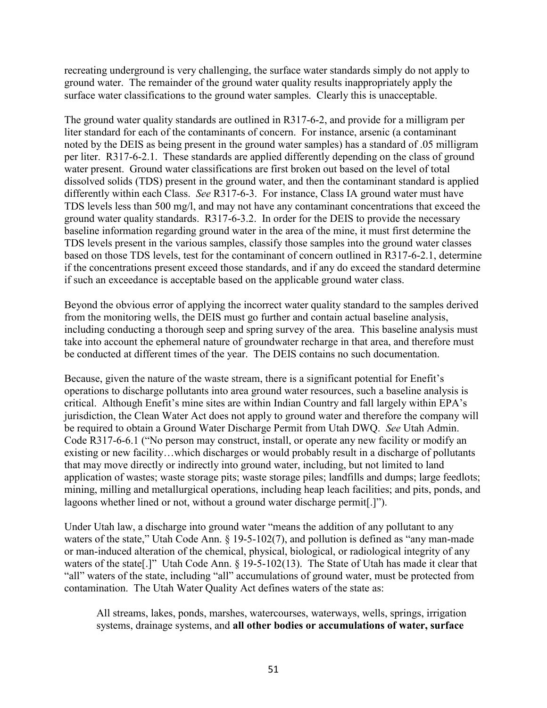recreating underground is very challenging, the surface water standards simply do not apply to ground water. The remainder of the ground water quality results inappropriately apply the surface water classifications to the ground water samples. Clearly this is unacceptable.

The ground water quality standards are outlined in R317-6-2, and provide for a milligram per liter standard for each of the contaminants of concern. For instance, arsenic (a contaminant noted by the DEIS as being present in the ground water samples) has a standard of .05 milligram per liter. R317-6-2.1. These standards are applied differently depending on the class of ground water present. Ground water classifications are first broken out based on the level of total dissolved solids (TDS) present in the ground water, and then the contaminant standard is applied differently within each Class. *See* R317-6-3. For instance, Class IA ground water must have TDS levels less than 500 mg/l, and may not have any contaminant concentrations that exceed the ground water quality standards. R317-6-3.2. In order for the DEIS to provide the necessary baseline information regarding ground water in the area of the mine, it must first determine the TDS levels present in the various samples, classify those samples into the ground water classes based on those TDS levels, test for the contaminant of concern outlined in R317-6-2.1, determine if the concentrations present exceed those standards, and if any do exceed the standard determine if such an exceedance is acceptable based on the applicable ground water class.

Beyond the obvious error of applying the incorrect water quality standard to the samples derived from the monitoring wells, the DEIS must go further and contain actual baseline analysis, including conducting a thorough seep and spring survey of the area. This baseline analysis must take into account the ephemeral nature of groundwater recharge in that area, and therefore must be conducted at different times of the year. The DEIS contains no such documentation.

Because, given the nature of the waste stream, there is a significant potential for Enefit's operations to discharge pollutants into area ground water resources, such a baseline analysis is critical. Although Enefit's mine sites are within Indian Country and fall largely within EPA's jurisdiction, the Clean Water Act does not apply to ground water and therefore the company will be required to obtain a Ground Water Discharge Permit from Utah DWQ. *See* Utah Admin. Code R317-6-6.1 ("No person may construct, install, or operate any new facility or modify an existing or new facility…which discharges or would probably result in a discharge of pollutants that may move directly or indirectly into ground water, including, but not limited to land application of wastes; waste storage pits; waste storage piles; landfills and dumps; large feedlots; mining, milling and metallurgical operations, including heap leach facilities; and pits, ponds, and lagoons whether lined or not, without a ground water discharge permit[.]").

Under Utah law, a discharge into ground water "means the addition of any pollutant to any waters of the state," Utah Code Ann. § 19-5-102(7), and pollution is defined as "any man-made" or man-induced alteration of the chemical, physical, biological, or radiological integrity of any waters of the state<sup>[1]</sup> Utah Code Ann. § 19-5-102(13). The State of Utah has made it clear that "all" waters of the state, including "all" accumulations of ground water, must be protected from contamination. The Utah Water Quality Act defines waters of the state as:

All streams, lakes, ponds, marshes, watercourses, waterways, wells, springs, irrigation systems, drainage systems, and **all other bodies or accumulations of water, surface**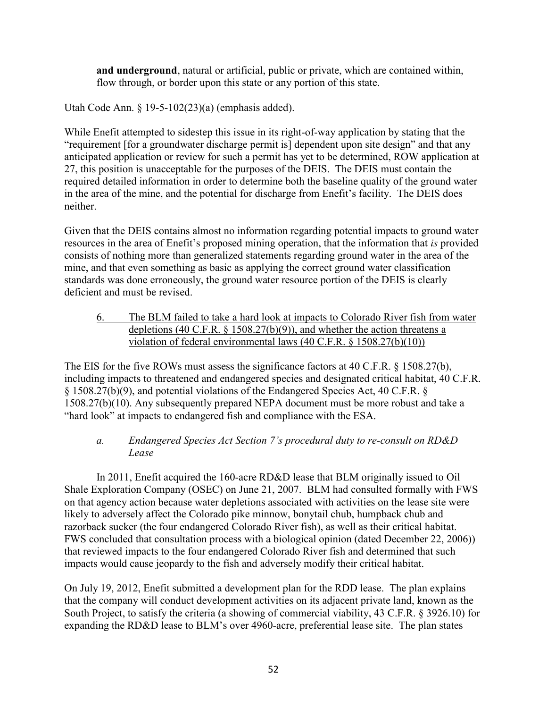**and underground**, natural or artificial, public or private, which are contained within, flow through, or border upon this state or any portion of this state.

Utah Code Ann. § 19-5-102(23)(a) (emphasis added).

While Enefit attempted to sidestep this issue in its right-of-way application by stating that the "requirement [for a groundwater discharge permit is] dependent upon site design" and that any anticipated application or review for such a permit has yet to be determined, ROW application at 27, this position is unacceptable for the purposes of the DEIS. The DEIS must contain the required detailed information in order to determine both the baseline quality of the ground water in the area of the mine, and the potential for discharge from Enefit's facility. The DEIS does neither.

Given that the DEIS contains almost no information regarding potential impacts to ground water resources in the area of Enefit's proposed mining operation, that the information that *is* provided consists of nothing more than generalized statements regarding ground water in the area of the mine, and that even something as basic as applying the correct ground water classification standards was done erroneously, the ground water resource portion of the DEIS is clearly deficient and must be revised.

6. The BLM failed to take a hard look at impacts to Colorado River fish from water depletions (40 C.F.R. § 1508.27(b)(9)), and whether the action threatens a violation of federal environmental laws (40 C.F.R. § 1508.27(b)(10))

The EIS for the five ROWs must assess the significance factors at 40 C.F.R. § 1508.27(b), including impacts to threatened and endangered species and designated critical habitat, 40 C.F.R. § 1508.27(b)(9), and potential violations of the Endangered Species Act, 40 C.F.R. § 1508.27(b)(10). Any subsequently prepared NEPA document must be more robust and take a "hard look" at impacts to endangered fish and compliance with the ESA.

### *a. Endangered Species Act Section 7's procedural duty to re-consult on RD&D Lease*

In 2011, Enefit acquired the 160-acre RD&D lease that BLM originally issued to Oil Shale Exploration Company (OSEC) on June 21, 2007. BLM had consulted formally with FWS on that agency action because water depletions associated with activities on the lease site were likely to adversely affect the Colorado pike minnow, bonytail chub, humpback chub and razorback sucker (the four endangered Colorado River fish), as well as their critical habitat. FWS concluded that consultation process with a biological opinion (dated December 22, 2006)) that reviewed impacts to the four endangered Colorado River fish and determined that such impacts would cause jeopardy to the fish and adversely modify their critical habitat.

On July 19, 2012, Enefit submitted a development plan for the RDD lease. The plan explains that the company will conduct development activities on its adjacent private land, known as the South Project, to satisfy the criteria (a showing of commercial viability, 43 C.F.R. § 3926.10) for expanding the RD&D lease to BLM's over 4960-acre, preferential lease site. The plan states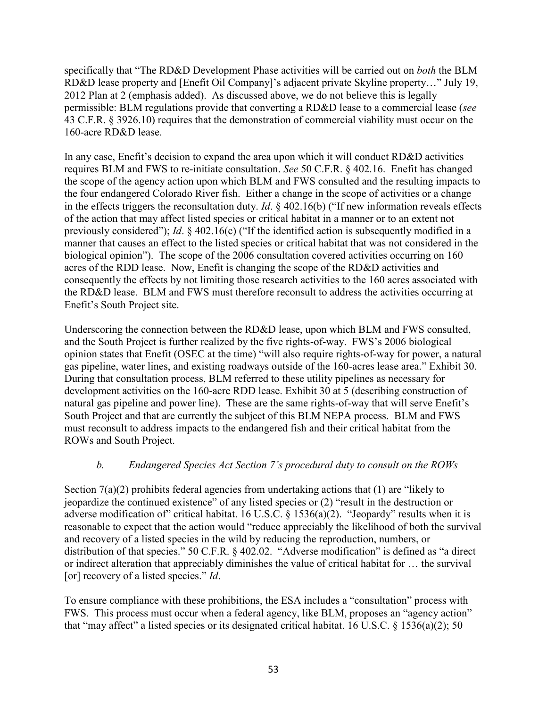specifically that "The RD&D Development Phase activities will be carried out on *both* the BLM RD&D lease property and [Enefit Oil Company]'s adjacent private Skyline property…" July 19, 2012 Plan at 2 (emphasis added). As discussed above, we do not believe this is legally permissible: BLM regulations provide that converting a RD&D lease to a commercial lease (*see* 43 C.F.R. § 3926.10) requires that the demonstration of commercial viability must occur on the 160-acre RD&D lease.

In any case, Enefit's decision to expand the area upon which it will conduct RD&D activities requires BLM and FWS to re-initiate consultation. *See* 50 C.F.R. § 402.16. Enefit has changed the scope of the agency action upon which BLM and FWS consulted and the resulting impacts to the four endangered Colorado River fish. Either a change in the scope of activities or a change in the effects triggers the reconsultation duty. *Id*. § 402.16(b) ("If new information reveals effects of the action that may affect listed species or critical habitat in a manner or to an extent not previously considered"); *Id*. § 402.16(c) ("If the identified action is subsequently modified in a manner that causes an effect to the listed species or critical habitat that was not considered in the biological opinion"). The scope of the 2006 consultation covered activities occurring on 160 acres of the RDD lease. Now, Enefit is changing the scope of the RD&D activities and consequently the effects by not limiting those research activities to the 160 acres associated with the RD&D lease. BLM and FWS must therefore reconsult to address the activities occurring at Enefit's South Project site.

Underscoring the connection between the RD&D lease, upon which BLM and FWS consulted, and the South Project is further realized by the five rights-of-way. FWS's 2006 biological opinion states that Enefit (OSEC at the time) "will also require rights-of-way for power, a natural gas pipeline, water lines, and existing roadways outside of the 160-acres lease area." Exhibit 30. During that consultation process, BLM referred to these utility pipelines as necessary for development activities on the 160-acre RDD lease. Exhibit 30 at 5 (describing construction of natural gas pipeline and power line). These are the same rights-of-way that will serve Enefit's South Project and that are currently the subject of this BLM NEPA process. BLM and FWS must reconsult to address impacts to the endangered fish and their critical habitat from the ROWs and South Project.

### *b. Endangered Species Act Section 7's procedural duty to consult on the ROWs*

Section 7(a)(2) prohibits federal agencies from undertaking actions that (1) are "likely to jeopardize the continued existence" of any listed species or (2) "result in the destruction or adverse modification of" critical habitat. 16 U.S.C. § 1536(a)(2). "Jeopardy" results when it is reasonable to expect that the action would "reduce appreciably the likelihood of both the survival and recovery of a listed species in the wild by reducing the reproduction, numbers, or distribution of that species." 50 C.F.R. § 402.02. "Adverse modification" is defined as "a direct or indirect alteration that appreciably diminishes the value of critical habitat for … the survival [or] recovery of a listed species." *Id*.

To ensure compliance with these prohibitions, the ESA includes a "consultation" process with FWS. This process must occur when a federal agency, like BLM, proposes an "agency action" that "may affect" a listed species or its designated critical habitat. 16 U.S.C. § 1536(a)(2); 50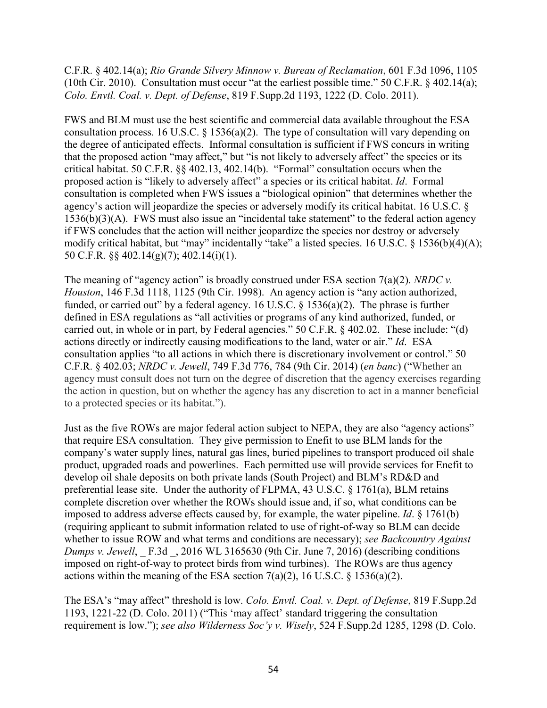C.F.R. § 402.14(a); *Rio Grande Silvery Minnow v. Bureau of Reclamation*, 601 F.3d 1096, 1105 (10th Cir. 2010). Consultation must occur "at the earliest possible time." 50 C.F.R. § 402.14(a); *Colo. Envtl. Coal. v. Dept. of Defense*, 819 F.Supp.2d 1193, 1222 (D. Colo. 2011).

FWS and BLM must use the best scientific and commercial data available throughout the ESA consultation process. 16 U.S.C. § 1536(a)(2). The type of consultation will vary depending on the degree of anticipated effects. Informal consultation is sufficient if FWS concurs in writing that the proposed action "may affect," but "is not likely to adversely affect" the species or its critical habitat. 50 C.F.R. §§ 402.13, 402.14(b). "Formal" consultation occurs when the proposed action is "likely to adversely affect" a species or its critical habitat. *Id*. Formal consultation is completed when FWS issues a "biological opinion" that determines whether the agency's action will jeopardize the species or adversely modify its critical habitat. 16 U.S.C. § 1536(b)(3)(A). FWS must also issue an "incidental take statement" to the federal action agency if FWS concludes that the action will neither jeopardize the species nor destroy or adversely modify critical habitat, but "may" incidentally "take" a listed species. 16 U.S.C. § 1536(b)(4)(A); 50 C.F.R. §§ 402.14(g)(7); 402.14(i)(1).

The meaning of "agency action" is broadly construed under ESA section 7(a)(2). *NRDC v. Houston*, 146 F.3d 1118, 1125 (9th Cir. 1998). An agency action is "any action authorized, funded, or carried out" by a federal agency. 16 U.S.C. § 1536(a)(2). The phrase is further defined in ESA regulations as "all activities or programs of any kind authorized, funded, or carried out, in whole or in part, by Federal agencies." 50 C.F.R. § 402.02. These include: "(d) actions directly or indirectly causing modifications to the land, water or air." *Id*. ESA consultation applies "to all actions in which there is discretionary involvement or control." 50 C.F.R. § 402.03; *NRDC v. Jewell*, 749 F.3d 776, 784 (9th Cir. 2014) (*en banc*) ("Whether an agency must consult does not turn on the degree of discretion that the agency exercises regarding the action in question, but on whether the agency has any discretion to act in a manner beneficial to a protected species or its habitat.").

Just as the five ROWs are major federal action subject to NEPA, they are also "agency actions" that require ESA consultation. They give permission to Enefit to use BLM lands for the company's water supply lines, natural gas lines, buried pipelines to transport produced oil shale product, upgraded roads and powerlines. Each permitted use will provide services for Enefit to develop oil shale deposits on both private lands (South Project) and BLM's RD&D and preferential lease site. Under the authority of FLPMA, 43 U.S.C. § 1761(a), BLM retains complete discretion over whether the ROWs should issue and, if so, what conditions can be imposed to address adverse effects caused by, for example, the water pipeline. *Id*. § 1761(b) (requiring applicant to submit information related to use of right-of-way so BLM can decide whether to issue ROW and what terms and conditions are necessary); *see Backcountry Against Dumps v. Jewell*, F.3d . 2016 WL 3165630 (9th Cir. June 7, 2016) (describing conditions imposed on right-of-way to protect birds from wind turbines). The ROWs are thus agency actions within the meaning of the ESA section  $7(a)(2)$ , 16 U.S.C. § 1536(a)(2).

The ESA's "may affect" threshold is low. *Colo. Envtl. Coal. v. Dept. of Defense*, 819 F.Supp.2d 1193, 1221-22 (D. Colo. 2011) ("This 'may affect' standard triggering the consultation requirement is low."); *see also Wilderness Soc'y v. Wisely*, 524 F.Supp.2d 1285, 1298 (D. Colo.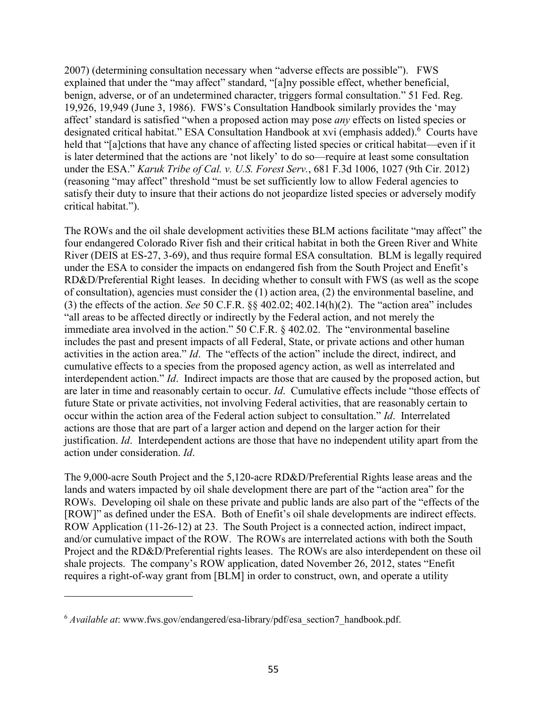2007) (determining consultation necessary when "adverse effects are possible"). FWS explained that under the "may affect" standard, "[a]ny possible effect, whether beneficial, benign, adverse, or of an undetermined character, triggers formal consultation." 51 Fed. Reg. 19,926, 19,949 (June 3, 1986). FWS's Consultation Handbook similarly provides the 'may affect' standard is satisfied "when a proposed action may pose *any* effects on listed species or designated critical habitat." ESA Consultation Handbook at xvi (emphasis added).<sup>6</sup> Courts have held that "[a]ctions that have any chance of affecting listed species or critical habitat—even if it is later determined that the actions are 'not likely' to do so—require at least some consultation under the ESA." *Karuk Tribe of Cal. v. U.S. Forest Serv.*, 681 F.3d 1006, 1027 (9th Cir. 2012) (reasoning "may affect" threshold "must be set sufficiently low to allow Federal agencies to satisfy their duty to insure that their actions do not jeopardize listed species or adversely modify critical habitat.").

The ROWs and the oil shale development activities these BLM actions facilitate "may affect" the four endangered Colorado River fish and their critical habitat in both the Green River and White River (DEIS at ES-27, 3-69), and thus require formal ESA consultation. BLM is legally required under the ESA to consider the impacts on endangered fish from the South Project and Enefit's RD&D/Preferential Right leases. In deciding whether to consult with FWS (as well as the scope of consultation), agencies must consider the (1) action area, (2) the environmental baseline, and (3) the effects of the action. *See* 50 C.F.R. §§ 402.02; 402.14(h)(2). The "action area" includes "all areas to be affected directly or indirectly by the Federal action, and not merely the immediate area involved in the action." 50 C.F.R. § 402.02. The "environmental baseline includes the past and present impacts of all Federal, State, or private actions and other human activities in the action area." *Id*. The "effects of the action" include the direct, indirect, and cumulative effects to a species from the proposed agency action, as well as interrelated and interdependent action." *Id*. Indirect impacts are those that are caused by the proposed action, but are later in time and reasonably certain to occur. *Id*. Cumulative effects include "those effects of future State or private activities, not involving Federal activities, that are reasonably certain to occur within the action area of the Federal action subject to consultation." *Id*. Interrelated actions are those that are part of a larger action and depend on the larger action for their justification. *Id*. Interdependent actions are those that have no independent utility apart from the action under consideration. *Id*.

The 9,000-acre South Project and the 5,120-acre RD&D/Preferential Rights lease areas and the lands and waters impacted by oil shale development there are part of the "action area" for the ROWs. Developing oil shale on these private and public lands are also part of the "effects of the [ROW]" as defined under the ESA. Both of Enefit's oil shale developments are indirect effects. ROW Application (11-26-12) at 23. The South Project is a connected action, indirect impact, and/or cumulative impact of the ROW. The ROWs are interrelated actions with both the South Project and the RD&D/Preferential rights leases. The ROWs are also interdependent on these oil shale projects. The company's ROW application, dated November 26, 2012, states "Enefit requires a right-of-way grant from [BLM] in order to construct, own, and operate a utility

 $\overline{a}$ 

<sup>6</sup> *Available at*: www.fws.gov/endangered/esa-library/pdf/esa\_section7\_handbook.pdf.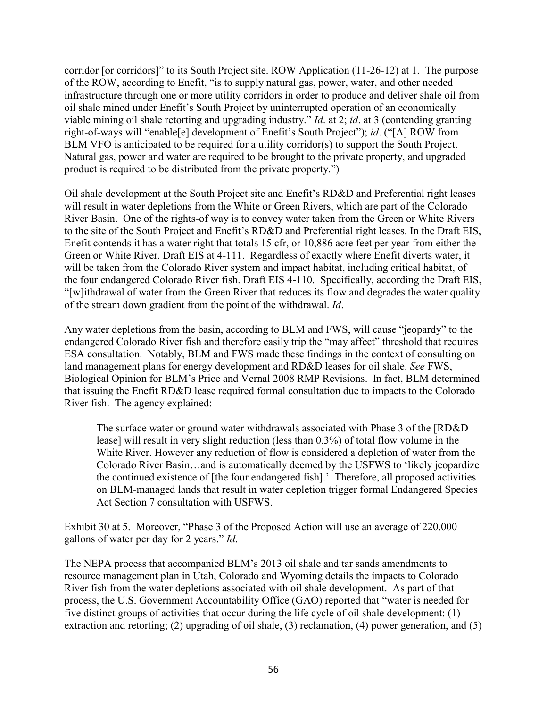corridor [or corridors]" to its South Project site. ROW Application (11-26-12) at 1. The purpose of the ROW, according to Enefit, "is to supply natural gas, power, water, and other needed infrastructure through one or more utility corridors in order to produce and deliver shale oil from oil shale mined under Enefit's South Project by uninterrupted operation of an economically viable mining oil shale retorting and upgrading industry." *Id*. at 2; *id*. at 3 (contending granting right-of-ways will "enable[e] development of Enefit's South Project"); *id*. ("[A] ROW from BLM VFO is anticipated to be required for a utility corridor(s) to support the South Project. Natural gas, power and water are required to be brought to the private property, and upgraded product is required to be distributed from the private property.")

Oil shale development at the South Project site and Enefit's RD&D and Preferential right leases will result in water depletions from the White or Green Rivers, which are part of the Colorado River Basin. One of the rights-of way is to convey water taken from the Green or White Rivers to the site of the South Project and Enefit's RD&D and Preferential right leases. In the Draft EIS, Enefit contends it has a water right that totals 15 cfr, or 10,886 acre feet per year from either the Green or White River. Draft EIS at 4-111. Regardless of exactly where Enefit diverts water, it will be taken from the Colorado River system and impact habitat, including critical habitat, of the four endangered Colorado River fish. Draft EIS 4-110. Specifically, according the Draft EIS, "[w]ithdrawal of water from the Green River that reduces its flow and degrades the water quality of the stream down gradient from the point of the withdrawal. *Id*.

Any water depletions from the basin, according to BLM and FWS, will cause "jeopardy" to the endangered Colorado River fish and therefore easily trip the "may affect" threshold that requires ESA consultation. Notably, BLM and FWS made these findings in the context of consulting on land management plans for energy development and RD&D leases for oil shale. *See* FWS, Biological Opinion for BLM's Price and Vernal 2008 RMP Revisions. In fact, BLM determined that issuing the Enefit RD&D lease required formal consultation due to impacts to the Colorado River fish. The agency explained:

The surface water or ground water withdrawals associated with Phase 3 of the [RD&D lease] will result in very slight reduction (less than 0.3%) of total flow volume in the White River. However any reduction of flow is considered a depletion of water from the Colorado River Basin…and is automatically deemed by the USFWS to 'likely jeopardize the continued existence of [the four endangered fish].' Therefore, all proposed activities on BLM-managed lands that result in water depletion trigger formal Endangered Species Act Section 7 consultation with USFWS.

Exhibit 30 at 5. Moreover, "Phase 3 of the Proposed Action will use an average of 220,000 gallons of water per day for 2 years." *Id*.

The NEPA process that accompanied BLM's 2013 oil shale and tar sands amendments to resource management plan in Utah, Colorado and Wyoming details the impacts to Colorado River fish from the water depletions associated with oil shale development. As part of that process, the U.S. Government Accountability Office (GAO) reported that "water is needed for five distinct groups of activities that occur during the life cycle of oil shale development: (1) extraction and retorting; (2) upgrading of oil shale, (3) reclamation, (4) power generation, and (5)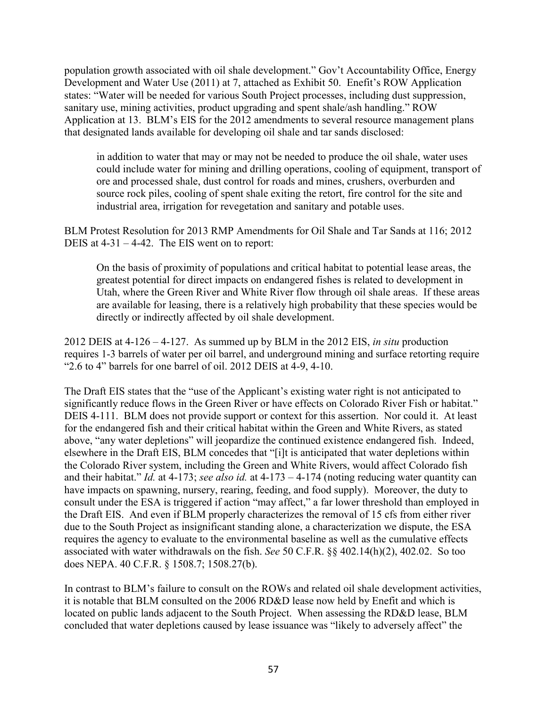population growth associated with oil shale development." Gov't Accountability Office, Energy Development and Water Use (2011) at 7, attached as Exhibit 50. Enefit's ROW Application states: "Water will be needed for various South Project processes, including dust suppression, sanitary use, mining activities, product upgrading and spent shale/ash handling." ROW Application at 13. BLM's EIS for the 2012 amendments to several resource management plans that designated lands available for developing oil shale and tar sands disclosed:

in addition to water that may or may not be needed to produce the oil shale, water uses could include water for mining and drilling operations, cooling of equipment, transport of ore and processed shale, dust control for roads and mines, crushers, overburden and source rock piles, cooling of spent shale exiting the retort, fire control for the site and industrial area, irrigation for revegetation and sanitary and potable uses.

BLM Protest Resolution for 2013 RMP Amendments for Oil Shale and Tar Sands at 116; 2012 DEIS at 4-31 – 4-42. The EIS went on to report:

On the basis of proximity of populations and critical habitat to potential lease areas, the greatest potential for direct impacts on endangered fishes is related to development in Utah, where the Green River and White River flow through oil shale areas. If these areas are available for leasing, there is a relatively high probability that these species would be directly or indirectly affected by oil shale development.

2012 DEIS at 4-126 – 4-127. As summed up by BLM in the 2012 EIS, *in situ* production requires 1-3 barrels of water per oil barrel, and underground mining and surface retorting require "2.6 to 4" barrels for one barrel of oil. 2012 DEIS at 4-9, 4-10.

The Draft EIS states that the "use of the Applicant's existing water right is not anticipated to significantly reduce flows in the Green River or have effects on Colorado River Fish or habitat." DEIS 4-111. BLM does not provide support or context for this assertion. Nor could it. At least for the endangered fish and their critical habitat within the Green and White Rivers, as stated above, "any water depletions" will jeopardize the continued existence endangered fish. Indeed, elsewhere in the Draft EIS, BLM concedes that "[i]t is anticipated that water depletions within the Colorado River system, including the Green and White Rivers, would affect Colorado fish and their habitat." *Id.* at 4-173; *see also id.* at 4-173 – 4-174 (noting reducing water quantity can have impacts on spawning, nursery, rearing, feeding, and food supply). Moreover, the duty to consult under the ESA is triggered if action "may affect," a far lower threshold than employed in the Draft EIS. And even if BLM properly characterizes the removal of 15 cfs from either river due to the South Project as insignificant standing alone, a characterization we dispute, the ESA requires the agency to evaluate to the environmental baseline as well as the cumulative effects associated with water withdrawals on the fish. *See* 50 C.F.R. §§ 402.14(h)(2), 402.02. So too does NEPA. 40 C.F.R. § 1508.7; 1508.27(b).

In contrast to BLM's failure to consult on the ROWs and related oil shale development activities, it is notable that BLM consulted on the 2006 RD&D lease now held by Enefit and which is located on public lands adjacent to the South Project. When assessing the RD&D lease, BLM concluded that water depletions caused by lease issuance was "likely to adversely affect" the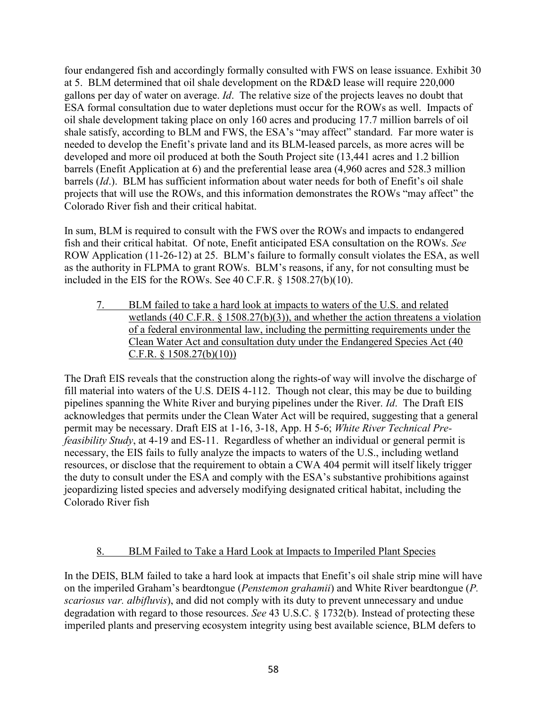four endangered fish and accordingly formally consulted with FWS on lease issuance. Exhibit 30 at 5. BLM determined that oil shale development on the RD&D lease will require 220,000 gallons per day of water on average. *Id*. The relative size of the projects leaves no doubt that ESA formal consultation due to water depletions must occur for the ROWs as well. Impacts of oil shale development taking place on only 160 acres and producing 17.7 million barrels of oil shale satisfy, according to BLM and FWS, the ESA's "may affect" standard. Far more water is needed to develop the Enefit's private land and its BLM-leased parcels, as more acres will be developed and more oil produced at both the South Project site (13,441 acres and 1.2 billion barrels (Enefit Application at 6) and the preferential lease area (4,960 acres and 528.3 million barrels (*Id*.). BLM has sufficient information about water needs for both of Enefit's oil shale projects that will use the ROWs, and this information demonstrates the ROWs "may affect" the Colorado River fish and their critical habitat.

In sum, BLM is required to consult with the FWS over the ROWs and impacts to endangered fish and their critical habitat. Of note, Enefit anticipated ESA consultation on the ROWs. *See*  ROW Application (11-26-12) at 25. BLM's failure to formally consult violates the ESA, as well as the authority in FLPMA to grant ROWs. BLM's reasons, if any, for not consulting must be included in the EIS for the ROWs. See 40 C.F.R. § 1508.27(b)(10).

7. BLM failed to take a hard look at impacts to waters of the U.S. and related wetlands (40 C.F.R. § 1508.27(b)(3)), and whether the action threatens a violation of a federal environmental law, including the permitting requirements under the Clean Water Act and consultation duty under the Endangered Species Act (40 C.F.R. § 1508.27(b)(10))

The Draft EIS reveals that the construction along the rights-of way will involve the discharge of fill material into waters of the U.S. DEIS 4-112. Though not clear, this may be due to building pipelines spanning the White River and burying pipelines under the River. *Id*. The Draft EIS acknowledges that permits under the Clean Water Act will be required, suggesting that a general permit may be necessary. Draft EIS at 1-16, 3-18, App. H 5-6; *White River Technical Prefeasibility Study*, at 4-19 and ES-11. Regardless of whether an individual or general permit is necessary, the EIS fails to fully analyze the impacts to waters of the U.S., including wetland resources, or disclose that the requirement to obtain a CWA 404 permit will itself likely trigger the duty to consult under the ESA and comply with the ESA's substantive prohibitions against jeopardizing listed species and adversely modifying designated critical habitat, including the Colorado River fish

# 8. BLM Failed to Take a Hard Look at Impacts to Imperiled Plant Species

In the DEIS, BLM failed to take a hard look at impacts that Enefit's oil shale strip mine will have on the imperiled Graham's beardtongue (*Penstemon grahamii*) and White River beardtongue (*P. scariosus var. albifluvis*), and did not comply with its duty to prevent unnecessary and undue degradation with regard to those resources. *See* 43 U.S.C. § 1732(b). Instead of protecting these imperiled plants and preserving ecosystem integrity using best available science, BLM defers to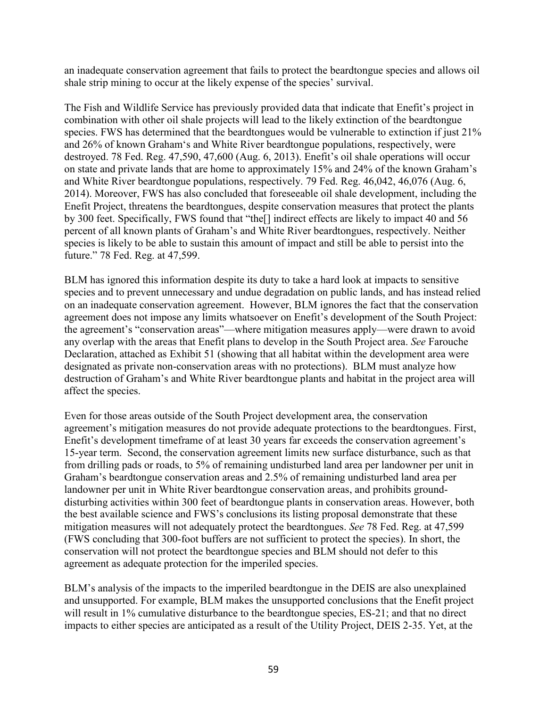an inadequate conservation agreement that fails to protect the beardtongue species and allows oil shale strip mining to occur at the likely expense of the species' survival.

The Fish and Wildlife Service has previously provided data that indicate that Enefit's project in combination with other oil shale projects will lead to the likely extinction of the beardtongue species. FWS has determined that the beardtongues would be vulnerable to extinction if just 21% and 26% of known Graham's and White River beardtongue populations, respectively, were destroyed. 78 Fed. Reg. 47,590, 47,600 (Aug. 6, 2013). Enefit's oil shale operations will occur on state and private lands that are home to approximately 15% and 24% of the known Graham's and White River beardtongue populations, respectively. 79 Fed. Reg. 46,042, 46,076 (Aug. 6, 2014). Moreover, FWS has also concluded that foreseeable oil shale development, including the Enefit Project, threatens the beardtongues, despite conservation measures that protect the plants by 300 feet. Specifically, FWS found that "the[] indirect effects are likely to impact 40 and 56 percent of all known plants of Graham's and White River beardtongues, respectively. Neither species is likely to be able to sustain this amount of impact and still be able to persist into the future." 78 Fed. Reg. at 47,599.

BLM has ignored this information despite its duty to take a hard look at impacts to sensitive species and to prevent unnecessary and undue degradation on public lands, and has instead relied on an inadequate conservation agreement. However, BLM ignores the fact that the conservation agreement does not impose any limits whatsoever on Enefit's development of the South Project: the agreement's "conservation areas"—where mitigation measures apply—were drawn to avoid any overlap with the areas that Enefit plans to develop in the South Project area. *See* Farouche Declaration, attached as Exhibit 51 (showing that all habitat within the development area were designated as private non-conservation areas with no protections). BLM must analyze how destruction of Graham's and White River beardtongue plants and habitat in the project area will affect the species.

Even for those areas outside of the South Project development area, the conservation agreement's mitigation measures do not provide adequate protections to the beardtongues. First, Enefit's development timeframe of at least 30 years far exceeds the conservation agreement's 15-year term. Second, the conservation agreement limits new surface disturbance, such as that from drilling pads or roads, to 5% of remaining undisturbed land area per landowner per unit in Graham's beardtongue conservation areas and 2.5% of remaining undisturbed land area per landowner per unit in White River beardtongue conservation areas, and prohibits grounddisturbing activities within 300 feet of beardtongue plants in conservation areas. However, both the best available science and FWS's conclusions its listing proposal demonstrate that these mitigation measures will not adequately protect the beardtongues. *See* 78 Fed. Reg. at 47,599 (FWS concluding that 300-foot buffers are not sufficient to protect the species). In short, the conservation will not protect the beardtongue species and BLM should not defer to this agreement as adequate protection for the imperiled species.

BLM's analysis of the impacts to the imperiled beardtongue in the DEIS are also unexplained and unsupported. For example, BLM makes the unsupported conclusions that the Enefit project will result in 1% cumulative disturbance to the beardtongue species, ES-21; and that no direct impacts to either species are anticipated as a result of the Utility Project, DEIS 2-35. Yet, at the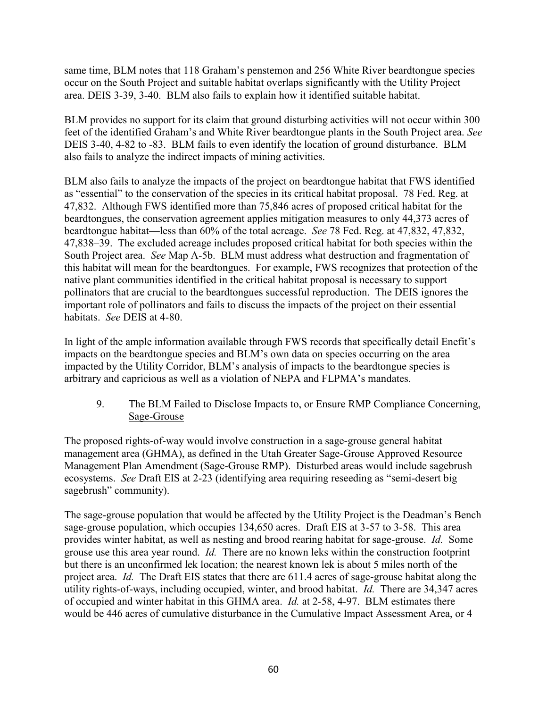same time, BLM notes that 118 Graham's penstemon and 256 White River beardtongue species occur on the South Project and suitable habitat overlaps significantly with the Utility Project area. DEIS 3-39, 3-40. BLM also fails to explain how it identified suitable habitat.

BLM provides no support for its claim that ground disturbing activities will not occur within 300 feet of the identified Graham's and White River beardtongue plants in the South Project area. *See*  DEIS 3-40, 4-82 to -83. BLM fails to even identify the location of ground disturbance. BLM also fails to analyze the indirect impacts of mining activities.

BLM also fails to analyze the impacts of the project on beardtongue habitat that FWS identified as "essential" to the conservation of the species in its critical habitat proposal. 78 Fed. Reg. at 47,832. Although FWS identified more than 75,846 acres of proposed critical habitat for the beardtongues, the conservation agreement applies mitigation measures to only 44,373 acres of beardtongue habitat—less than 60% of the total acreage. *See* 78 Fed. Reg. at 47,832, 47,832, 47,838‒39. The excluded acreage includes proposed critical habitat for both species within the South Project area. *See* Map A-5b. BLM must address what destruction and fragmentation of this habitat will mean for the beardtongues. For example, FWS recognizes that protection of the native plant communities identified in the critical habitat proposal is necessary to support pollinators that are crucial to the beardtongues successful reproduction. The DEIS ignores the important role of pollinators and fails to discuss the impacts of the project on their essential habitats. *See* DEIS at 4-80.

In light of the ample information available through FWS records that specifically detail Enefit's impacts on the beardtongue species and BLM's own data on species occurring on the area impacted by the Utility Corridor, BLM's analysis of impacts to the beardtongue species is arbitrary and capricious as well as a violation of NEPA and FLPMA's mandates.

### 9. The BLM Failed to Disclose Impacts to, or Ensure RMP Compliance Concerning, Sage-Grouse

The proposed rights-of-way would involve construction in a sage-grouse general habitat management area (GHMA), as defined in the Utah Greater Sage-Grouse Approved Resource Management Plan Amendment (Sage-Grouse RMP). Disturbed areas would include sagebrush ecosystems. *See* Draft EIS at 2-23 (identifying area requiring reseeding as "semi-desert big sagebrush" community).

The sage-grouse population that would be affected by the Utility Project is the Deadman's Bench sage-grouse population, which occupies 134,650 acres. Draft EIS at 3-57 to 3-58. This area provides winter habitat, as well as nesting and brood rearing habitat for sage-grouse. *Id.* Some grouse use this area year round. *Id.* There are no known leks within the construction footprint but there is an unconfirmed lek location; the nearest known lek is about 5 miles north of the project area. *Id.* The Draft EIS states that there are 611.4 acres of sage-grouse habitat along the utility rights-of-ways, including occupied, winter, and brood habitat. *Id.* There are 34,347 acres of occupied and winter habitat in this GHMA area. *Id.* at 2-58, 4-97. BLM estimates there would be 446 acres of cumulative disturbance in the Cumulative Impact Assessment Area, or 4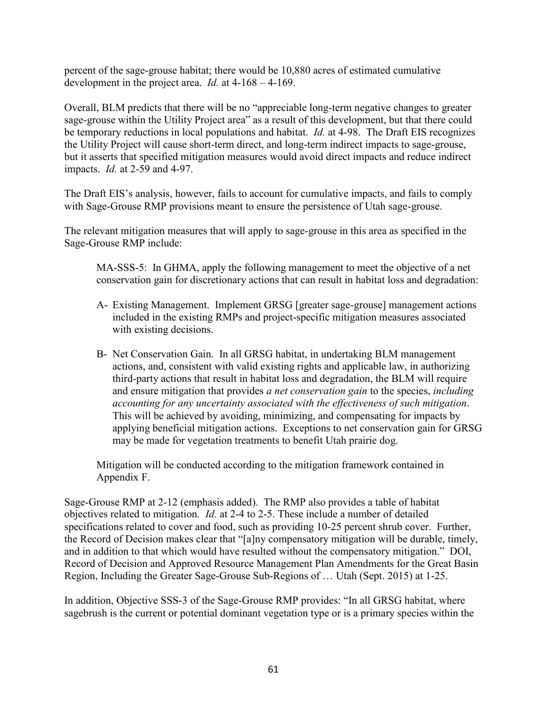percent of the sage-grouse habitat; there would be 10,880 acres of estimated cumulative development in the project area. *Id.* at 4-168 – 4-169.

Overall, BLM predicts that there will be no "appreciable long-term negative changes to greater sage-grouse within the Utility Project area" as a result of this development, but that there could be temporary reductions in local populations and habitat. *Id.* at 4-98. The Draft EIS recognizes the Utility Project will cause short-term direct, and long-term indirect impacts to sage-grouse, but it asserts that specified mitigation measures would avoid direct impacts and reduce indirect impacts. *Id.* at 2-59 and 4-97.

The Draft EIS's analysis, however, fails to account for cumulative impacts, and fails to comply with Sage-Grouse RMP provisions meant to ensure the persistence of Utah sage-grouse.

The relevant mitigation measures that will apply to sage-grouse in this area as specified in the Sage-Grouse RMP include:

MA-SSS-5: In GHMA, apply the following management to meet the objective of a net conservation gain for discretionary actions that can result in habitat loss and degradation:

- A- Existing Management. Implement GRSG [greater sage-grouse] management actions included in the existing RMPs and project-specific mitigation measures associated with existing decisions.
- B- Net Conservation Gain. In all GRSG habitat, in undertaking BLM management actions, and, consistent with valid existing rights and applicable law, in authorizing third-party actions that result in habitat loss and degradation, the BLM will require and ensure mitigation that provides *a net conservation gain* to the species, *including accounting for any uncertainty associated with the effectiveness of such mitigation*. This will be achieved by avoiding, minimizing, and compensating for impacts by applying beneficial mitigation actions. Exceptions to net conservation gain for GRSG may be made for vegetation treatments to benefit Utah prairie dog.

Mitigation will be conducted according to the mitigation framework contained in Appendix F.

Sage-Grouse RMP at 2-12 (emphasis added). The RMP also provides a table of habitat objectives related to mitigation*. Id.* at 2-4 to 2-5. These include a number of detailed specifications related to cover and food, such as providing 10-25 percent shrub cover. Further, the Record of Decision makes clear that "[a]ny compensatory mitigation will be durable, timely, and in addition to that which would have resulted without the compensatory mitigation." DOI, Record of Decision and Approved Resource Management Plan Amendments for the Great Basin Region, Including the Greater Sage-Grouse Sub-Regions of … Utah (Sept. 2015) at 1-25.

In addition, Objective SSS-3 of the Sage-Grouse RMP provides: "In all GRSG habitat, where sagebrush is the current or potential dominant vegetation type or is a primary species within the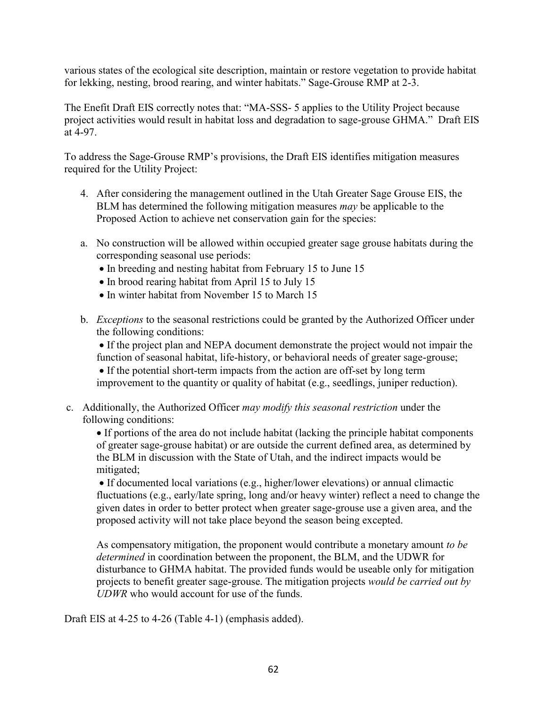various states of the ecological site description, maintain or restore vegetation to provide habitat for lekking, nesting, brood rearing, and winter habitats." Sage-Grouse RMP at 2-3.

The Enefit Draft EIS correctly notes that: "MA-SSS- 5 applies to the Utility Project because project activities would result in habitat loss and degradation to sage-grouse GHMA." Draft EIS at 4-97.

To address the Sage-Grouse RMP's provisions, the Draft EIS identifies mitigation measures required for the Utility Project:

- 4. After considering the management outlined in the Utah Greater Sage Grouse EIS, the BLM has determined the following mitigation measures *may* be applicable to the Proposed Action to achieve net conservation gain for the species:
- a. No construction will be allowed within occupied greater sage grouse habitats during the corresponding seasonal use periods:
	- In breeding and nesting habitat from February 15 to June 15
	- In brood rearing habitat from April 15 to July 15
	- In winter habitat from November 15 to March 15
- b. *Exceptions* to the seasonal restrictions could be granted by the Authorized Officer under the following conditions:

 If the project plan and NEPA document demonstrate the project would not impair the function of seasonal habitat, life-history, or behavioral needs of greater sage-grouse;

• If the potential short-term impacts from the action are off-set by long term improvement to the quantity or quality of habitat (e.g., seedlings, juniper reduction).

c. Additionally, the Authorized Officer *may modify this seasonal restriction* under the following conditions:

 If portions of the area do not include habitat (lacking the principle habitat components of greater sage-grouse habitat) or are outside the current defined area, as determined by the BLM in discussion with the State of Utah, and the indirect impacts would be mitigated;

 If documented local variations (e.g., higher/lower elevations) or annual climactic fluctuations (e.g., early/late spring, long and/or heavy winter) reflect a need to change the given dates in order to better protect when greater sage-grouse use a given area, and the proposed activity will not take place beyond the season being excepted.

As compensatory mitigation, the proponent would contribute a monetary amount *to be determined* in coordination between the proponent, the BLM, and the UDWR for disturbance to GHMA habitat. The provided funds would be useable only for mitigation projects to benefit greater sage-grouse. The mitigation projects *would be carried out by UDWR* who would account for use of the funds.

Draft EIS at 4-25 to 4-26 (Table 4-1) (emphasis added).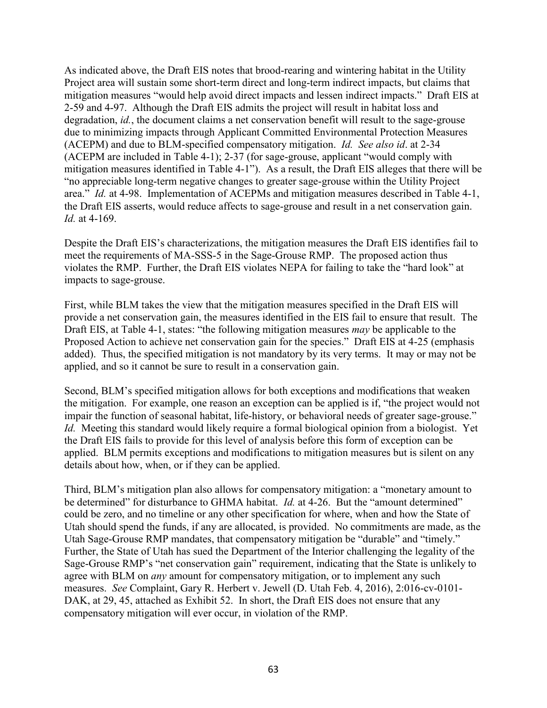As indicated above, the Draft EIS notes that brood-rearing and wintering habitat in the Utility Project area will sustain some short-term direct and long-term indirect impacts, but claims that mitigation measures "would help avoid direct impacts and lessen indirect impacts." Draft EIS at 2-59 and 4-97. Although the Draft EIS admits the project will result in habitat loss and degradation, *id.*, the document claims a net conservation benefit will result to the sage-grouse due to minimizing impacts through Applicant Committed Environmental Protection Measures (ACEPM) and due to BLM-specified compensatory mitigation. *Id. See also id*. at 2-34 (ACEPM are included in Table 4-1); 2-37 (for sage-grouse, applicant "would comply with mitigation measures identified in Table 4-1"). As a result, the Draft EIS alleges that there will be "no appreciable long-term negative changes to greater sage-grouse within the Utility Project area." *Id.* at 4-98. Implementation of ACEPMs and mitigation measures described in Table 4-1, the Draft EIS asserts, would reduce affects to sage-grouse and result in a net conservation gain. *Id.* at 4-169.

Despite the Draft EIS's characterizations, the mitigation measures the Draft EIS identifies fail to meet the requirements of MA-SSS-5 in the Sage-Grouse RMP. The proposed action thus violates the RMP. Further, the Draft EIS violates NEPA for failing to take the "hard look" at impacts to sage-grouse.

First, while BLM takes the view that the mitigation measures specified in the Draft EIS will provide a net conservation gain, the measures identified in the EIS fail to ensure that result. The Draft EIS, at Table 4-1, states: "the following mitigation measures *may* be applicable to the Proposed Action to achieve net conservation gain for the species." Draft EIS at 4-25 (emphasis added). Thus, the specified mitigation is not mandatory by its very terms. It may or may not be applied, and so it cannot be sure to result in a conservation gain.

Second, BLM's specified mitigation allows for both exceptions and modifications that weaken the mitigation. For example, one reason an exception can be applied is if, "the project would not impair the function of seasonal habitat, life-history, or behavioral needs of greater sage-grouse." *Id.* Meeting this standard would likely require a formal biological opinion from a biologist. Yet the Draft EIS fails to provide for this level of analysis before this form of exception can be applied. BLM permits exceptions and modifications to mitigation measures but is silent on any details about how, when, or if they can be applied.

Third, BLM's mitigation plan also allows for compensatory mitigation: a "monetary amount to be determined" for disturbance to GHMA habitat. *Id.* at 4-26. But the "amount determined" could be zero, and no timeline or any other specification for where, when and how the State of Utah should spend the funds, if any are allocated, is provided. No commitments are made, as the Utah Sage-Grouse RMP mandates, that compensatory mitigation be "durable" and "timely." Further, the State of Utah has sued the Department of the Interior challenging the legality of the Sage-Grouse RMP's "net conservation gain" requirement, indicating that the State is unlikely to agree with BLM on *any* amount for compensatory mitigation, or to implement any such measures. *See* Complaint, Gary R. Herbert v. Jewell (D. Utah Feb. 4, 2016), 2:016-cv-0101- DAK, at 29, 45, attached as Exhibit 52. In short, the Draft EIS does not ensure that any compensatory mitigation will ever occur, in violation of the RMP.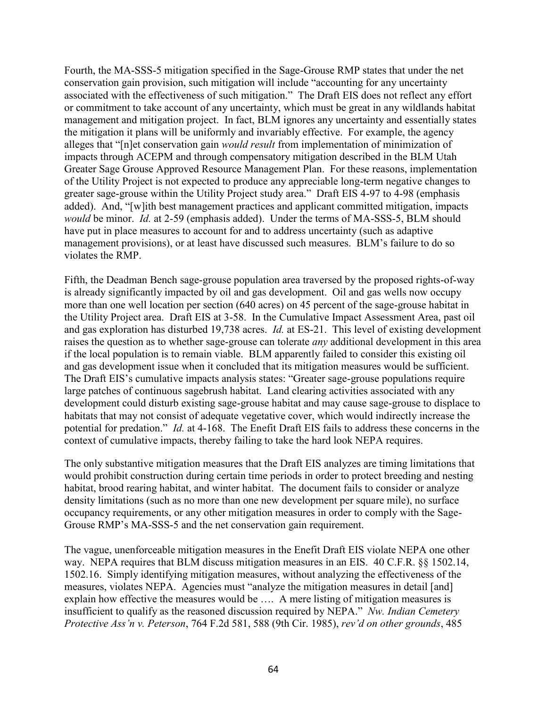Fourth, the MA-SSS-5 mitigation specified in the Sage-Grouse RMP states that under the net conservation gain provision, such mitigation will include "accounting for any uncertainty associated with the effectiveness of such mitigation." The Draft EIS does not reflect any effort or commitment to take account of any uncertainty, which must be great in any wildlands habitat management and mitigation project. In fact, BLM ignores any uncertainty and essentially states the mitigation it plans will be uniformly and invariably effective. For example, the agency alleges that "[n]et conservation gain *would result* from implementation of minimization of impacts through ACEPM and through compensatory mitigation described in the BLM Utah Greater Sage Grouse Approved Resource Management Plan. For these reasons, implementation of the Utility Project is not expected to produce any appreciable long-term negative changes to greater sage-grouse within the Utility Project study area." Draft EIS 4-97 to 4-98 (emphasis added). And, "[w]ith best management practices and applicant committed mitigation, impacts *would* be minor. *Id.* at 2-59 (emphasis added). Under the terms of MA-SSS-5, BLM should have put in place measures to account for and to address uncertainty (such as adaptive management provisions), or at least have discussed such measures. BLM's failure to do so violates the RMP.

Fifth, the Deadman Bench sage-grouse population area traversed by the proposed rights-of-way is already significantly impacted by oil and gas development. Oil and gas wells now occupy more than one well location per section (640 acres) on 45 percent of the sage-grouse habitat in the Utility Project area. Draft EIS at 3-58. In the Cumulative Impact Assessment Area, past oil and gas exploration has disturbed 19,738 acres. *Id.* at ES-21. This level of existing development raises the question as to whether sage-grouse can tolerate *any* additional development in this area if the local population is to remain viable. BLM apparently failed to consider this existing oil and gas development issue when it concluded that its mitigation measures would be sufficient. The Draft EIS's cumulative impacts analysis states: "Greater sage-grouse populations require large patches of continuous sagebrush habitat. Land clearing activities associated with any development could disturb existing sage-grouse habitat and may cause sage-grouse to displace to habitats that may not consist of adequate vegetative cover, which would indirectly increase the potential for predation." *Id.* at 4-168. The Enefit Draft EIS fails to address these concerns in the context of cumulative impacts, thereby failing to take the hard look NEPA requires.

The only substantive mitigation measures that the Draft EIS analyzes are timing limitations that would prohibit construction during certain time periods in order to protect breeding and nesting habitat, brood rearing habitat, and winter habitat. The document fails to consider or analyze density limitations (such as no more than one new development per square mile), no surface occupancy requirements, or any other mitigation measures in order to comply with the Sage-Grouse RMP's MA-SSS-5 and the net conservation gain requirement.

The vague, unenforceable mitigation measures in the Enefit Draft EIS violate NEPA one other way. NEPA requires that BLM discuss mitigation measures in an EIS. 40 C.F.R.  $\&$  1502.14, 1502.16. Simply identifying mitigation measures, without analyzing the effectiveness of the measures, violates NEPA. Agencies must "analyze the mitigation measures in detail [and] explain how effective the measures would be …. A mere listing of mitigation measures is insufficient to qualify as the reasoned discussion required by NEPA." *Nw. Indian Cemetery Protective Ass'n v. Peterson*, 764 F.2d 581, 588 (9th Cir. 1985), *rev'd on other grounds*, 485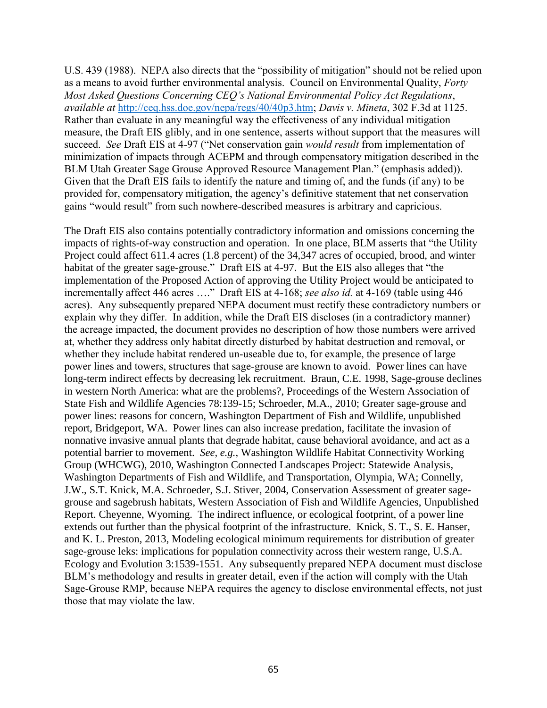U.S. 439 (1988). NEPA also directs that the "possibility of mitigation" should not be relied upon as a means to avoid further environmental analysis. Council on Environmental Quality, *Forty Most Asked Questions Concerning CEQ's National Environmental Policy Act Regulations*, *available at* [http://ceq.hss.doe.gov/nepa/regs/40/40p3.htm;](http://ceq.hss.doe.gov/nepa/regs/40/40p3.htm) *Davis v. Mineta*, 302 F.3d at 1125. Rather than evaluate in any meaningful way the effectiveness of any individual mitigation measure, the Draft EIS glibly, and in one sentence, asserts without support that the measures will succeed. *See* Draft EIS at 4-97 ("Net conservation gain *would result* from implementation of minimization of impacts through ACEPM and through compensatory mitigation described in the BLM Utah Greater Sage Grouse Approved Resource Management Plan." (emphasis added)). Given that the Draft EIS fails to identify the nature and timing of, and the funds (if any) to be provided for, compensatory mitigation, the agency's definitive statement that net conservation gains "would result" from such nowhere-described measures is arbitrary and capricious.

The Draft EIS also contains potentially contradictory information and omissions concerning the impacts of rights-of-way construction and operation. In one place, BLM asserts that "the Utility Project could affect 611.4 acres (1.8 percent) of the 34,347 acres of occupied, brood, and winter habitat of the greater sage-grouse." Draft EIS at 4-97. But the EIS also alleges that "the implementation of the Proposed Action of approving the Utility Project would be anticipated to incrementally affect 446 acres …." Draft EIS at 4-168; *see also id.* at 4-169 (table using 446 acres). Any subsequently prepared NEPA document must rectify these contradictory numbers or explain why they differ. In addition, while the Draft EIS discloses (in a contradictory manner) the acreage impacted, the document provides no description of how those numbers were arrived at, whether they address only habitat directly disturbed by habitat destruction and removal, or whether they include habitat rendered un-useable due to, for example, the presence of large power lines and towers, structures that sage-grouse are known to avoid. Power lines can have long-term indirect effects by decreasing lek recruitment. Braun, C.E. 1998, Sage-grouse declines in western North America: what are the problems?, Proceedings of the Western Association of State Fish and Wildlife Agencies 78:139-15; Schroeder, M.A., 2010; Greater sage-grouse and power lines: reasons for concern, Washington Department of Fish and Wildlife, unpublished report, Bridgeport, WA. Power lines can also increase predation, facilitate the invasion of nonnative invasive annual plants that degrade habitat, cause behavioral avoidance, and act as a potential barrier to movement. *See, e.g.*, Washington Wildlife Habitat Connectivity Working Group (WHCWG), 2010, Washington Connected Landscapes Project: Statewide Analysis, Washington Departments of Fish and Wildlife, and Transportation, Olympia, WA; Connelly, J.W., S.T. Knick, M.A. Schroeder, S.J. Stiver, 2004, Conservation Assessment of greater sagegrouse and sagebrush habitats, Western Association of Fish and Wildlife Agencies, Unpublished Report. Cheyenne, Wyoming. The indirect influence, or ecological footprint, of a power line extends out further than the physical footprint of the infrastructure. Knick, S. T., S. E. Hanser, and K. L. Preston, 2013, Modeling ecological minimum requirements for distribution of greater sage-grouse leks: implications for population connectivity across their western range, U.S.A. Ecology and Evolution 3:1539-1551. Any subsequently prepared NEPA document must disclose BLM's methodology and results in greater detail, even if the action will comply with the Utah Sage-Grouse RMP, because NEPA requires the agency to disclose environmental effects, not just those that may violate the law.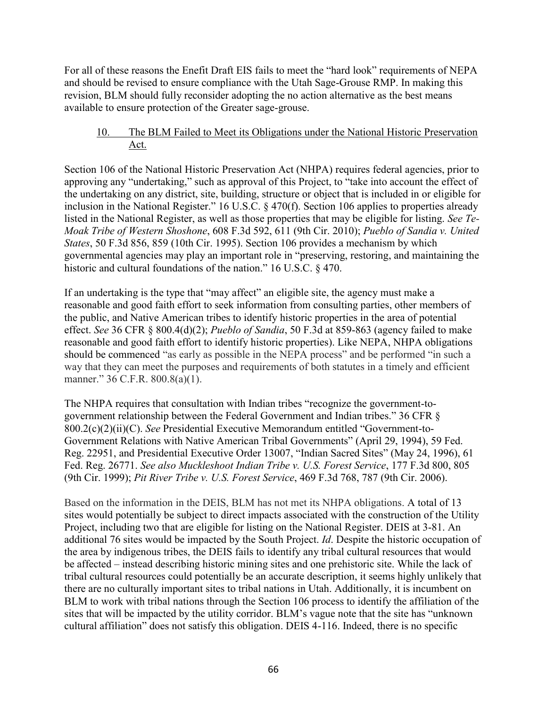For all of these reasons the Enefit Draft EIS fails to meet the "hard look" requirements of NEPA and should be revised to ensure compliance with the Utah Sage-Grouse RMP. In making this revision, BLM should fully reconsider adopting the no action alternative as the best means available to ensure protection of the Greater sage-grouse.

## 10. The BLM Failed to Meet its Obligations under the National Historic Preservation Act.

Section 106 of the National Historic Preservation Act (NHPA) requires federal agencies, prior to approving any "undertaking," such as approval of this Project, to "take into account the effect of the undertaking on any district, site, building, structure or object that is included in or eligible for inclusion in the National Register." 16 U.S.C. § 470(f). Section 106 applies to properties already listed in the National Register, as well as those properties that may be eligible for listing. *See Te-Moak Tribe of Western Shoshone*, 608 F.3d 592, 611 (9th Cir. 2010); *Pueblo of Sandia v. United States*, 50 F.3d 856, 859 (10th Cir. 1995). Section 106 provides a mechanism by which governmental agencies may play an important role in "preserving, restoring, and maintaining the historic and cultural foundations of the nation." 16 U.S.C. § 470.

If an undertaking is the type that "may affect" an eligible site, the agency must make a reasonable and good faith effort to seek information from consulting parties, other members of the public, and Native American tribes to identify historic properties in the area of potential effect. *See* 36 CFR § 800.4(d)(2); *Pueblo of Sandia*, 50 F.3d at 859-863 (agency failed to make reasonable and good faith effort to identify historic properties). Like NEPA, NHPA obligations should be commenced "as early as possible in the NEPA process" and be performed "in such a way that they can meet the purposes and requirements of both statutes in a timely and efficient manner." 36 C.F.R. 800.8(a)(1).

The NHPA requires that consultation with Indian tribes "recognize the government-togovernment relationship between the Federal Government and Indian tribes." 36 CFR § 800.2(c)(2)(ii)(C). *See* Presidential Executive Memorandum entitled "Government-to-Government Relations with Native American Tribal Governments" (April 29, 1994), 59 Fed. Reg. 22951, and Presidential Executive Order 13007, "Indian Sacred Sites" (May 24, 1996), 61 Fed. Reg. 26771. *See also Muckleshoot Indian Tribe v. U.S. Forest Service*, 177 F.3d 800, 805 (9th Cir. 1999); *Pit River Tribe v. U.S. Forest Service*, 469 F.3d 768, 787 (9th Cir. 2006).

Based on the information in the DEIS, BLM has not met its NHPA obligations. A total of 13 sites would potentially be subject to direct impacts associated with the construction of the Utility Project, including two that are eligible for listing on the National Register. DEIS at 3-81. An additional 76 sites would be impacted by the South Project. *Id*. Despite the historic occupation of the area by indigenous tribes, the DEIS fails to identify any tribal cultural resources that would be affected – instead describing historic mining sites and one prehistoric site. While the lack of tribal cultural resources could potentially be an accurate description, it seems highly unlikely that there are no culturally important sites to tribal nations in Utah. Additionally, it is incumbent on BLM to work with tribal nations through the Section 106 process to identify the affiliation of the sites that will be impacted by the utility corridor. BLM's vague note that the site has "unknown cultural affiliation" does not satisfy this obligation. DEIS 4-116. Indeed, there is no specific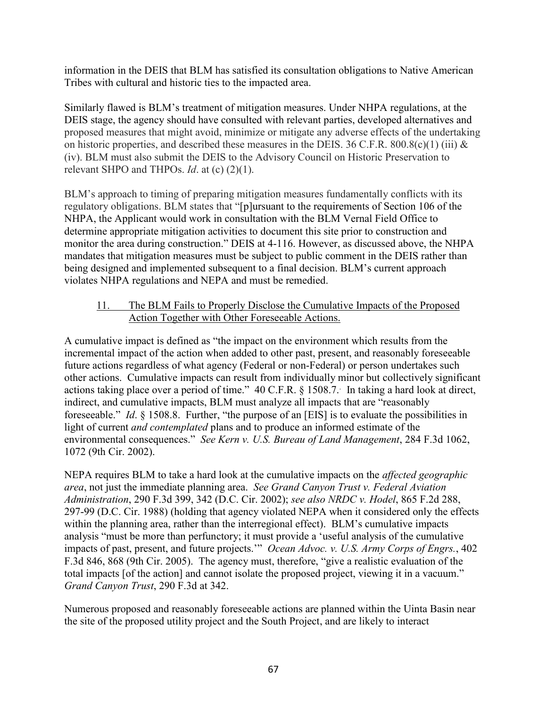information in the DEIS that BLM has satisfied its consultation obligations to Native American Tribes with cultural and historic ties to the impacted area.

Similarly flawed is BLM's treatment of mitigation measures. Under NHPA regulations, at the DEIS stage, the agency should have consulted with relevant parties, developed alternatives and proposed measures that might avoid, minimize or mitigate any adverse effects of the undertaking on historic properties, and described these measures in the DEIS. 36 C.F.R. 800.8(c)(1) (iii)  $\&$ (iv). BLM must also submit the DEIS to the Advisory Council on Historic Preservation to relevant SHPO and THPOs. *Id*. at (c) (2)(1).

BLM's approach to timing of preparing mitigation measures fundamentally conflicts with its regulatory obligations. BLM states that "[p]ursuant to the requirements of Section 106 of the NHPA, the Applicant would work in consultation with the BLM Vernal Field Office to determine appropriate mitigation activities to document this site prior to construction and monitor the area during construction." DEIS at 4-116. However, as discussed above, the NHPA mandates that mitigation measures must be subject to public comment in the DEIS rather than being designed and implemented subsequent to a final decision. BLM's current approach violates NHPA regulations and NEPA and must be remedied.

### 11. The BLM Fails to Properly Disclose the Cumulative Impacts of the Proposed Action Together with Other Foreseeable Actions.

A cumulative impact is defined as "the impact on the environment which results from the incremental impact of the action when added to other past, present, and reasonably foreseeable future actions regardless of what agency (Federal or non-Federal) or person undertakes such other actions. Cumulative impacts can result from individually minor but collectively significant actions taking place over a period of time." 40 C.F.R. § 1508.7. In taking a hard look at direct, indirect, and cumulative impacts, BLM must analyze all impacts that are "reasonably foreseeable." *Id*. § 1508.8. Further, "the purpose of an [EIS] is to evaluate the possibilities in light of current *and contemplated* plans and to produce an informed estimate of the environmental consequences." *See Kern v. U.S. Bureau of Land Management*, 284 F.3d 1062, 1072 (9th Cir. 2002).

NEPA requires BLM to take a hard look at the cumulative impacts on the *affected geographic area*, not just the immediate planning area. *See Grand Canyon Trust v. Federal Aviation Administration*, 290 F.3d 399, 342 (D.C. Cir. 2002); *see also NRDC v. Hodel*, 865 F.2d 288, 297-99 (D.C. Cir. 1988) (holding that agency violated NEPA when it considered only the effects within the planning area, rather than the interregional effect). BLM's cumulative impacts analysis "must be more than perfunctory; it must provide a 'useful analysis of the cumulative impacts of past, present, and future projects.'" *Ocean Advoc. v. U.S. Army Corps of Engrs.*, 402 F.3d 846, 868 (9th Cir. 2005). The agency must, therefore, "give a realistic evaluation of the total impacts [of the action] and cannot isolate the proposed project, viewing it in a vacuum." *Grand Canyon Trust*, 290 F.3d at 342.

Numerous proposed and reasonably foreseeable actions are planned within the Uinta Basin near the site of the proposed utility project and the South Project, and are likely to interact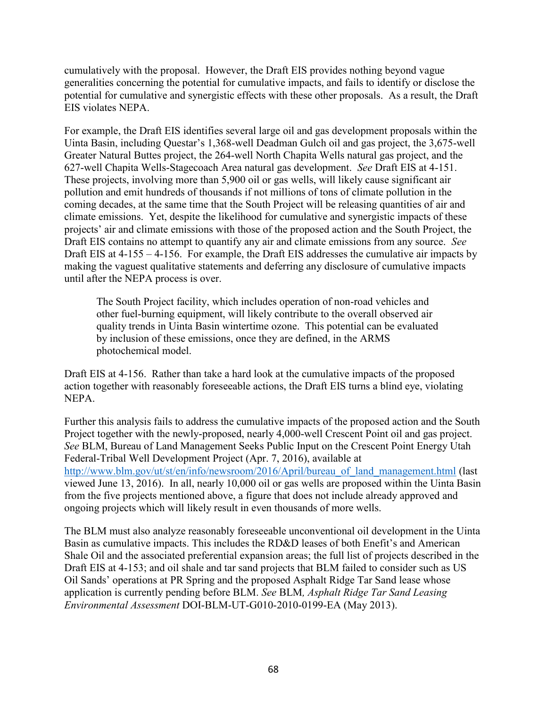cumulatively with the proposal. However, the Draft EIS provides nothing beyond vague generalities concerning the potential for cumulative impacts, and fails to identify or disclose the potential for cumulative and synergistic effects with these other proposals. As a result, the Draft EIS violates NEPA.

For example, the Draft EIS identifies several large oil and gas development proposals within the Uinta Basin, including Questar's 1,368-well Deadman Gulch oil and gas project, the 3,675-well Greater Natural Buttes project, the 264-well North Chapita Wells natural gas project, and the 627-well Chapita Wells-Stagecoach Area natural gas development. *See* Draft EIS at 4-151. These projects, involving more than 5,900 oil or gas wells, will likely cause significant air pollution and emit hundreds of thousands if not millions of tons of climate pollution in the coming decades, at the same time that the South Project will be releasing quantities of air and climate emissions. Yet, despite the likelihood for cumulative and synergistic impacts of these projects' air and climate emissions with those of the proposed action and the South Project, the Draft EIS contains no attempt to quantify any air and climate emissions from any source. *See* Draft EIS at 4-155 – 4-156. For example, the Draft EIS addresses the cumulative air impacts by making the vaguest qualitative statements and deferring any disclosure of cumulative impacts until after the NEPA process is over.

The South Project facility, which includes operation of non-road vehicles and other fuel-burning equipment, will likely contribute to the overall observed air quality trends in Uinta Basin wintertime ozone. This potential can be evaluated by inclusion of these emissions, once they are defined, in the ARMS photochemical model.

Draft EIS at 4-156. Rather than take a hard look at the cumulative impacts of the proposed action together with reasonably foreseeable actions, the Draft EIS turns a blind eye, violating NEPA.

Further this analysis fails to address the cumulative impacts of the proposed action and the South Project together with the newly-proposed, nearly 4,000-well Crescent Point oil and gas project. *See* BLM, Bureau of Land Management Seeks Public Input on the Crescent Point Energy Utah Federal-Tribal Well Development Project (Apr. 7, 2016), available at http://www.blm.gov/ut/st/en/info/newsroom/2016/April/bureau of land management.html (last viewed June 13, 2016). In all, nearly 10,000 oil or gas wells are proposed within the Uinta Basin from the five projects mentioned above, a figure that does not include already approved and ongoing projects which will likely result in even thousands of more wells.

The BLM must also analyze reasonably foreseeable unconventional oil development in the Uinta Basin as cumulative impacts. This includes the RD&D leases of both Enefit's and American Shale Oil and the associated preferential expansion areas; the full list of projects described in the Draft EIS at 4-153; and oil shale and tar sand projects that BLM failed to consider such as US Oil Sands' operations at PR Spring and the proposed Asphalt Ridge Tar Sand lease whose application is currently pending before BLM. *See* BLM*, Asphalt Ridge Tar Sand Leasing Environmental Assessment* DOI-BLM-UT-G010-2010-0199-EA (May 2013).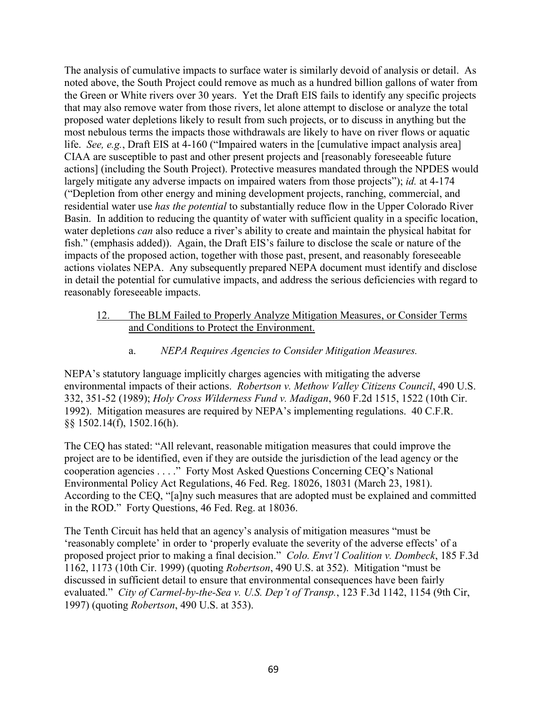The analysis of cumulative impacts to surface water is similarly devoid of analysis or detail. As noted above, the South Project could remove as much as a hundred billion gallons of water from the Green or White rivers over 30 years. Yet the Draft EIS fails to identify any specific projects that may also remove water from those rivers, let alone attempt to disclose or analyze the total proposed water depletions likely to result from such projects, or to discuss in anything but the most nebulous terms the impacts those withdrawals are likely to have on river flows or aquatic life. *See, e.g.*, Draft EIS at 4-160 ("Impaired waters in the [cumulative impact analysis area] CIAA are susceptible to past and other present projects and [reasonably foreseeable future actions] (including the South Project). Protective measures mandated through the NPDES would largely mitigate any adverse impacts on impaired waters from those projects"); *id.* at 4-174 ("Depletion from other energy and mining development projects, ranching, commercial, and residential water use *has the potential* to substantially reduce flow in the Upper Colorado River Basin. In addition to reducing the quantity of water with sufficient quality in a specific location, water depletions *can* also reduce a river's ability to create and maintain the physical habitat for fish." (emphasis added)). Again, the Draft EIS's failure to disclose the scale or nature of the impacts of the proposed action, together with those past, present, and reasonably foreseeable actions violates NEPA. Any subsequently prepared NEPA document must identify and disclose in detail the potential for cumulative impacts, and address the serious deficiencies with regard to reasonably foreseeable impacts.

- 12. The BLM Failed to Properly Analyze Mitigation Measures, or Consider Terms and Conditions to Protect the Environment.
	- a. *NEPA Requires Agencies to Consider Mitigation Measures.*

NEPA's statutory language implicitly charges agencies with mitigating the adverse environmental impacts of their actions. *Robertson v. Methow Valley Citizens Council*, 490 U.S. 332, 351-52 (1989); *Holy Cross Wilderness Fund v. Madigan*, 960 F.2d 1515, 1522 (10th Cir. 1992). Mitigation measures are required by NEPA's implementing regulations. 40 C.F.R. §§ 1502.14(f), 1502.16(h).

The CEQ has stated: "All relevant, reasonable mitigation measures that could improve the project are to be identified, even if they are outside the jurisdiction of the lead agency or the cooperation agencies . . . ." Forty Most Asked Questions Concerning CEQ's National Environmental Policy Act Regulations, 46 Fed. Reg. 18026, 18031 (March 23, 1981). According to the CEQ, "[a]ny such measures that are adopted must be explained and committed in the ROD." Forty Questions, 46 Fed. Reg. at 18036.

The Tenth Circuit has held that an agency's analysis of mitigation measures "must be 'reasonably complete' in order to 'properly evaluate the severity of the adverse effects' of a proposed project prior to making a final decision." *Colo. Envt'l Coalition v. Dombeck*, 185 F.3d 1162, 1173 (10th Cir. 1999) (quoting *Robertson*, 490 U.S. at 352). Mitigation "must be discussed in sufficient detail to ensure that environmental consequences have been fairly evaluated." *City of Carmel-by-the-Sea v. U.S. Dep't of Transp.*, 123 F.3d 1142, 1154 (9th Cir, 1997) (quoting *Robertson*, 490 U.S. at 353).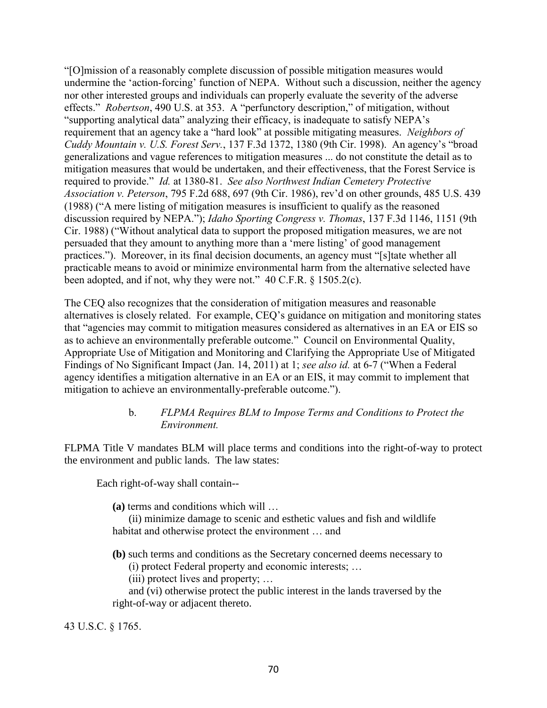"[O]mission of a reasonably complete discussion of possible mitigation measures would undermine the 'action-forcing' function of NEPA. Without such a discussion, neither the agency nor other interested groups and individuals can properly evaluate the severity of the adverse effects." *Robertson*, 490 U.S. at 353. A "perfunctory description," of mitigation, without "supporting analytical data" analyzing their efficacy, is inadequate to satisfy NEPA's requirement that an agency take a "hard look" at possible mitigating measures. *Neighbors of Cuddy Mountain v. U.S. Forest Serv.*, 137 F.3d 1372, 1380 (9th Cir. 1998). An agency's "broad generalizations and vague references to mitigation measures ... do not constitute the detail as to mitigation measures that would be undertaken, and their effectiveness, that the Forest Service is required to provide." *Id.* at 1380-81. *See also Northwest Indian Cemetery Protective Association v. Peterson*, 795 F.2d 688, 697 (9th Cir. 1986), rev'd on other grounds, 485 U.S. 439 (1988) ("A mere listing of mitigation measures is insufficient to qualify as the reasoned discussion required by NEPA."); *Idaho Sporting Congress v. Thomas*, 137 F.3d 1146, 1151 (9th Cir. 1988) ("Without analytical data to support the proposed mitigation measures, we are not persuaded that they amount to anything more than a 'mere listing' of good management practices."). Moreover, in its final decision documents, an agency must "[s]tate whether all practicable means to avoid or minimize environmental harm from the alternative selected have been adopted, and if not, why they were not." 40 C.F.R. § 1505.2(c).

The CEQ also recognizes that the consideration of mitigation measures and reasonable alternatives is closely related. For example, CEQ's guidance on mitigation and monitoring states that "agencies may commit to mitigation measures considered as alternatives in an EA or EIS so as to achieve an environmentally preferable outcome." Council on Environmental Quality, Appropriate Use of Mitigation and Monitoring and Clarifying the Appropriate Use of Mitigated Findings of No Significant Impact (Jan. 14, 2011) at 1; *see also id.* at 6-7 ("When a Federal agency identifies a mitigation alternative in an EA or an EIS, it may commit to implement that mitigation to achieve an environmentally-preferable outcome.").

### b. *FLPMA Requires BLM to Impose Terms and Conditions to Protect the Environment.*

FLPMA Title V mandates BLM will place terms and conditions into the right-of-way to protect the environment and public lands. The law states:

Each right-of-way shall contain--

**(a)** terms and conditions which will …

(ii) minimize damage to scenic and esthetic values and fish and wildlife habitat and otherwise protect the environment … and

**(b)** such terms and conditions as the Secretary concerned deems necessary to (i) protect Federal property and economic interests; …

(iii) protect lives and property; …

and (vi) otherwise protect the public interest in the lands traversed by the right-of-way or adjacent thereto.

43 U.S.C. § 1765.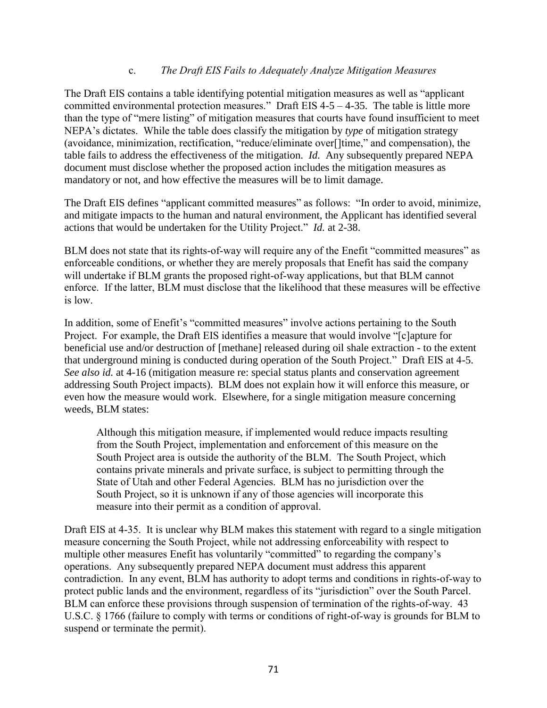#### c. *The Draft EIS Fails to Adequately Analyze Mitigation Measures*

The Draft EIS contains a table identifying potential mitigation measures as well as "applicant committed environmental protection measures." Draft EIS  $4-5-4-35$ . The table is little more than the type of "mere listing" of mitigation measures that courts have found insufficient to meet NEPA's dictates. While the table does classify the mitigation by *type* of mitigation strategy (avoidance, minimization, rectification, "reduce/eliminate over[]time," and compensation), the table fails to address the effectiveness of the mitigation. *Id.* Any subsequently prepared NEPA document must disclose whether the proposed action includes the mitigation measures as mandatory or not, and how effective the measures will be to limit damage.

The Draft EIS defines "applicant committed measures" as follows: "In order to avoid, minimize, and mitigate impacts to the human and natural environment, the Applicant has identified several actions that would be undertaken for the Utility Project." *Id.* at 2-38.

BLM does not state that its rights-of-way will require any of the Enefit "committed measures" as enforceable conditions, or whether they are merely proposals that Enefit has said the company will undertake if BLM grants the proposed right-of-way applications, but that BLM cannot enforce. If the latter, BLM must disclose that the likelihood that these measures will be effective is low.

In addition, some of Enefit's "committed measures" involve actions pertaining to the South Project. For example, the Draft EIS identifies a measure that would involve "[c]apture for beneficial use and/or destruction of [methane] released during oil shale extraction - to the extent that underground mining is conducted during operation of the South Project." Draft EIS at 4-5. *See also id.* at 4-16 (mitigation measure re: special status plants and conservation agreement addressing South Project impacts). BLM does not explain how it will enforce this measure, or even how the measure would work. Elsewhere, for a single mitigation measure concerning weeds, BLM states:

Although this mitigation measure, if implemented would reduce impacts resulting from the South Project, implementation and enforcement of this measure on the South Project area is outside the authority of the BLM. The South Project, which contains private minerals and private surface, is subject to permitting through the State of Utah and other Federal Agencies. BLM has no jurisdiction over the South Project, so it is unknown if any of those agencies will incorporate this measure into their permit as a condition of approval.

Draft EIS at 4-35. It is unclear why BLM makes this statement with regard to a single mitigation measure concerning the South Project, while not addressing enforceability with respect to multiple other measures Enefit has voluntarily "committed" to regarding the company's operations. Any subsequently prepared NEPA document must address this apparent contradiction. In any event, BLM has authority to adopt terms and conditions in rights-of-way to protect public lands and the environment, regardless of its "jurisdiction" over the South Parcel. BLM can enforce these provisions through suspension of termination of the rights-of-way. 43 U.S.C. § 1766 (failure to comply with terms or conditions of right-of-way is grounds for BLM to suspend or terminate the permit).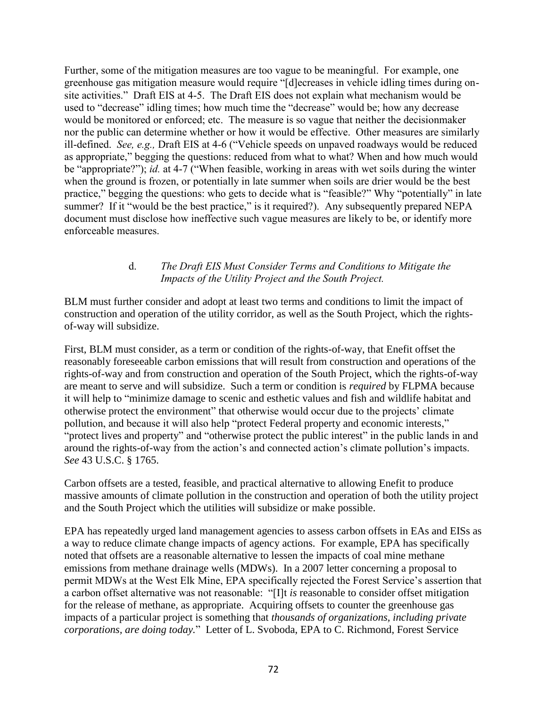Further, some of the mitigation measures are too vague to be meaningful. For example, one greenhouse gas mitigation measure would require "[d]ecreases in vehicle idling times during onsite activities." Draft EIS at 4-5. The Draft EIS does not explain what mechanism would be used to "decrease" idling times; how much time the "decrease" would be; how any decrease would be monitored or enforced; etc. The measure is so vague that neither the decisionmaker nor the public can determine whether or how it would be effective. Other measures are similarly ill-defined. *See, e.g.,* Draft EIS at 4-6 ("Vehicle speeds on unpaved roadways would be reduced as appropriate," begging the questions: reduced from what to what? When and how much would be "appropriate?"); *id.* at 4-7 ("When feasible, working in areas with wet soils during the winter when the ground is frozen, or potentially in late summer when soils are drier would be the best practice," begging the questions: who gets to decide what is "feasible?" Why "potentially" in late summer? If it "would be the best practice," is it required?). Any subsequently prepared NEPA document must disclose how ineffective such vague measures are likely to be, or identify more enforceable measures.

### d. *The Draft EIS Must Consider Terms and Conditions to Mitigate the Impacts of the Utility Project and the South Project.*

BLM must further consider and adopt at least two terms and conditions to limit the impact of construction and operation of the utility corridor, as well as the South Project, which the rightsof-way will subsidize.

First, BLM must consider, as a term or condition of the rights-of-way, that Enefit offset the reasonably foreseeable carbon emissions that will result from construction and operations of the rights-of-way and from construction and operation of the South Project, which the rights-of-way are meant to serve and will subsidize. Such a term or condition is *required* by FLPMA because it will help to "minimize damage to scenic and esthetic values and fish and wildlife habitat and otherwise protect the environment" that otherwise would occur due to the projects' climate pollution, and because it will also help "protect Federal property and economic interests," "protect lives and property" and "otherwise protect the public interest" in the public lands in and around the rights-of-way from the action's and connected action's climate pollution's impacts. *See* 43 U.S.C. § 1765.

Carbon offsets are a tested, feasible, and practical alternative to allowing Enefit to produce massive amounts of climate pollution in the construction and operation of both the utility project and the South Project which the utilities will subsidize or make possible.

EPA has repeatedly urged land management agencies to assess carbon offsets in EAs and EISs as a way to reduce climate change impacts of agency actions. For example, EPA has specifically noted that offsets are a reasonable alternative to lessen the impacts of coal mine methane emissions from methane drainage wells (MDWs). In a 2007 letter concerning a proposal to permit MDWs at the West Elk Mine, EPA specifically rejected the Forest Service's assertion that a carbon offset alternative was not reasonable: "[I]t *is* reasonable to consider offset mitigation for the release of methane, as appropriate. Acquiring offsets to counter the greenhouse gas impacts of a particular project is something that *thousands of organizations, including private corporations, are doing today.*" Letter of L. Svoboda, EPA to C. Richmond, Forest Service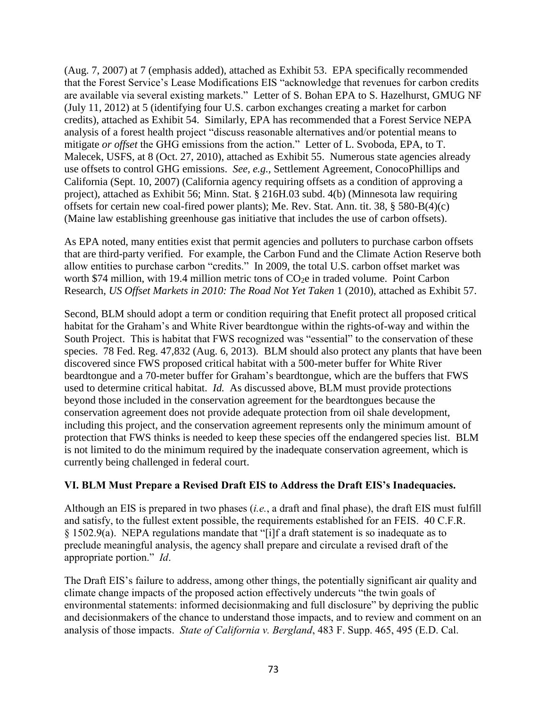(Aug. 7, 2007) at 7 (emphasis added), attached as Exhibit 53. EPA specifically recommended that the Forest Service's Lease Modifications EIS "acknowledge that revenues for carbon credits are available via several existing markets." Letter of S. Bohan EPA to S. Hazelhurst, GMUG NF (July 11, 2012) at 5 (identifying four U.S. carbon exchanges creating a market for carbon credits), attached as Exhibit 54. Similarly, EPA has recommended that a Forest Service NEPA analysis of a forest health project "discuss reasonable alternatives and/or potential means to mitigate *or offset* the GHG emissions from the action." Letter of L. Svoboda, EPA, to T. Malecek, USFS, at 8 (Oct. 27, 2010), attached as Exhibit 55. Numerous state agencies already use offsets to control GHG emissions. *See, e.g.,* Settlement Agreement, ConocoPhillips and California (Sept. 10, 2007) (California agency requiring offsets as a condition of approving a project), attached as Exhibit 56; Minn. Stat. § 216H.03 subd. 4(b) (Minnesota law requiring offsets for certain new coal-fired power plants); Me. Rev. Stat. Ann. tit. 38, § 580-B(4)(c) (Maine law establishing greenhouse gas initiative that includes the use of carbon offsets).

As EPA noted, many entities exist that permit agencies and polluters to purchase carbon offsets that are third-party verified. For example, the Carbon Fund and the Climate Action Reserve both allow entities to purchase carbon "credits." In 2009, the total U.S. carbon offset market was worth \$74 million, with 19.4 million metric tons of CO<sub>2</sub>e in traded volume. Point Carbon Research, *US Offset Markets in 2010: The Road Not Yet Taken* 1 (2010), attached as Exhibit 57.

Second, BLM should adopt a term or condition requiring that Enefit protect all proposed critical habitat for the Graham's and White River beardtongue within the rights-of-way and within the South Project. This is habitat that FWS recognized was "essential" to the conservation of these species. 78 Fed. Reg. 47,832 (Aug. 6, 2013). BLM should also protect any plants that have been discovered since FWS proposed critical habitat with a 500-meter buffer for White River beardtongue and a 70-meter buffer for Graham's beardtongue, which are the buffers that FWS used to determine critical habitat. *Id.* As discussed above, BLM must provide protections beyond those included in the conservation agreement for the beardtongues because the conservation agreement does not provide adequate protection from oil shale development, including this project, and the conservation agreement represents only the minimum amount of protection that FWS thinks is needed to keep these species off the endangered species list. BLM is not limited to do the minimum required by the inadequate conservation agreement, which is currently being challenged in federal court.

## **VI. BLM Must Prepare a Revised Draft EIS to Address the Draft EIS's Inadequacies.**

Although an EIS is prepared in two phases (*i.e.*, a draft and final phase), the draft EIS must fulfill and satisfy, to the fullest extent possible, the requirements established for an FEIS. 40 C.F.R. § 1502.9(a). NEPA regulations mandate that "[i]f a draft statement is so inadequate as to preclude meaningful analysis, the agency shall prepare and circulate a revised draft of the appropriate portion." *Id*.

The Draft EIS's failure to address, among other things, the potentially significant air quality and climate change impacts of the proposed action effectively undercuts "the twin goals of environmental statements: informed decisionmaking and full disclosure" by depriving the public and decisionmakers of the chance to understand those impacts, and to review and comment on an analysis of those impacts. *State of California v. Bergland*, 483 F. Supp. 465, 495 (E.D. Cal.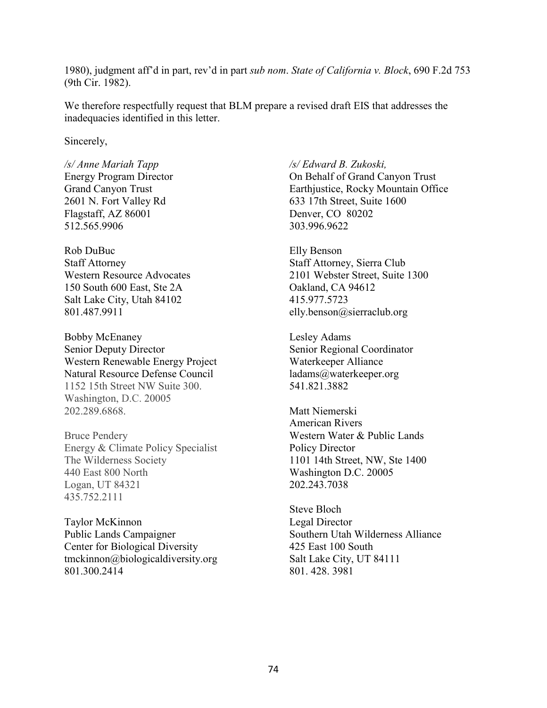1980), judgment aff'd in part, rev'd in part *sub nom*. *State of California v. Block*, 690 F.2d 753 (9th Cir. 1982).

We therefore respectfully request that BLM prepare a revised draft EIS that addresses the inadequacies identified in this letter.

Sincerely,

*/s/ Anne Mariah Tapp* Energy Program Director Grand Canyon Trust 2601 N. Fort Valley Rd Flagstaff, AZ 86001 512.565.9906

Rob DuBuc Staff Attorney Western Resource Advocates 150 South 600 East, Ste 2A Salt Lake City, Utah 84102 801.487.9911

Bobby McEnaney Senior Deputy Director Western Renewable Energy Project Natural Resource Defense Council 1152 15th Street NW Suite 300. Washington, D.C. 20005 202.289.6868.

Bruce Pendery Energy & Climate Policy Specialist The Wilderness Society 440 East 800 North Logan, UT 84321 435.752.2111

Taylor McKinnon Public Lands Campaigner [Center for Biological Diversity](http://www.biologicaldiversity.org/index.html) [tmckinnon@biologicaldiversity.org](mailto:tmckinnon@biologicaldiversity.org) [801.300.2414](tel:801.300.2414)

*/s/ Edward B. Zukoski,*  On Behalf of Grand Canyon Trust Earthjustice, Rocky Mountain Office 633 17th Street, Suite 1600 Denver, CO 80202 303.996.9622

Elly Benson Staff Attorney, Sierra Club 2101 Webster Street, Suite 1300 Oakland, CA 94612 415.977.5723 [elly.benson@sierraclub.org](tel:415-977-5723)

Lesley Adams Senior Regional Coordinator Waterkeeper Alliance ladams@waterkeeper.org 541.821.3882

Matt Niemerski American Rivers Western Water & Public Lands Policy Director 1101 14th Street, NW, Ste 1400 Washington D.C. 20005 202.243.7038

Steve Bloch Legal Director Southern Utah Wilderness Alliance 425 East 100 South Salt Lake City, UT 84111 801. 428. 3981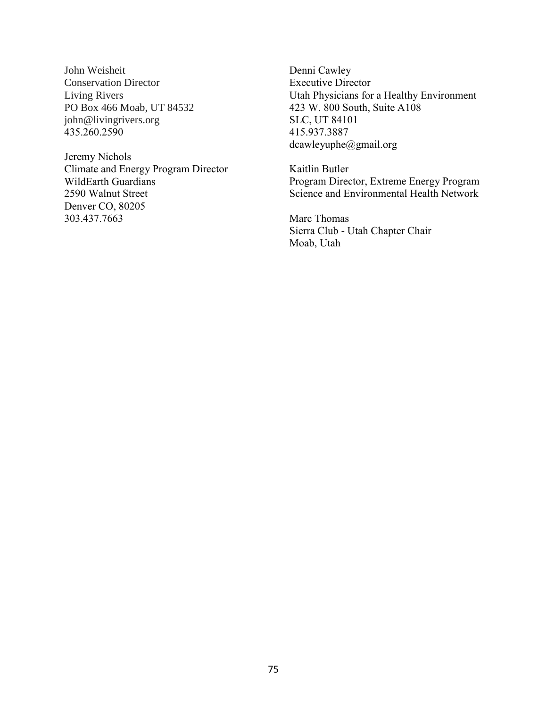John Weisheit Conservation Director Living Rivers PO Box 466 Moab, UT 84532 john@livingrivers.org 435.260.2590

Jeremy Nichols Climate and Energy Program Director WildEarth Guardians 2590 Walnut Street Denver CO, 80205 303.437.7663

Denni Cawley Executive Director Utah Physicians for a Healthy Environment 423 W. 800 South, Suite A108 SLC, UT 84101 415.937.3887 dcawleyuphe@gmail.org

Kaitlin Butler Program Director, Extreme Energy Program Science and Environmental Health Network

Marc Thomas Sierra Club - Utah Chapter Chair Moab, Utah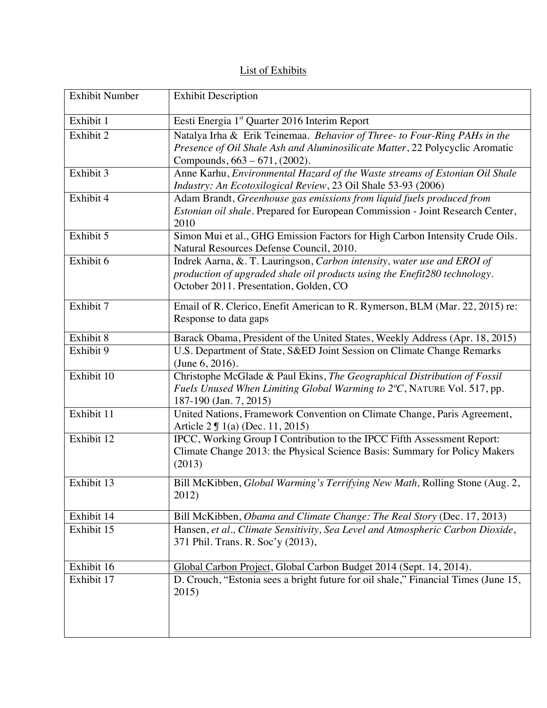## List of Exhibits

| <b>Exhibit Number</b> | <b>Exhibit Description</b>                                                                                                                                                                     |
|-----------------------|------------------------------------------------------------------------------------------------------------------------------------------------------------------------------------------------|
| Exhibit 1             | Eesti Energia 1 <sup>st</sup> Quarter 2016 Interim Report                                                                                                                                      |
| Exhibit 2             | Natalya Irha & Erik Teinemaa. Behavior of Three- to Four-Ring PAHs in the<br>Presence of Oil Shale Ash and Aluminosilicate Matter, 22 Polycyclic Aromatic<br>Compounds, 663 – 671, (2002).     |
| Exhibit 3             | Anne Karhu, Environmental Hazard of the Waste streams of Estonian Oil Shale<br>Industry: An Ecotoxilogical Review, 23 Oil Shale 53-93 (2006)                                                   |
| Exhibit 4             | Adam Brandt, Greenhouse gas emissions from liquid fuels produced from<br>Estonian oil shale. Prepared for European Commission - Joint Research Center,<br>2010                                 |
| Exhibit 5             | Simon Mui et al., GHG Emission Factors for High Carbon Intensity Crude Oils.<br>Natural Resources Defense Council, 2010.                                                                       |
| Exhibit 6             | Indrek Aarna, &. T. Lauringson, Carbon intensity, water use and EROI of<br>production of upgraded shale oil products using the Enefit280 technology.<br>October 2011. Presentation, Golden, CO |
| Exhibit 7             | Email of R. Clerico, Enefit American to R. Rymerson, BLM (Mar. 22, 2015) re:<br>Response to data gaps                                                                                          |
| Exhibit 8             | Barack Obama, President of the United States, Weekly Address (Apr. 18, 2015)                                                                                                                   |
| Exhibit 9             | U.S. Department of State, S&ED Joint Session on Climate Change Remarks<br>(June 6, 2016).                                                                                                      |
| Exhibit 10            | Christophe McGlade & Paul Ekins, The Geographical Distribution of Fossil<br>Fuels Unused When Limiting Global Warming to 2°C, NATURE Vol. 517, pp.<br>187-190 (Jan. 7, 2015)                   |
| Exhibit 11            | United Nations, Framework Convention on Climate Change, Paris Agreement,<br>Article 2 <b>J</b> 1(a) (Dec. 11, 2015)                                                                            |
| Exhibit 12            | IPCC, Working Group I Contribution to the IPCC Fifth Assessment Report:<br>Climate Change 2013: the Physical Science Basis: Summary for Policy Makers<br>(2013)                                |
| Exhibit 13            | Bill McKibben, Global Warming's Terrifying New Math, Rolling Stone (Aug. 2,<br>2012)                                                                                                           |
| Exhibit 14            | Bill McKibben, Obama and Climate Change: The Real Story (Dec. 17, 2013)                                                                                                                        |
| Exhibit 15            | Hansen, et al., Climate Sensitivity, Sea Level and Atmospheric Carbon Dioxide,<br>371 Phil. Trans. R. Soc'y (2013),                                                                            |
| Exhibit 16            | Global Carbon Project, Global Carbon Budget 2014 (Sept. 14, 2014).                                                                                                                             |
| Exhibit 17            | D. Crouch, "Estonia sees a bright future for oil shale," Financial Times (June 15,<br>2015)                                                                                                    |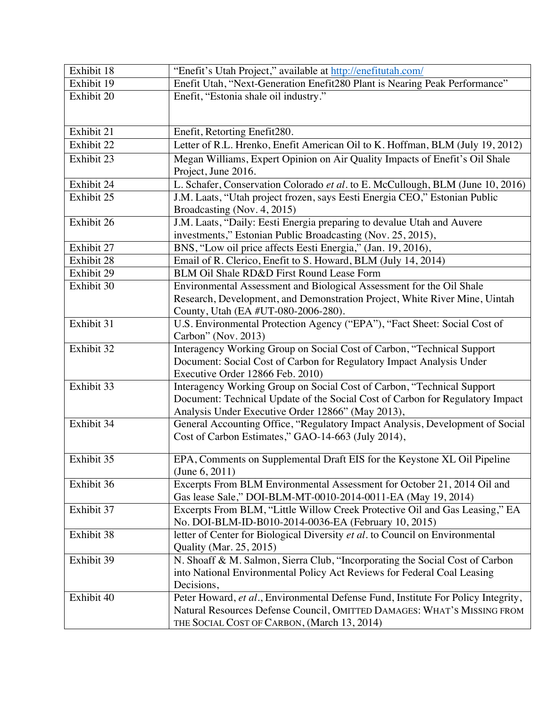| Exhibit 18 | "Enefit's Utah Project," available at http://enefitutah.com/                      |
|------------|-----------------------------------------------------------------------------------|
| Exhibit 19 | Enefit Utah, "Next-Generation Enefit280 Plant is Nearing Peak Performance"        |
| Exhibit 20 | Enefit, "Estonia shale oil industry."                                             |
|            |                                                                                   |
|            |                                                                                   |
| Exhibit 21 | Enefit, Retorting Enefit280.                                                      |
| Exhibit 22 | Letter of R.L. Hrenko, Enefit American Oil to K. Hoffman, BLM (July 19, 2012)     |
| Exhibit 23 | Megan Williams, Expert Opinion on Air Quality Impacts of Enefit's Oil Shale       |
|            | Project, June 2016.                                                               |
| Exhibit 24 | L. Schafer, Conservation Colorado et al. to E. McCullough, BLM (June 10, 2016)    |
| Exhibit 25 | J.M. Laats, "Utah project frozen, says Eesti Energia CEO," Estonian Public        |
|            | Broadcasting (Nov. 4, 2015)                                                       |
| Exhibit 26 | J.M. Laats, "Daily: Eesti Energia preparing to devalue Utah and Auvere            |
|            | investments," Estonian Public Broadcasting (Nov. 25, 2015),                       |
| Exhibit 27 | BNS, "Low oil price affects Eesti Energia," (Jan. 19, 2016),                      |
| Exhibit 28 | Email of R. Clerico, Enefit to S. Howard, BLM (July 14, 2014)                     |
| Exhibit 29 | BLM Oil Shale RD&D First Round Lease Form                                         |
| Exhibit 30 | Environmental Assessment and Biological Assessment for the Oil Shale              |
|            | Research, Development, and Demonstration Project, White River Mine, Uintah        |
|            | County, Utah (EA #UT-080-2006-280).                                               |
| Exhibit 31 | U.S. Environmental Protection Agency ("EPA"), "Fact Sheet: Social Cost of         |
|            | Carbon" (Nov. 2013)                                                               |
| Exhibit 32 | Interagency Working Group on Social Cost of Carbon, "Technical Support            |
|            | Document: Social Cost of Carbon for Regulatory Impact Analysis Under              |
|            | Executive Order 12866 Feb. 2010)                                                  |
| Exhibit 33 | Interagency Working Group on Social Cost of Carbon, "Technical Support            |
|            | Document: Technical Update of the Social Cost of Carbon for Regulatory Impact     |
|            | Analysis Under Executive Order 12866" (May 2013),                                 |
| Exhibit 34 | General Accounting Office, "Regulatory Impact Analysis, Development of Social     |
|            | Cost of Carbon Estimates," GAO-14-663 (July 2014),                                |
| Exhibit 35 | EPA, Comments on Supplemental Draft EIS for the Keystone XL Oil Pipeline          |
|            | (June $6, 2011$ )                                                                 |
| Exhibit 36 | Excerpts From BLM Environmental Assessment for October 21, 2014 Oil and           |
|            | Gas lease Sale," DOI-BLM-MT-0010-2014-0011-EA (May 19, 2014)                      |
| Exhibit 37 | Excerpts From BLM, "Little Willow Creek Protective Oil and Gas Leasing," EA       |
|            | No. DOI-BLM-ID-B010-2014-0036-EA (February 10, 2015)                              |
| Exhibit 38 | letter of Center for Biological Diversity et al. to Council on Environmental      |
|            | Quality (Mar. 25, 2015)                                                           |
| Exhibit 39 | N. Shoaff & M. Salmon, Sierra Club, "Incorporating the Social Cost of Carbon      |
|            | into National Environmental Policy Act Reviews for Federal Coal Leasing           |
|            | Decisions,                                                                        |
| Exhibit 40 | Peter Howard, et al., Environmental Defense Fund, Institute For Policy Integrity, |
|            | Natural Resources Defense Council, OMITTED DAMAGES: WHAT'S MISSING FROM           |
|            | THE SOCIAL COST OF CARBON, (March 13, 2014)                                       |